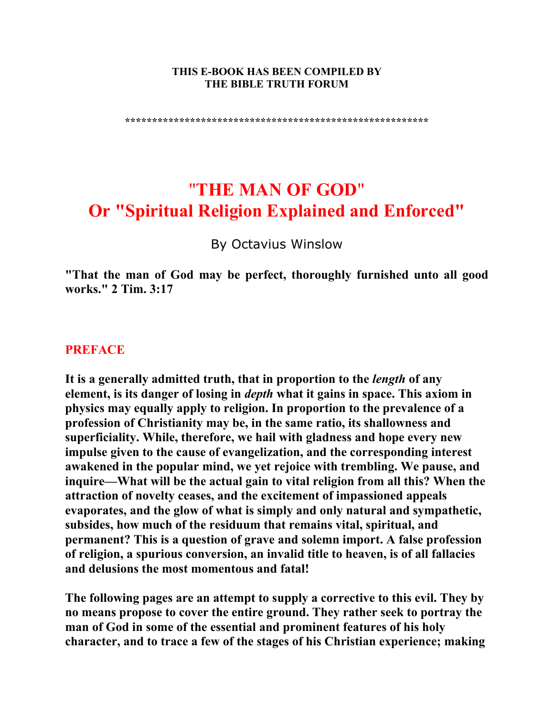#### **THIS E-BOOK HAS BEEN COMPILED BY THE BIBLE TRUTH FORUM**

**\*\*\*\*\*\*\*\*\*\*\*\*\*\*\*\*\*\*\*\*\*\*\*\*\*\*\*\*\*\*\*\*\*\*\*\*\*\*\*\*\*\*\*\*\*\*\*\*\*\*\*\*\*\*\*\*** 

# "**THE MAN OF GOD**" **Or "Spiritual Religion Explained and Enforced"**

By Octavius Winslow

**"That the man of God may be perfect, thoroughly furnished unto all good works." 2 Tim. 3:17** 

# **PREFACE**

**It is a generally admitted truth, that in proportion to the** *length* **of any element, is its danger of losing in** *depth* **what it gains in space. This axiom in physics may equally apply to religion. In proportion to the prevalence of a profession of Christianity may be, in the same ratio, its shallowness and superficiality. While, therefore, we hail with gladness and hope every new impulse given to the cause of evangelization, and the corresponding interest awakened in the popular mind, we yet rejoice with trembling. We pause, and inquire—What will be the actual gain to vital religion from all this? When the attraction of novelty ceases, and the excitement of impassioned appeals evaporates, and the glow of what is simply and only natural and sympathetic, subsides, how much of the residuum that remains vital, spiritual, and permanent? This is a question of grave and solemn import. A false profession of religion, a spurious conversion, an invalid title to heaven, is of all fallacies and delusions the most momentous and fatal!** 

**The following pages are an attempt to supply a corrective to this evil. They by no means propose to cover the entire ground. They rather seek to portray the man of God in some of the essential and prominent features of his holy character, and to trace a few of the stages of his Christian experience; making**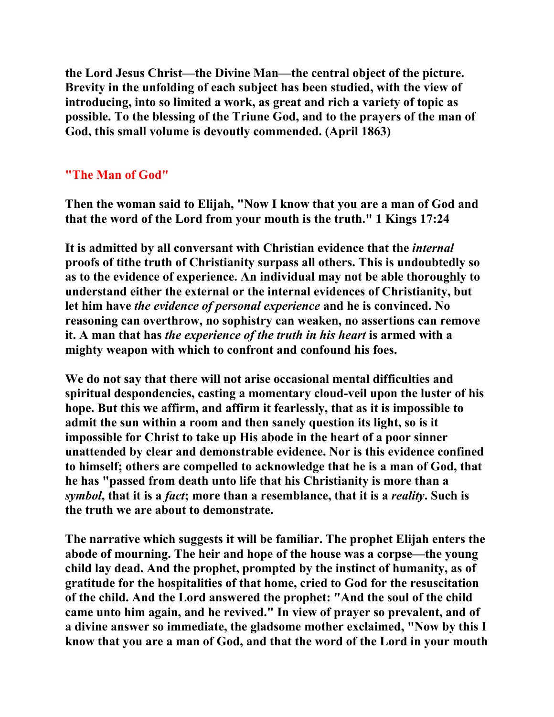**the Lord Jesus Christ—the Divine Man—the central object of the picture. Brevity in the unfolding of each subject has been studied, with the view of introducing, into so limited a work, as great and rich a variety of topic as possible. To the blessing of the Triune God, and to the prayers of the man of God, this small volume is devoutly commended. (April 1863)** 

# **"The Man of God"**

**Then the woman said to Elijah, "Now I know that you are a man of God and that the word of the Lord from your mouth is the truth." 1 Kings 17:24** 

**It is admitted by all conversant with Christian evidence that the** *internal* **proofs of tithe truth of Christianity surpass all others. This is undoubtedly so as to the evidence of experience. An individual may not be able thoroughly to understand either the external or the internal evidences of Christianity, but let him have** *the evidence of personal experience* **and he is convinced. No reasoning can overthrow, no sophistry can weaken, no assertions can remove it. A man that has** *the experience of the truth in his heart* **is armed with a mighty weapon with which to confront and confound his foes.** 

**We do not say that there will not arise occasional mental difficulties and spiritual despondencies, casting a momentary cloud-veil upon the luster of his hope. But this we affirm, and affirm it fearlessly, that as it is impossible to admit the sun within a room and then sanely question its light, so is it impossible for Christ to take up His abode in the heart of a poor sinner unattended by clear and demonstrable evidence. Nor is this evidence confined to himself; others are compelled to acknowledge that he is a man of God, that he has "passed from death unto life that his Christianity is more than a**  *symbol***, that it is a** *fact***; more than a resemblance, that it is a** *reality***. Such is the truth we are about to demonstrate.** 

**The narrative which suggests it will be familiar. The prophet Elijah enters the abode of mourning. The heir and hope of the house was a corpse—the young child lay dead. And the prophet, prompted by the instinct of humanity, as of gratitude for the hospitalities of that home, cried to God for the resuscitation of the child. And the Lord answered the prophet: "And the soul of the child came unto him again, and he revived." In view of prayer so prevalent, and of a divine answer so immediate, the gladsome mother exclaimed, "Now by this I know that you are a man of God, and that the word of the Lord in your mouth**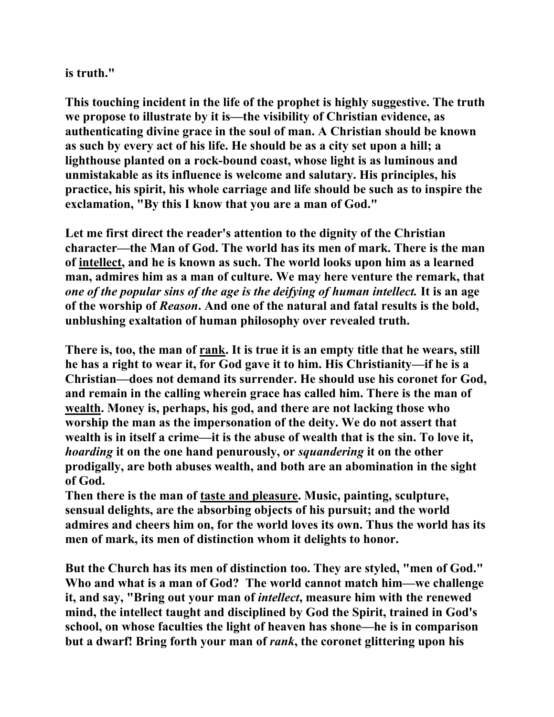**is truth."** 

**This touching incident in the life of the prophet is highly suggestive. The truth we propose to illustrate by it is—the visibility of Christian evidence, as authenticating divine grace in the soul of man. A Christian should be known as such by every act of his life. He should be as a city set upon a hill; a lighthouse planted on a rock-bound coast, whose light is as luminous and unmistakable as its influence is welcome and salutary. His principles, his practice, his spirit, his whole carriage and life should be such as to inspire the exclamation, "By this I know that you are a man of God."** 

**Let me first direct the reader's attention to the dignity of the Christian character—the Man of God. The world has its men of mark. There is the man of intellect, and he is known as such. The world looks upon him as a learned man, admires him as a man of culture. We may here venture the remark, that**  *one of the popular sins of the age is the deifying of human intellect.* **It is an age of the worship of** *Reason***. And one of the natural and fatal results is the bold, unblushing exaltation of human philosophy over revealed truth.** 

**There is, too, the man of rank. It is true it is an empty title that he wears, still he has a right to wear it, for God gave it to him. His Christianity—if he is a Christian—does not demand its surrender. He should use his coronet for God, and remain in the calling wherein grace has called him. There is the man of wealth. Money is, perhaps, his god, and there are not lacking those who worship the man as the impersonation of the deity. We do not assert that wealth is in itself a crime—it is the abuse of wealth that is the sin. To love it,**  *hoarding* **it on the one hand penurously, or** *squandering* **it on the other prodigally, are both abuses wealth, and both are an abomination in the sight of God.** 

**Then there is the man of taste and pleasure. Music, painting, sculpture, sensual delights, are the absorbing objects of his pursuit; and the world admires and cheers him on, for the world loves its own. Thus the world has its men of mark, its men of distinction whom it delights to honor.** 

**But the Church has its men of distinction too. They are styled, "men of God." Who and what is a man of God? The world cannot match him—we challenge it, and say, "Bring out your man of** *intellect***, measure him with the renewed mind, the intellect taught and disciplined by God the Spirit, trained in God's school, on whose faculties the light of heaven has shone—he is in comparison but a dwarf! Bring forth your man of** *rank***, the coronet glittering upon his**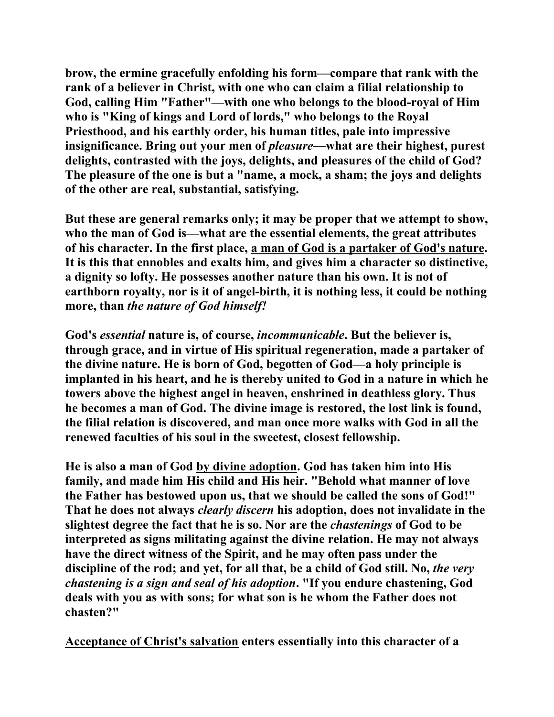**brow, the ermine gracefully enfolding his form—compare that rank with the rank of a believer in Christ, with one who can claim a filial relationship to God, calling Him "Father"—with one who belongs to the blood-royal of Him who is "King of kings and Lord of lords," who belongs to the Royal Priesthood, and his earthly order, his human titles, pale into impressive insignificance. Bring out your men of** *pleasure***—what are their highest, purest delights, contrasted with the joys, delights, and pleasures of the child of God? The pleasure of the one is but a "name, a mock, a sham; the joys and delights of the other are real, substantial, satisfying.** 

**But these are general remarks only; it may be proper that we attempt to show, who the man of God is—what are the essential elements, the great attributes of his character. In the first place, a man of God is a partaker of God's nature. It is this that ennobles and exalts him, and gives him a character so distinctive, a dignity so lofty. He possesses another nature than his own. It is not of earthborn royalty, nor is it of angel-birth, it is nothing less, it could be nothing more, than** *the nature of God himself!*

**God's** *essential* **nature is, of course,** *incommunicable***. But the believer is, through grace, and in virtue of His spiritual regeneration, made a partaker of the divine nature. He is born of God, begotten of God—a holy principle is implanted in his heart, and he is thereby united to God in a nature in which he towers above the highest angel in heaven, enshrined in deathless glory. Thus he becomes a man of God. The divine image is restored, the lost link is found, the filial relation is discovered, and man once more walks with God in all the renewed faculties of his soul in the sweetest, closest fellowship.** 

**He is also a man of God by divine adoption. God has taken him into His family, and made him His child and His heir. "Behold what manner of love the Father has bestowed upon us, that we should be called the sons of God!" That he does not always** *clearly discern* **his adoption, does not invalidate in the slightest degree the fact that he is so. Nor are the** *chastenings* **of God to be interpreted as signs militating against the divine relation. He may not always have the direct witness of the Spirit, and he may often pass under the discipline of the rod; and yet, for all that, be a child of God still. No,** *the very chastening is a sign and seal of his adoption***. "If you endure chastening, God deals with you as with sons; for what son is he whom the Father does not chasten?"** 

**Acceptance of Christ's salvation enters essentially into this character of a**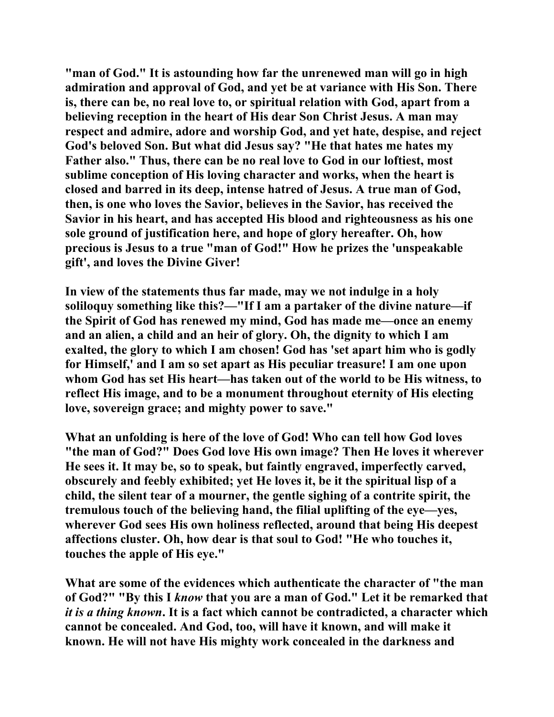**"man of God." It is astounding how far the unrenewed man will go in high admiration and approval of God, and yet be at variance with His Son. There is, there can be, no real love to, or spiritual relation with God, apart from a believing reception in the heart of His dear Son Christ Jesus. A man may respect and admire, adore and worship God, and yet hate, despise, and reject God's beloved Son. But what did Jesus say? "He that hates me hates my Father also." Thus, there can be no real love to God in our loftiest, most sublime conception of His loving character and works, when the heart is closed and barred in its deep, intense hatred of Jesus. A true man of God, then, is one who loves the Savior, believes in the Savior, has received the Savior in his heart, and has accepted His blood and righteousness as his one sole ground of justification here, and hope of glory hereafter. Oh, how precious is Jesus to a true "man of God!" How he prizes the 'unspeakable gift', and loves the Divine Giver!** 

**In view of the statements thus far made, may we not indulge in a holy soliloquy something like this?—"If I am a partaker of the divine nature—if the Spirit of God has renewed my mind, God has made me—once an enemy and an alien, a child and an heir of glory. Oh, the dignity to which I am exalted, the glory to which I am chosen! God has 'set apart him who is godly for Himself,' and I am so set apart as His peculiar treasure! I am one upon whom God has set His heart—has taken out of the world to be His witness, to reflect His image, and to be a monument throughout eternity of His electing love, sovereign grace; and mighty power to save."** 

**What an unfolding is here of the love of God! Who can tell how God loves "the man of God?" Does God love His own image? Then He loves it wherever He sees it. It may be, so to speak, but faintly engraved, imperfectly carved, obscurely and feebly exhibited; yet He loves it, be it the spiritual lisp of a child, the silent tear of a mourner, the gentle sighing of a contrite spirit, the tremulous touch of the believing hand, the filial uplifting of the eye—yes, wherever God sees His own holiness reflected, around that being His deepest affections cluster. Oh, how dear is that soul to God! "He who touches it, touches the apple of His eye."** 

**What are some of the evidences which authenticate the character of "the man of God?" "By this I** *know* **that you are a man of God." Let it be remarked that**  *it is a thing known***. It is a fact which cannot be contradicted, a character which cannot be concealed. And God, too, will have it known, and will make it known. He will not have His mighty work concealed in the darkness and**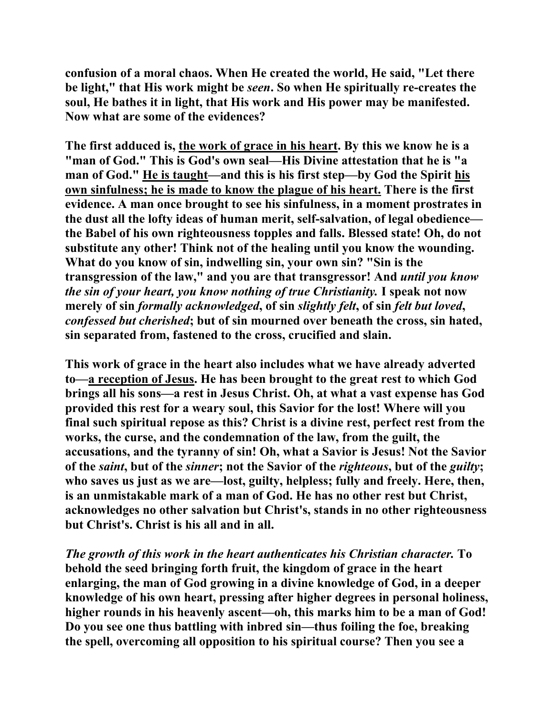**confusion of a moral chaos. When He created the world, He said, "Let there be light," that His work might be** *seen***. So when He spiritually re-creates the soul, He bathes it in light, that His work and His power may be manifested. Now what are some of the evidences?** 

**The first adduced is, the work of grace in his heart. By this we know he is a "man of God." This is God's own seal—His Divine attestation that he is "a man of God." He is taught—and this is his first step—by God the Spirit his own sinfulness; he is made to know the plague of his heart. There is the first evidence. A man once brought to see his sinfulness, in a moment prostrates in the dust all the lofty ideas of human merit, self-salvation, of legal obedience the Babel of his own righteousness topples and falls. Blessed state! Oh, do not substitute any other! Think not of the healing until you know the wounding. What do you know of sin, indwelling sin, your own sin? "Sin is the transgression of the law," and you are that transgressor! And** *until you know the sin of your heart, you know nothing of true Christianity.* **I speak not now merely of sin** *formally acknowledged***, of sin** *slightly felt***, of sin** *felt but loved***,**  *confessed but cherished***; but of sin mourned over beneath the cross, sin hated, sin separated from, fastened to the cross, crucified and slain.** 

**This work of grace in the heart also includes what we have already adverted to—a reception of Jesus. He has been brought to the great rest to which God brings all his sons—a rest in Jesus Christ. Oh, at what a vast expense has God provided this rest for a weary soul, this Savior for the lost! Where will you final such spiritual repose as this? Christ is a divine rest, perfect rest from the works, the curse, and the condemnation of the law, from the guilt, the accusations, and the tyranny of sin! Oh, what a Savior is Jesus! Not the Savior of the** *saint***, but of the** *sinner***; not the Savior of the** *righteous***, but of the** *guilty***; who saves us just as we are—lost, guilty, helpless; fully and freely. Here, then, is an unmistakable mark of a man of God. He has no other rest but Christ, acknowledges no other salvation but Christ's, stands in no other righteousness but Christ's. Christ is his all and in all.** 

*The growth of this work in the heart authenticates his Christian character.* **To behold the seed bringing forth fruit, the kingdom of grace in the heart enlarging, the man of God growing in a divine knowledge of God, in a deeper knowledge of his own heart, pressing after higher degrees in personal holiness, higher rounds in his heavenly ascent—oh, this marks him to be a man of God! Do you see one thus battling with inbred sin—thus foiling the foe, breaking the spell, overcoming all opposition to his spiritual course? Then you see a**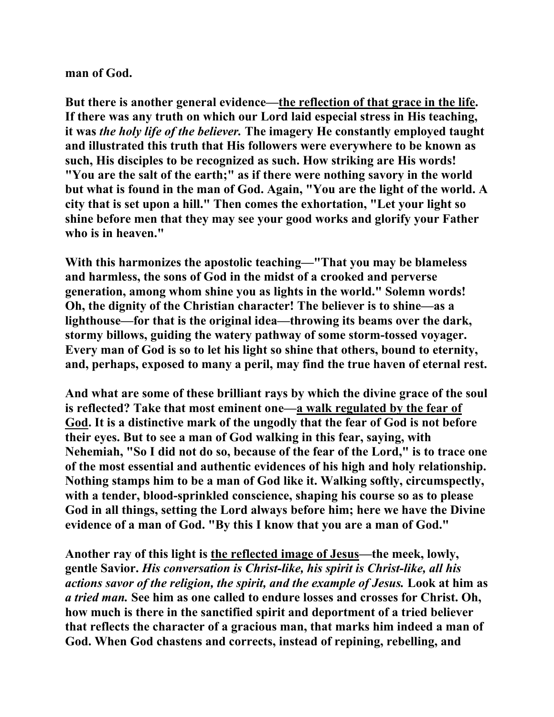**man of God.** 

**But there is another general evidence—the reflection of that grace in the life. If there was any truth on which our Lord laid especial stress in His teaching, it was** *the holy life of the believer.* **The imagery He constantly employed taught and illustrated this truth that His followers were everywhere to be known as such, His disciples to be recognized as such. How striking are His words! "You are the salt of the earth;" as if there were nothing savory in the world but what is found in the man of God. Again, "You are the light of the world. A city that is set upon a hill." Then comes the exhortation, "Let your light so shine before men that they may see your good works and glorify your Father who is in heaven."** 

**With this harmonizes the apostolic teaching—"That you may be blameless and harmless, the sons of God in the midst of a crooked and perverse generation, among whom shine you as lights in the world." Solemn words! Oh, the dignity of the Christian character! The believer is to shine—as a lighthouse—for that is the original idea—throwing its beams over the dark, stormy billows, guiding the watery pathway of some storm-tossed voyager. Every man of God is so to let his light so shine that others, bound to eternity, and, perhaps, exposed to many a peril, may find the true haven of eternal rest.** 

**And what are some of these brilliant rays by which the divine grace of the soul is reflected? Take that most eminent one—a walk regulated by the fear of God. It is a distinctive mark of the ungodly that the fear of God is not before their eyes. But to see a man of God walking in this fear, saying, with Nehemiah, "So I did not do so, because of the fear of the Lord," is to trace one of the most essential and authentic evidences of his high and holy relationship. Nothing stamps him to be a man of God like it. Walking softly, circumspectly, with a tender, blood-sprinkled conscience, shaping his course so as to please God in all things, setting the Lord always before him; here we have the Divine evidence of a man of God. "By this I know that you are a man of God."** 

**Another ray of this light is the reflected image of Jesus—the meek, lowly, gentle Savior.** *His conversation is Christ-like, his spirit is Christ-like, all his actions savor of the religion, the spirit, and the example of Jesus.* **Look at him as**  *a tried man.* **See him as one called to endure losses and crosses for Christ. Oh, how much is there in the sanctified spirit and deportment of a tried believer that reflects the character of a gracious man, that marks him indeed a man of God. When God chastens and corrects, instead of repining, rebelling, and**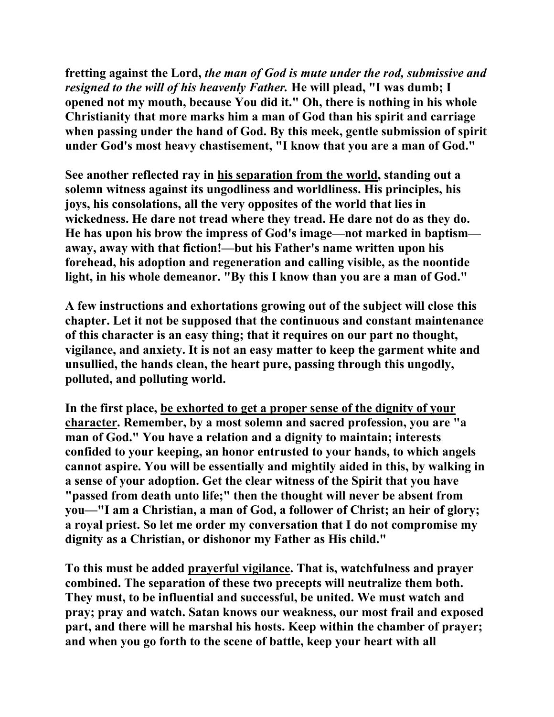**fretting against the Lord,** *the man of God is mute under the rod, submissive and resigned to the will of his heavenly Father.* **He will plead, "I was dumb; I opened not my mouth, because You did it." Oh, there is nothing in his whole Christianity that more marks him a man of God than his spirit and carriage when passing under the hand of God. By this meek, gentle submission of spirit under God's most heavy chastisement, "I know that you are a man of God."** 

**See another reflected ray in his separation from the world, standing out a solemn witness against its ungodliness and worldliness. His principles, his joys, his consolations, all the very opposites of the world that lies in wickedness. He dare not tread where they tread. He dare not do as they do. He has upon his brow the impress of God's image—not marked in baptism away, away with that fiction!—but his Father's name written upon his forehead, his adoption and regeneration and calling visible, as the noontide light, in his whole demeanor. "By this I know than you are a man of God."** 

**A few instructions and exhortations growing out of the subject will close this chapter. Let it not be supposed that the continuous and constant maintenance of this character is an easy thing; that it requires on our part no thought, vigilance, and anxiety. It is not an easy matter to keep the garment white and unsullied, the hands clean, the heart pure, passing through this ungodly, polluted, and polluting world.** 

**In the first place, be exhorted to get a proper sense of the dignity of your character. Remember, by a most solemn and sacred profession, you are "a man of God." You have a relation and a dignity to maintain; interests confided to your keeping, an honor entrusted to your hands, to which angels cannot aspire. You will be essentially and mightily aided in this, by walking in a sense of your adoption. Get the clear witness of the Spirit that you have "passed from death unto life;" then the thought will never be absent from you—"I am a Christian, a man of God, a follower of Christ; an heir of glory; a royal priest. So let me order my conversation that I do not compromise my dignity as a Christian, or dishonor my Father as His child."** 

**To this must be added prayerful vigilance. That is, watchfulness and prayer combined. The separation of these two precepts will neutralize them both. They must, to be influential and successful, be united. We must watch and pray; pray and watch. Satan knows our weakness, our most frail and exposed part, and there will he marshal his hosts. Keep within the chamber of prayer; and when you go forth to the scene of battle, keep your heart with all**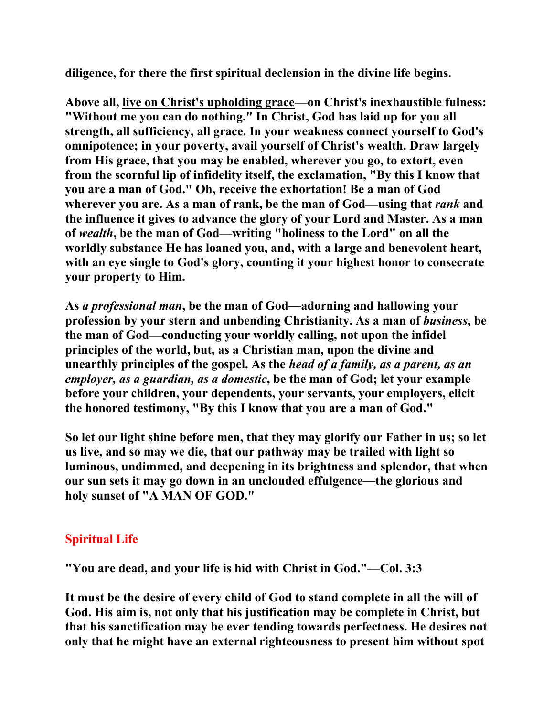**diligence, for there the first spiritual declension in the divine life begins.** 

**Above all, live on Christ's upholding grace—on Christ's inexhaustible fulness: "Without me you can do nothing." In Christ, God has laid up for you all strength, all sufficiency, all grace. In your weakness connect yourself to God's omnipotence; in your poverty, avail yourself of Christ's wealth. Draw largely from His grace, that you may be enabled, wherever you go, to extort, even from the scornful lip of infidelity itself, the exclamation, "By this I know that you are a man of God." Oh, receive the exhortation! Be a man of God wherever you are. As a man of rank, be the man of God—using that** *rank* **and the influence it gives to advance the glory of your Lord and Master. As a man of** *wealth***, be the man of God—writing "holiness to the Lord" on all the worldly substance He has loaned you, and, with a large and benevolent heart, with an eye single to God's glory, counting it your highest honor to consecrate your property to Him.** 

**As** *a professional man***, be the man of God—adorning and hallowing your profession by your stern and unbending Christianity. As a man of** *business***, be the man of God—conducting your worldly calling, not upon the infidel principles of the world, but, as a Christian man, upon the divine and unearthly principles of the gospel. As the** *head of a family, as a parent, as an employer, as a guardian, as a domestic***, be the man of God; let your example before your children, your dependents, your servants, your employers, elicit the honored testimony, "By this I know that you are a man of God."** 

**So let our light shine before men, that they may glorify our Father in us; so let us live, and so may we die, that our pathway may be trailed with light so luminous, undimmed, and deepening in its brightness and splendor, that when our sun sets it may go down in an unclouded effulgence—the glorious and holy sunset of "A MAN OF GOD."** 

# **Spiritual Life**

**"You are dead, and your life is hid with Christ in God."—Col. 3:3** 

**It must be the desire of every child of God to stand complete in all the will of God. His aim is, not only that his justification may be complete in Christ, but that his sanctification may be ever tending towards perfectness. He desires not only that he might have an external righteousness to present him without spot**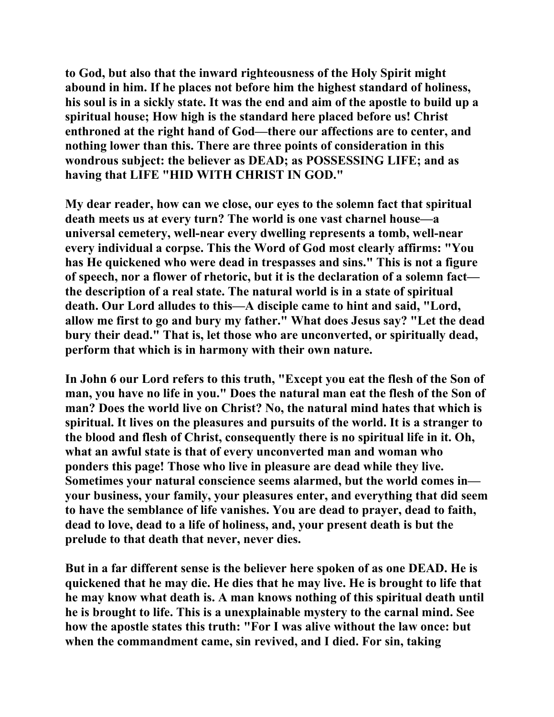**to God, but also that the inward righteousness of the Holy Spirit might abound in him. If he places not before him the highest standard of holiness, his soul is in a sickly state. It was the end and aim of the apostle to build up a spiritual house; How high is the standard here placed before us! Christ enthroned at the right hand of God—there our affections are to center, and nothing lower than this. There are three points of consideration in this wondrous subject: the believer as DEAD; as POSSESSING LIFE; and as having that LIFE "HID WITH CHRIST IN GOD."** 

**My dear reader, how can we close, our eyes to the solemn fact that spiritual death meets us at every turn? The world is one vast charnel house—a universal cemetery, well-near every dwelling represents a tomb, well-near every individual a corpse. This the Word of God most clearly affirms: "You has He quickened who were dead in trespasses and sins." This is not a figure of speech, nor a flower of rhetoric, but it is the declaration of a solemn fact the description of a real state. The natural world is in a state of spiritual death. Our Lord alludes to this—A disciple came to hint and said, "Lord, allow me first to go and bury my father." What does Jesus say? "Let the dead bury their dead." That is, let those who are unconverted, or spiritually dead, perform that which is in harmony with their own nature.** 

**In John 6 our Lord refers to this truth, "Except you eat the flesh of the Son of man, you have no life in you." Does the natural man eat the flesh of the Son of man? Does the world live on Christ? No, the natural mind hates that which is spiritual. It lives on the pleasures and pursuits of the world. It is a stranger to the blood and flesh of Christ, consequently there is no spiritual life in it. Oh, what an awful state is that of every unconverted man and woman who ponders this page! Those who live in pleasure are dead while they live. Sometimes your natural conscience seems alarmed, but the world comes in your business, your family, your pleasures enter, and everything that did seem to have the semblance of life vanishes. You are dead to prayer, dead to faith, dead to love, dead to a life of holiness, and, your present death is but the prelude to that death that never, never dies.** 

**But in a far different sense is the believer here spoken of as one DEAD. He is quickened that he may die. He dies that he may live. He is brought to life that he may know what death is. A man knows nothing of this spiritual death until he is brought to life. This is a unexplainable mystery to the carnal mind. See how the apostle states this truth: "For I was alive without the law once: but when the commandment came, sin revived, and I died. For sin, taking**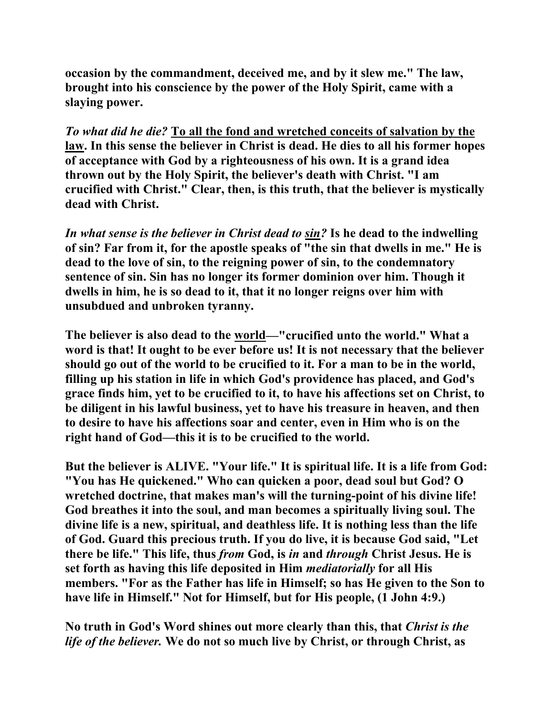**occasion by the commandment, deceived me, and by it slew me." The law, brought into his conscience by the power of the Holy Spirit, came with a slaying power.** 

*To what did he die?* **To all the fond and wretched conceits of salvation by the law. In this sense the believer in Christ is dead. He dies to all his former hopes of acceptance with God by a righteousness of his own. It is a grand idea thrown out by the Holy Spirit, the believer's death with Christ. "I am crucified with Christ." Clear, then, is this truth, that the believer is mystically dead with Christ.** 

*In what sense is the believer in Christ dead to sin?* **Is he dead to the indwelling of sin? Far from it, for the apostle speaks of "the sin that dwells in me." He is dead to the love of sin, to the reigning power of sin, to the condemnatory sentence of sin. Sin has no longer its former dominion over him. Though it dwells in him, he is so dead to it, that it no longer reigns over him with unsubdued and unbroken tyranny.** 

**The believer is also dead to the world—"crucified unto the world." What a word is that! It ought to be ever before us! It is not necessary that the believer should go out of the world to be crucified to it. For a man to be in the world, filling up his station in life in which God's providence has placed, and God's grace finds him, yet to be crucified to it, to have his affections set on Christ, to be diligent in his lawful business, yet to have his treasure in heaven, and then to desire to have his affections soar and center, even in Him who is on the right hand of God—this it is to be crucified to the world.** 

**But the believer is ALIVE. "Your life." It is spiritual life. It is a life from God: "You has He quickened." Who can quicken a poor, dead soul but God? O wretched doctrine, that makes man's will the turning-point of his divine life! God breathes it into the soul, and man becomes a spiritually living soul. The divine life is a new, spiritual, and deathless life. It is nothing less than the life of God. Guard this precious truth. If you do live, it is because God said, "Let there be life." This life, thus** *from* **God, is** *in* **and** *through* **Christ Jesus. He is set forth as having this life deposited in Him** *mediatorially* **for all His members. "For as the Father has life in Himself; so has He given to the Son to have life in Himself." Not for Himself, but for His people, (1 John 4:9.)** 

**No truth in God's Word shines out more clearly than this, that** *Christ is the life of the believer.* **We do not so much live by Christ, or through Christ, as**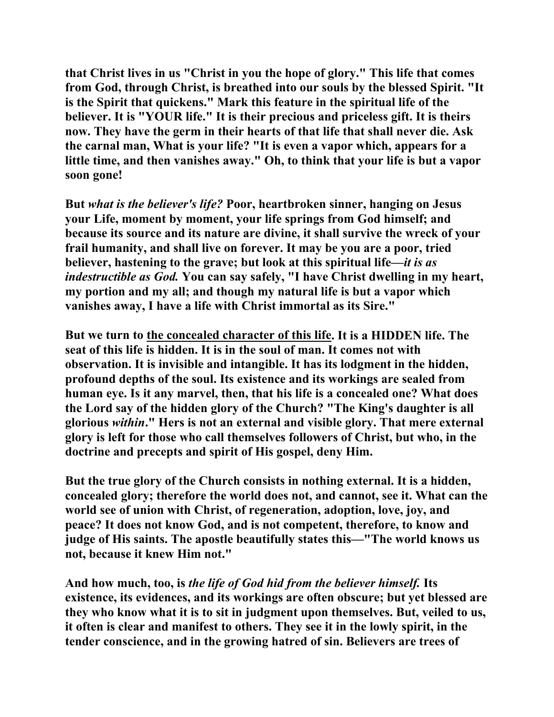**that Christ lives in us "Christ in you the hope of glory." This life that comes from God, through Christ, is breathed into our souls by the blessed Spirit. "It is the Spirit that quickens." Mark this feature in the spiritual life of the believer. It is "YOUR life." It is their precious and priceless gift. It is theirs now. They have the germ in their hearts of that life that shall never die. Ask the carnal man, What is your life? "It is even a vapor which, appears for a little time, and then vanishes away." Oh, to think that your life is but a vapor soon gone!** 

**But** *what is the believer's life?* **Poor, heartbroken sinner, hanging on Jesus your Life, moment by moment, your life springs from God himself; and because its source and its nature are divine, it shall survive the wreck of your frail humanity, and shall live on forever. It may be you are a poor, tried believer, hastening to the grave; but look at this spiritual life—***it is as indestructible as God.* **You can say safely, "I have Christ dwelling in my heart, my portion and my all; and though my natural life is but a vapor which vanishes away, I have a life with Christ immortal as its Sire."** 

**But we turn to the concealed character of this life. It is a HIDDEN life. The seat of this life is hidden. It is in the soul of man. It comes not with observation. It is invisible and intangible. It has its lodgment in the hidden, profound depths of the soul. Its existence and its workings are sealed from human eye. Is it any marvel, then, that his life is a concealed one? What does the Lord say of the hidden glory of the Church? "The King's daughter is all glorious** *within***." Hers is not an external and visible glory. That mere external glory is left for those who call themselves followers of Christ, but who, in the doctrine and precepts and spirit of His gospel, deny Him.** 

**But the true glory of the Church consists in nothing external. It is a hidden, concealed glory; therefore the world does not, and cannot, see it. What can the world see of union with Christ, of regeneration, adoption, love, joy, and peace? It does not know God, and is not competent, therefore, to know and judge of His saints. The apostle beautifully states this—"The world knows us not, because it knew Him not."** 

**And how much, too, is** *the life of God hid from the believer himself.* **Its existence, its evidences, and its workings are often obscure; but yet blessed are they who know what it is to sit in judgment upon themselves. But, veiled to us, it often is clear and manifest to others. They see it in the lowly spirit, in the tender conscience, and in the growing hatred of sin. Believers are trees of**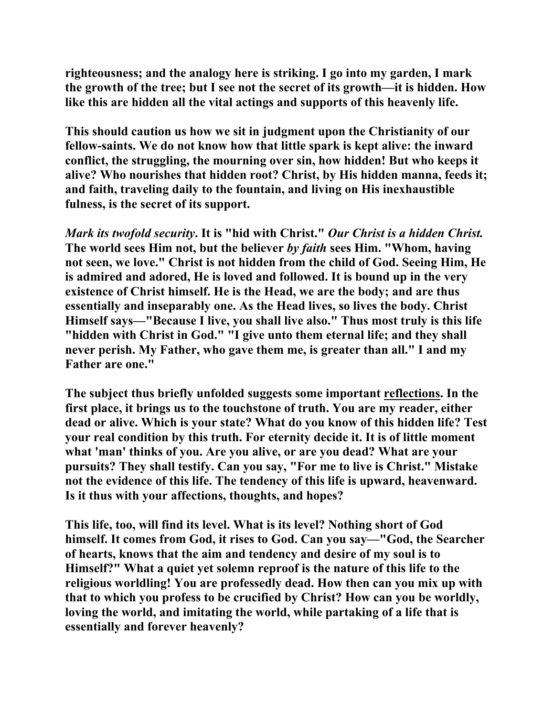**righteousness; and the analogy here is striking. I go into my garden, I mark the growth of the tree; but I see not the secret of its growth—it is hidden. How like this are hidden all the vital actings and supports of this heavenly life.** 

**This should caution us how we sit in judgment upon the Christianity of our fellow-saints. We do not know how that little spark is kept alive: the inward conflict, the struggling, the mourning over sin, how hidden! But who keeps it alive? Who nourishes that hidden root? Christ, by His hidden manna, feeds it; and faith, traveling daily to the fountain, and living on His inexhaustible fulness, is the secret of its support.** 

*Mark its twofold security***. It is "hid with Christ."** *Our Christ is a hidden Christ.*  **The world sees Him not, but the believer** *by faith* **sees Him. "Whom, having not seen, we love." Christ is not hidden from the child of God. Seeing Him, He is admired and adored, He is loved and followed. It is bound up in the very existence of Christ himself. He is the Head, we are the body; and are thus essentially and inseparably one. As the Head lives, so lives the body. Christ Himself says—"Because I live, you shall live also." Thus most truly is this life "hidden with Christ in God." "I give unto them eternal life; and they shall never perish. My Father, who gave them me, is greater than all." I and my Father are one."** 

**The subject thus briefly unfolded suggests some important reflections. In the first place, it brings us to the touchstone of truth. You are my reader, either dead or alive. Which is your state? What do you know of this hidden life? Test your real condition by this truth. For eternity decide it. It is of little moment what 'man' thinks of you. Are you alive, or are you dead? What are your pursuits? They shall testify. Can you say, "For me to live is Christ." Mistake not the evidence of this life. The tendency of this life is upward, heavenward. Is it thus with your affections, thoughts, and hopes?** 

**This life, too, will find its level. What is its level? Nothing short of God himself. It comes from God, it rises to God. Can you say—"God, the Searcher of hearts, knows that the aim and tendency and desire of my soul is to Himself?" What a quiet yet solemn reproof is the nature of this life to the religious worldling! You are professedly dead. How then can you mix up with that to which you profess to be crucified by Christ? How can you be worldly, loving the world, and imitating the world, while partaking of a life that is essentially and forever heavenly?**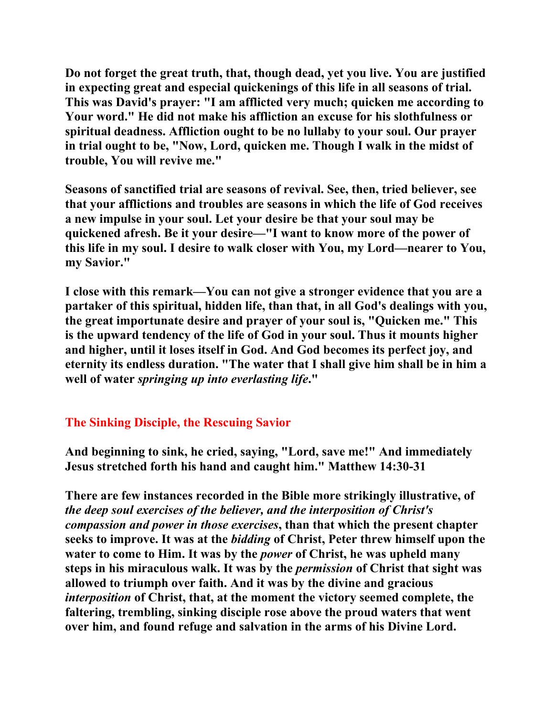**Do not forget the great truth, that, though dead, yet you live. You are justified in expecting great and especial quickenings of this life in all seasons of trial. This was David's prayer: "I am afflicted very much; quicken me according to Your word." He did not make his affliction an excuse for his slothfulness or spiritual deadness. Affliction ought to be no lullaby to your soul. Our prayer in trial ought to be, "Now, Lord, quicken me. Though I walk in the midst of trouble, You will revive me."** 

**Seasons of sanctified trial are seasons of revival. See, then, tried believer, see that your afflictions and troubles are seasons in which the life of God receives a new impulse in your soul. Let your desire be that your soul may be quickened afresh. Be it your desire—"I want to know more of the power of this life in my soul. I desire to walk closer with You, my Lord—nearer to You, my Savior."** 

**I close with this remark—You can not give a stronger evidence that you are a partaker of this spiritual, hidden life, than that, in all God's dealings with you, the great importunate desire and prayer of your soul is, "Quicken me." This is the upward tendency of the life of God in your soul. Thus it mounts higher and higher, until it loses itself in God. And God becomes its perfect joy, and eternity its endless duration. "The water that I shall give him shall be in him a well of water** *springing up into everlasting life***."** 

# **The Sinking Disciple, the Rescuing Savior**

**And beginning to sink, he cried, saying, "Lord, save me!" And immediately Jesus stretched forth his hand and caught him." Matthew 14:30-31** 

**There are few instances recorded in the Bible more strikingly illustrative, of**  *the deep soul exercises of the believer, and the interposition of Christ's compassion and power in those exercises***, than that which the present chapter seeks to improve. It was at the** *bidding* **of Christ, Peter threw himself upon the water to come to Him. It was by the** *power* **of Christ, he was upheld many steps in his miraculous walk. It was by the** *permission* **of Christ that sight was allowed to triumph over faith. And it was by the divine and gracious**  *interposition* **of Christ, that, at the moment the victory seemed complete, the faltering, trembling, sinking disciple rose above the proud waters that went over him, and found refuge and salvation in the arms of his Divine Lord.**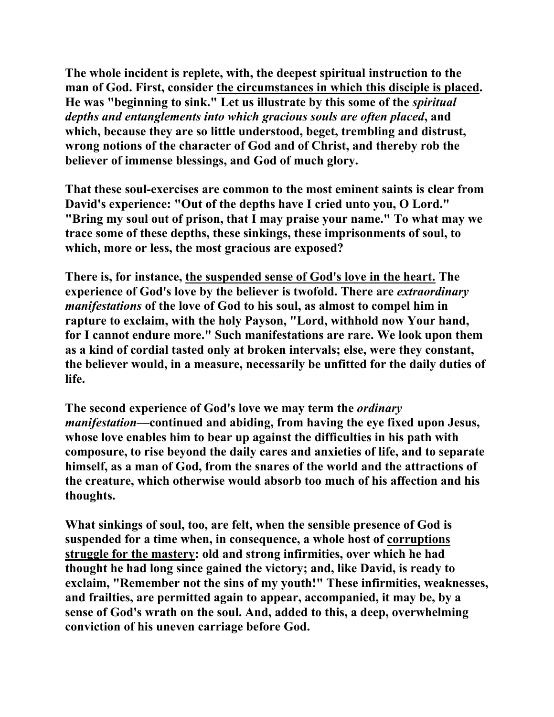**The whole incident is replete, with, the deepest spiritual instruction to the man of God. First, consider the circumstances in which this disciple is placed. He was "beginning to sink." Let us illustrate by this some of the** *spiritual depths and entanglements into which gracious souls are often placed***, and which, because they are so little understood, beget, trembling and distrust, wrong notions of the character of God and of Christ, and thereby rob the believer of immense blessings, and God of much glory.** 

**That these soul-exercises are common to the most eminent saints is clear from David's experience: "Out of the depths have I cried unto you, O Lord." "Bring my soul out of prison, that I may praise your name." To what may we trace some of these depths, these sinkings, these imprisonments of soul, to which, more or less, the most gracious are exposed?** 

**There is, for instance, the suspended sense of God's love in the heart. The experience of God's love by the believer is twofold. There are** *extraordinary manifestations* **of the love of God to his soul, as almost to compel him in rapture to exclaim, with the holy Payson, "Lord, withhold now Your hand, for I cannot endure more." Such manifestations are rare. We look upon them as a kind of cordial tasted only at broken intervals; else, were they constant, the believer would, in a measure, necessarily be unfitted for the daily duties of life.** 

**The second experience of God's love we may term the** *ordinary manifestation***—continued and abiding, from having the eye fixed upon Jesus, whose love enables him to bear up against the difficulties in his path with composure, to rise beyond the daily cares and anxieties of life, and to separate himself, as a man of God, from the snares of the world and the attractions of the creature, which otherwise would absorb too much of his affection and his thoughts.** 

**What sinkings of soul, too, are felt, when the sensible presence of God is suspended for a time when, in consequence, a whole host of corruptions struggle for the mastery: old and strong infirmities, over which he had thought he had long since gained the victory; and, like David, is ready to exclaim, "Remember not the sins of my youth!" These infirmities, weaknesses, and frailties, are permitted again to appear, accompanied, it may be, by a sense of God's wrath on the soul. And, added to this, a deep, overwhelming conviction of his uneven carriage before God.**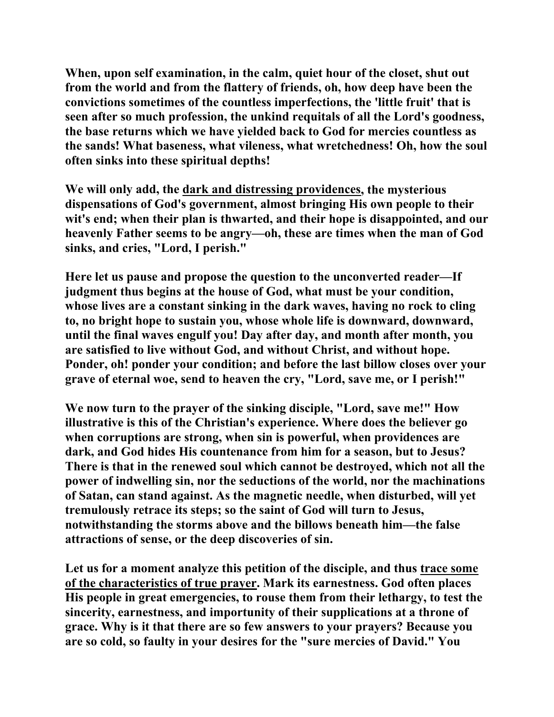**When, upon self examination, in the calm, quiet hour of the closet, shut out from the world and from the flattery of friends, oh, how deep have been the convictions sometimes of the countless imperfections, the 'little fruit' that is seen after so much profession, the unkind requitals of all the Lord's goodness, the base returns which we have yielded back to God for mercies countless as the sands! What baseness, what vileness, what wretchedness! Oh, how the soul often sinks into these spiritual depths!** 

**We will only add, the dark and distressing providences, the mysterious dispensations of God's government, almost bringing His own people to their wit's end; when their plan is thwarted, and their hope is disappointed, and our heavenly Father seems to be angry—oh, these are times when the man of God sinks, and cries, "Lord, I perish."** 

**Here let us pause and propose the question to the unconverted reader—If judgment thus begins at the house of God, what must be your condition, whose lives are a constant sinking in the dark waves, having no rock to cling to, no bright hope to sustain you, whose whole life is downward, downward, until the final waves engulf you! Day after day, and month after month, you are satisfied to live without God, and without Christ, and without hope. Ponder, oh! ponder your condition; and before the last billow closes over your grave of eternal woe, send to heaven the cry, "Lord, save me, or I perish!"** 

**We now turn to the prayer of the sinking disciple, "Lord, save me!" How illustrative is this of the Christian's experience. Where does the believer go when corruptions are strong, when sin is powerful, when providences are dark, and God hides His countenance from him for a season, but to Jesus? There is that in the renewed soul which cannot be destroyed, which not all the power of indwelling sin, nor the seductions of the world, nor the machinations of Satan, can stand against. As the magnetic needle, when disturbed, will yet tremulously retrace its steps; so the saint of God will turn to Jesus, notwithstanding the storms above and the billows beneath him—the false attractions of sense, or the deep discoveries of sin.** 

**Let us for a moment analyze this petition of the disciple, and thus trace some of the characteristics of true prayer. Mark its earnestness. God often places His people in great emergencies, to rouse them from their lethargy, to test the sincerity, earnestness, and importunity of their supplications at a throne of grace. Why is it that there are so few answers to your prayers? Because you are so cold, so faulty in your desires for the "sure mercies of David." You**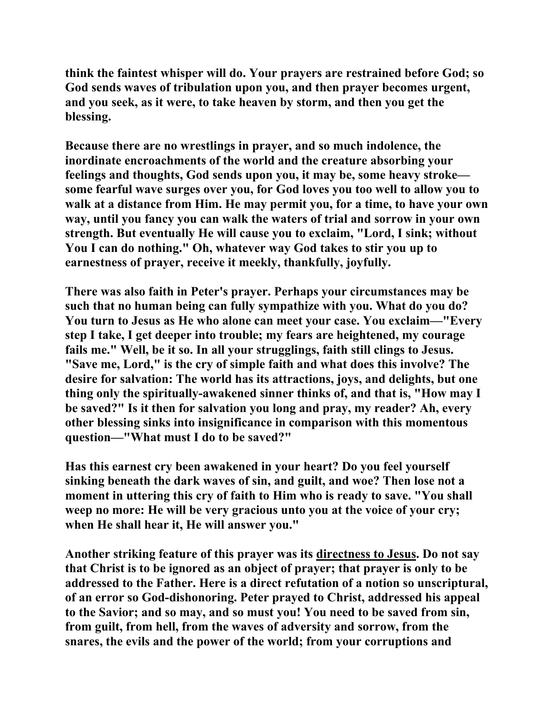**think the faintest whisper will do. Your prayers are restrained before God; so God sends waves of tribulation upon you, and then prayer becomes urgent, and you seek, as it were, to take heaven by storm, and then you get the blessing.** 

**Because there are no wrestlings in prayer, and so much indolence, the inordinate encroachments of the world and the creature absorbing your feelings and thoughts, God sends upon you, it may be, some heavy stroke some fearful wave surges over you, for God loves you too well to allow you to walk at a distance from Him. He may permit you, for a time, to have your own way, until you fancy you can walk the waters of trial and sorrow in your own strength. But eventually He will cause you to exclaim, "Lord, I sink; without You I can do nothing." Oh, whatever way God takes to stir you up to earnestness of prayer, receive it meekly, thankfully, joyfully.** 

**There was also faith in Peter's prayer. Perhaps your circumstances may be such that no human being can fully sympathize with you. What do you do? You turn to Jesus as He who alone can meet your case. You exclaim—"Every step I take, I get deeper into trouble; my fears are heightened, my courage fails me." Well, be it so. In all your strugglings, faith still clings to Jesus. "Save me, Lord," is the cry of simple faith and what does this involve? The desire for salvation: The world has its attractions, joys, and delights, but one thing only the spiritually-awakened sinner thinks of, and that is, "How may I be saved?" Is it then for salvation you long and pray, my reader? Ah, every other blessing sinks into insignificance in comparison with this momentous question—"What must I do to be saved?"** 

**Has this earnest cry been awakened in your heart? Do you feel yourself sinking beneath the dark waves of sin, and guilt, and woe? Then lose not a moment in uttering this cry of faith to Him who is ready to save. "You shall weep no more: He will be very gracious unto you at the voice of your cry; when He shall hear it, He will answer you."** 

**Another striking feature of this prayer was its directness to Jesus. Do not say that Christ is to be ignored as an object of prayer; that prayer is only to be addressed to the Father. Here is a direct refutation of a notion so unscriptural, of an error so God-dishonoring. Peter prayed to Christ, addressed his appeal to the Savior; and so may, and so must you! You need to be saved from sin, from guilt, from hell, from the waves of adversity and sorrow, from the snares, the evils and the power of the world; from your corruptions and**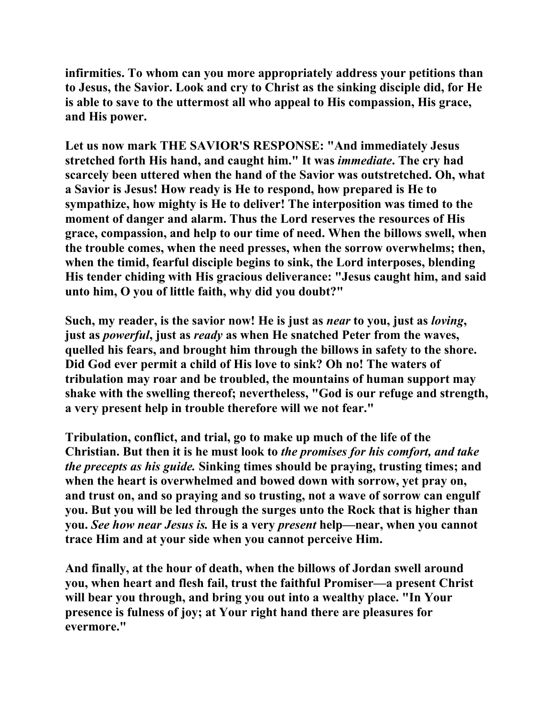**infirmities. To whom can you more appropriately address your petitions than to Jesus, the Savior. Look and cry to Christ as the sinking disciple did, for He is able to save to the uttermost all who appeal to His compassion, His grace, and His power.** 

**Let us now mark THE SAVIOR'S RESPONSE: "And immediately Jesus stretched forth His hand, and caught him." It was** *immediate***. The cry had scarcely been uttered when the hand of the Savior was outstretched. Oh, what a Savior is Jesus! How ready is He to respond, how prepared is He to sympathize, how mighty is He to deliver! The interposition was timed to the moment of danger and alarm. Thus the Lord reserves the resources of His grace, compassion, and help to our time of need. When the billows swell, when the trouble comes, when the need presses, when the sorrow overwhelms; then, when the timid, fearful disciple begins to sink, the Lord interposes, blending His tender chiding with His gracious deliverance: "Jesus caught him, and said unto him, O you of little faith, why did you doubt?"** 

**Such, my reader, is the savior now! He is just as** *near* **to you, just as** *loving***, just as** *powerful***, just as** *ready* **as when He snatched Peter from the waves, quelled his fears, and brought him through the billows in safety to the shore. Did God ever permit a child of His love to sink? Oh no! The waters of tribulation may roar and be troubled, the mountains of human support may shake with the swelling thereof; nevertheless, "God is our refuge and strength, a very present help in trouble therefore will we not fear."** 

**Tribulation, conflict, and trial, go to make up much of the life of the Christian. But then it is he must look to** *the promises for his comfort, and take the precepts as his guide.* **Sinking times should be praying, trusting times; and when the heart is overwhelmed and bowed down with sorrow, yet pray on, and trust on, and so praying and so trusting, not a wave of sorrow can engulf you. But you will be led through the surges unto the Rock that is higher than you.** *See how near Jesus is.* **He is a very** *present* **help—near, when you cannot trace Him and at your side when you cannot perceive Him.** 

**And finally, at the hour of death, when the billows of Jordan swell around you, when heart and flesh fail, trust the faithful Promiser—a present Christ will bear you through, and bring you out into a wealthy place. "In Your presence is fulness of joy; at Your right hand there are pleasures for evermore."**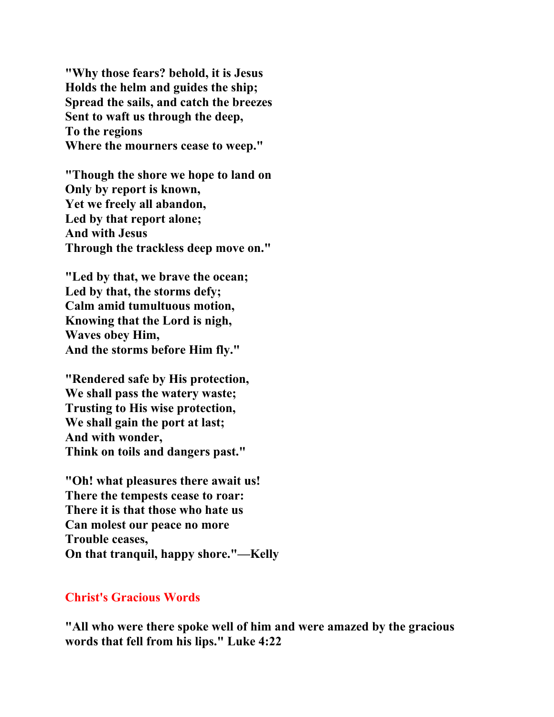**"Why those fears? behold, it is Jesus Holds the helm and guides the ship; Spread the sails, and catch the breezes Sent to waft us through the deep, To the regions Where the mourners cease to weep."** 

**"Though the shore we hope to land on Only by report is known, Yet we freely all abandon, Led by that report alone; And with Jesus Through the trackless deep move on."** 

**"Led by that, we brave the ocean; Led by that, the storms defy; Calm amid tumultuous motion, Knowing that the Lord is nigh, Waves obey Him, And the storms before Him fly."** 

**"Rendered safe by His protection, We shall pass the watery waste; Trusting to His wise protection, We shall gain the port at last; And with wonder, Think on toils and dangers past."** 

**"Oh! what pleasures there await us! There the tempests cease to roar: There it is that those who hate us Can molest our peace no more Trouble ceases, On that tranquil, happy shore."—Kelly** 

#### **Christ's Gracious Words**

**"All who were there spoke well of him and were amazed by the gracious words that fell from his lips." Luke 4:22**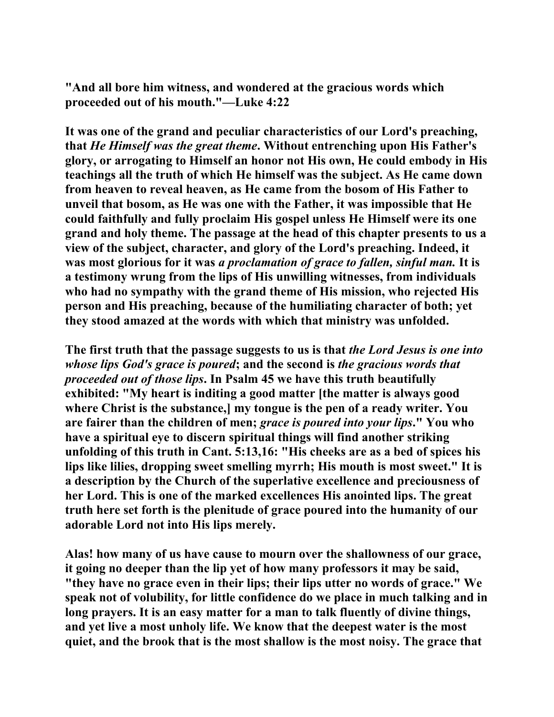**"And all bore him witness, and wondered at the gracious words which proceeded out of his mouth."—Luke 4:22** 

**It was one of the grand and peculiar characteristics of our Lord's preaching, that** *He Himself was the great theme***. Without entrenching upon His Father's glory, or arrogating to Himself an honor not His own, He could embody in His teachings all the truth of which He himself was the subject. As He came down from heaven to reveal heaven, as He came from the bosom of His Father to unveil that bosom, as He was one with the Father, it was impossible that He could faithfully and fully proclaim His gospel unless He Himself were its one grand and holy theme. The passage at the head of this chapter presents to us a view of the subject, character, and glory of the Lord's preaching. Indeed, it was most glorious for it was** *a proclamation of grace to fallen, sinful man.* **It is a testimony wrung from the lips of His unwilling witnesses, from individuals who had no sympathy with the grand theme of His mission, who rejected His person and His preaching, because of the humiliating character of both; yet they stood amazed at the words with which that ministry was unfolded.** 

**The first truth that the passage suggests to us is that** *the Lord Jesus is one into whose lips God's grace is poured***; and the second is** *the gracious words that proceeded out of those lips***. In Psalm 45 we have this truth beautifully exhibited: "My heart is inditing a good matter [the matter is always good where Christ is the substance,] my tongue is the pen of a ready writer. You are fairer than the children of men;** *grace is poured into your lips***." You who have a spiritual eye to discern spiritual things will find another striking unfolding of this truth in Cant. 5:13,16: "His cheeks are as a bed of spices his lips like lilies, dropping sweet smelling myrrh; His mouth is most sweet." It is a description by the Church of the superlative excellence and preciousness of her Lord. This is one of the marked excellences His anointed lips. The great truth here set forth is the plenitude of grace poured into the humanity of our adorable Lord not into His lips merely.** 

**Alas! how many of us have cause to mourn over the shallowness of our grace, it going no deeper than the lip yet of how many professors it may be said, "they have no grace even in their lips; their lips utter no words of grace." We speak not of volubility, for little confidence do we place in much talking and in long prayers. It is an easy matter for a man to talk fluently of divine things, and yet live a most unholy life. We know that the deepest water is the most quiet, and the brook that is the most shallow is the most noisy. The grace that**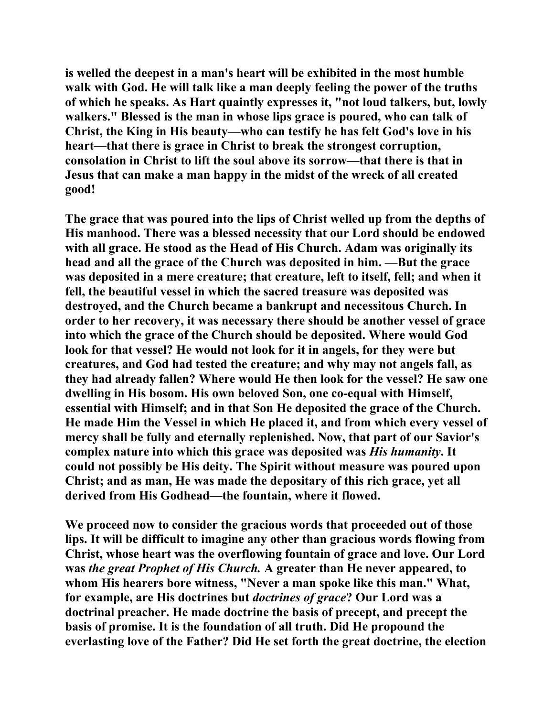**is welled the deepest in a man's heart will be exhibited in the most humble walk with God. He will talk like a man deeply feeling the power of the truths of which he speaks. As Hart quaintly expresses it, "not loud talkers, but, lowly walkers." Blessed is the man in whose lips grace is poured, who can talk of Christ, the King in His beauty—who can testify he has felt God's love in his heart—that there is grace in Christ to break the strongest corruption, consolation in Christ to lift the soul above its sorrow—that there is that in Jesus that can make a man happy in the midst of the wreck of all created good!** 

**The grace that was poured into the lips of Christ welled up from the depths of His manhood. There was a blessed necessity that our Lord should be endowed with all grace. He stood as the Head of His Church. Adam was originally its head and all the grace of the Church was deposited in him. —But the grace was deposited in a mere creature; that creature, left to itself, fell; and when it fell, the beautiful vessel in which the sacred treasure was deposited was destroyed, and the Church became a bankrupt and necessitous Church. In order to her recovery, it was necessary there should be another vessel of grace into which the grace of the Church should be deposited. Where would God look for that vessel? He would not look for it in angels, for they were but creatures, and God had tested the creature; and why may not angels fall, as they had already fallen? Where would He then look for the vessel? He saw one dwelling in His bosom. His own beloved Son, one co-equal with Himself, essential with Himself; and in that Son He deposited the grace of the Church. He made Him the Vessel in which He placed it, and from which every vessel of mercy shall be fully and eternally replenished. Now, that part of our Savior's complex nature into which this grace was deposited was** *His humanity***. It could not possibly be His deity. The Spirit without measure was poured upon Christ; and as man, He was made the depositary of this rich grace, yet all derived from His Godhead—the fountain, where it flowed.** 

**We proceed now to consider the gracious words that proceeded out of those lips. It will be difficult to imagine any other than gracious words flowing from Christ, whose heart was the overflowing fountain of grace and love. Our Lord was** *the great Prophet of His Church.* **A greater than He never appeared, to whom His hearers bore witness, "Never a man spoke like this man." What, for example, are His doctrines but** *doctrines of grace***? Our Lord was a doctrinal preacher. He made doctrine the basis of precept, and precept the basis of promise. It is the foundation of all truth. Did He propound the everlasting love of the Father? Did He set forth the great doctrine, the election**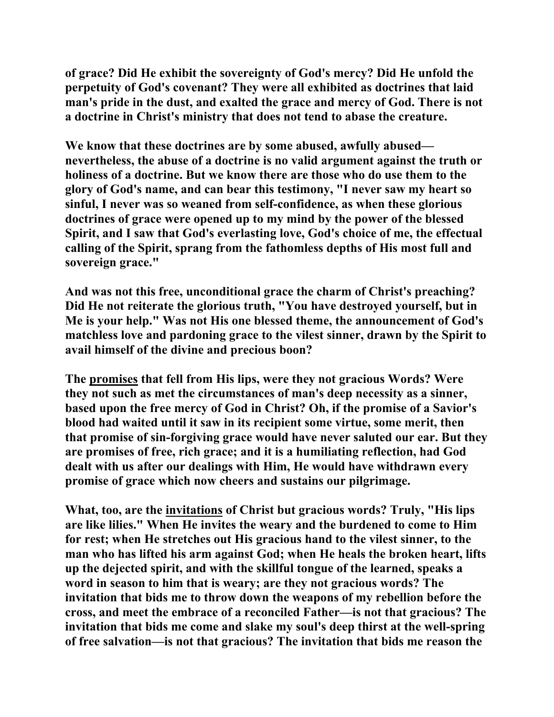**of grace? Did He exhibit the sovereignty of God's mercy? Did He unfold the perpetuity of God's covenant? They were all exhibited as doctrines that laid man's pride in the dust, and exalted the grace and mercy of God. There is not a doctrine in Christ's ministry that does not tend to abase the creature.** 

**We know that these doctrines are by some abused, awfully abused nevertheless, the abuse of a doctrine is no valid argument against the truth or holiness of a doctrine. But we know there are those who do use them to the glory of God's name, and can bear this testimony, "I never saw my heart so sinful, I never was so weaned from self-confidence, as when these glorious doctrines of grace were opened up to my mind by the power of the blessed Spirit, and I saw that God's everlasting love, God's choice of me, the effectual calling of the Spirit, sprang from the fathomless depths of His most full and sovereign grace."** 

**And was not this free, unconditional grace the charm of Christ's preaching? Did He not reiterate the glorious truth, "You have destroyed yourself, but in Me is your help." Was not His one blessed theme, the announcement of God's matchless love and pardoning grace to the vilest sinner, drawn by the Spirit to avail himself of the divine and precious boon?** 

**The promises that fell from His lips, were they not gracious Words? Were they not such as met the circumstances of man's deep necessity as a sinner, based upon the free mercy of God in Christ? Oh, if the promise of a Savior's blood had waited until it saw in its recipient some virtue, some merit, then that promise of sin-forgiving grace would have never saluted our ear. But they are promises of free, rich grace; and it is a humiliating reflection, had God dealt with us after our dealings with Him, He would have withdrawn every promise of grace which now cheers and sustains our pilgrimage.** 

**What, too, are the invitations of Christ but gracious words? Truly, "His lips are like lilies." When He invites the weary and the burdened to come to Him for rest; when He stretches out His gracious hand to the vilest sinner, to the man who has lifted his arm against God; when He heals the broken heart, lifts up the dejected spirit, and with the skillful tongue of the learned, speaks a word in season to him that is weary; are they not gracious words? The invitation that bids me to throw down the weapons of my rebellion before the cross, and meet the embrace of a reconciled Father—is not that gracious? The invitation that bids me come and slake my soul's deep thirst at the well-spring of free salvation—is not that gracious? The invitation that bids me reason the**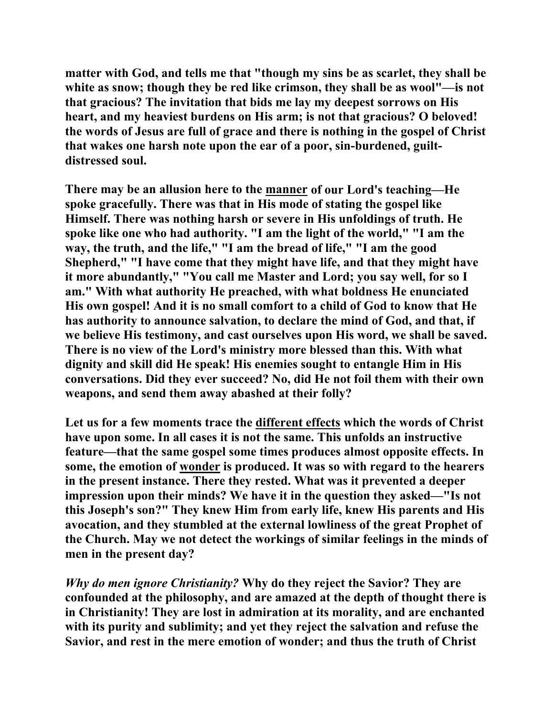**matter with God, and tells me that "though my sins be as scarlet, they shall be white as snow; though they be red like crimson, they shall be as wool"—is not that gracious? The invitation that bids me lay my deepest sorrows on His heart, and my heaviest burdens on His arm; is not that gracious? O beloved! the words of Jesus are full of grace and there is nothing in the gospel of Christ that wakes one harsh note upon the ear of a poor, sin-burdened, guiltdistressed soul.** 

**There may be an allusion here to the manner of our Lord's teaching—He spoke gracefully. There was that in His mode of stating the gospel like Himself. There was nothing harsh or severe in His unfoldings of truth. He spoke like one who had authority. "I am the light of the world," "I am the way, the truth, and the life," "I am the bread of life," "I am the good Shepherd," "I have come that they might have life, and that they might have it more abundantly," "You call me Master and Lord; you say well, for so I am." With what authority He preached, with what boldness He enunciated His own gospel! And it is no small comfort to a child of God to know that He has authority to announce salvation, to declare the mind of God, and that, if we believe His testimony, and cast ourselves upon His word, we shall be saved. There is no view of the Lord's ministry more blessed than this. With what dignity and skill did He speak! His enemies sought to entangle Him in His conversations. Did they ever succeed? No, did He not foil them with their own weapons, and send them away abashed at their folly?** 

**Let us for a few moments trace the different effects which the words of Christ have upon some. In all cases it is not the same. This unfolds an instructive feature—that the same gospel some times produces almost opposite effects. In some, the emotion of wonder is produced. It was so with regard to the hearers in the present instance. There they rested. What was it prevented a deeper impression upon their minds? We have it in the question they asked—"Is not this Joseph's son?" They knew Him from early life, knew His parents and His avocation, and they stumbled at the external lowliness of the great Prophet of the Church. May we not detect the workings of similar feelings in the minds of men in the present day?** 

*Why do men ignore Christianity?* **Why do they reject the Savior? They are confounded at the philosophy, and are amazed at the depth of thought there is in Christianity! They are lost in admiration at its morality, and are enchanted with its purity and sublimity; and yet they reject the salvation and refuse the Savior, and rest in the mere emotion of wonder; and thus the truth of Christ**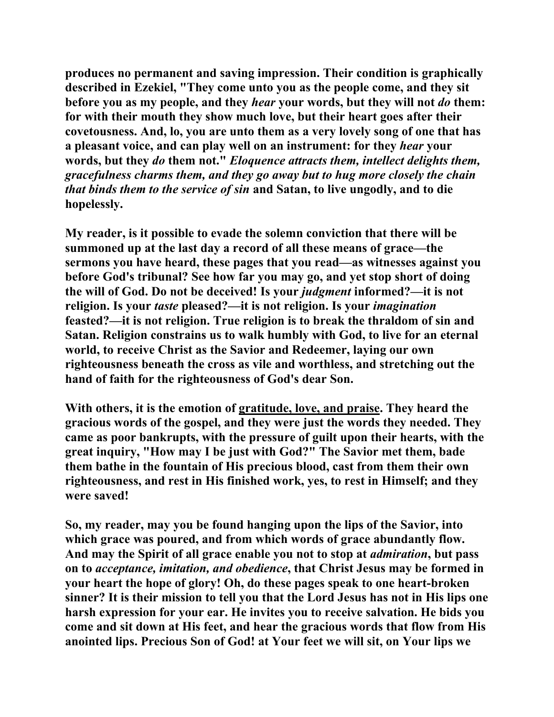**produces no permanent and saving impression. Their condition is graphically described in Ezekiel, "They come unto you as the people come, and they sit before you as my people, and they** *hear* **your words, but they will not** *do* **them: for with their mouth they show much love, but their heart goes after their covetousness. And, lo, you are unto them as a very lovely song of one that has a pleasant voice, and can play well on an instrument: for they** *hear* **your words, but they** *do* **them not."** *Eloquence attracts them, intellect delights them, gracefulness charms them, and they go away but to hug more closely the chain that binds them to the service of sin* **and Satan, to live ungodly, and to die hopelessly.** 

**My reader, is it possible to evade the solemn conviction that there will be summoned up at the last day a record of all these means of grace—the sermons you have heard, these pages that you read—as witnesses against you before God's tribunal? See how far you may go, and yet stop short of doing the will of God. Do not be deceived! Is your** *judgment* **informed?—it is not religion. Is your** *taste* **pleased?—it is not religion. Is your** *imagination* **feasted?—it is not religion. True religion is to break the thraldom of sin and Satan. Religion constrains us to walk humbly with God, to live for an eternal world, to receive Christ as the Savior and Redeemer, laying our own righteousness beneath the cross as vile and worthless, and stretching out the hand of faith for the righteousness of God's dear Son.** 

**With others, it is the emotion of gratitude, love, and praise. They heard the gracious words of the gospel, and they were just the words they needed. They came as poor bankrupts, with the pressure of guilt upon their hearts, with the great inquiry, "How may I be just with God?" The Savior met them, bade them bathe in the fountain of His precious blood, cast from them their own righteousness, and rest in His finished work, yes, to rest in Himself; and they were saved!** 

**So, my reader, may you be found hanging upon the lips of the Savior, into which grace was poured, and from which words of grace abundantly flow. And may the Spirit of all grace enable you not to stop at** *admiration***, but pass on to** *acceptance, imitation, and obedience***, that Christ Jesus may be formed in your heart the hope of glory! Oh, do these pages speak to one heart-broken sinner? It is their mission to tell you that the Lord Jesus has not in His lips one harsh expression for your ear. He invites you to receive salvation. He bids you come and sit down at His feet, and hear the gracious words that flow from His anointed lips. Precious Son of God! at Your feet we will sit, on Your lips we**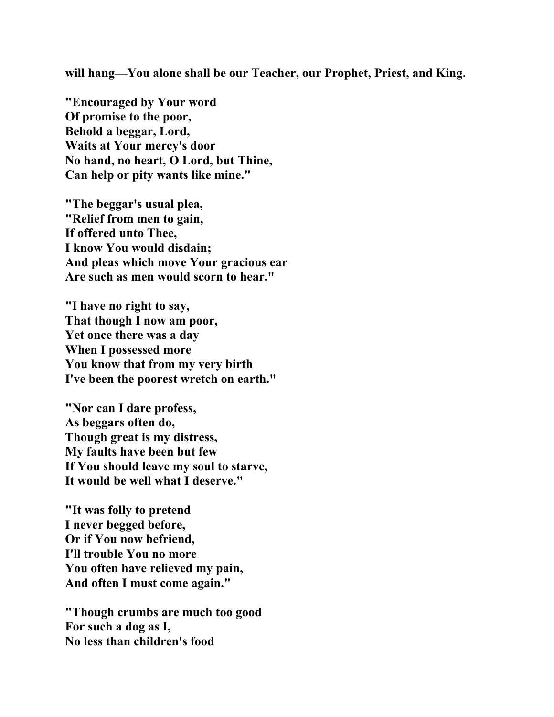**will hang—You alone shall be our Teacher, our Prophet, Priest, and King.** 

**"Encouraged by Your word Of promise to the poor, Behold a beggar, Lord, Waits at Your mercy's door No hand, no heart, O Lord, but Thine, Can help or pity wants like mine."** 

**"The beggar's usual plea, "Relief from men to gain, If offered unto Thee, I know You would disdain; And pleas which move Your gracious ear Are such as men would scorn to hear."** 

**"I have no right to say, That though I now am poor, Yet once there was a day When I possessed more You know that from my very birth I've been the poorest wretch on earth."** 

**"Nor can I dare profess, As beggars often do, Though great is my distress, My faults have been but few If You should leave my soul to starve, It would be well what I deserve."** 

**"It was folly to pretend I never begged before, Or if You now befriend, I'll trouble You no more You often have relieved my pain, And often I must come again."** 

**"Though crumbs are much too good For such a dog as I, No less than children's food**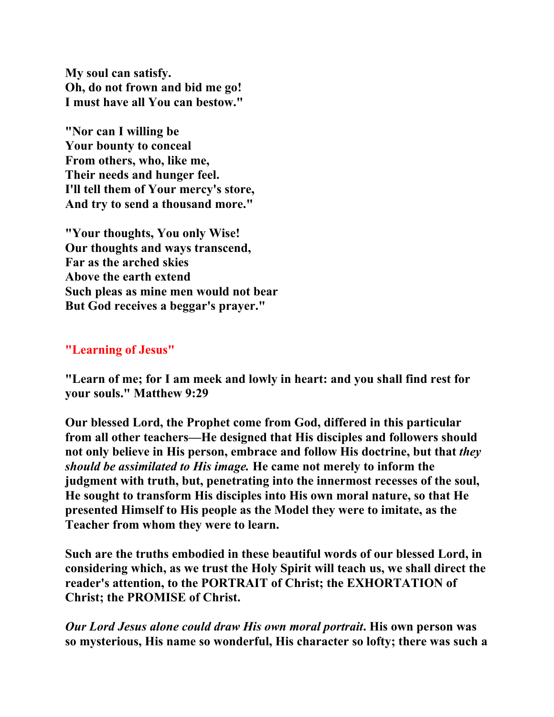**My soul can satisfy. Oh, do not frown and bid me go! I must have all You can bestow."** 

**"Nor can I willing be Your bounty to conceal From others, who, like me, Their needs and hunger feel. I'll tell them of Your mercy's store, And try to send a thousand more."** 

**"Your thoughts, You only Wise! Our thoughts and ways transcend, Far as the arched skies Above the earth extend Such pleas as mine men would not bear But God receives a beggar's prayer."** 

# **"Learning of Jesus"**

**"Learn of me; for I am meek and lowly in heart: and you shall find rest for your souls." Matthew 9:29** 

**Our blessed Lord, the Prophet come from God, differed in this particular from all other teachers—He designed that His disciples and followers should not only believe in His person, embrace and follow His doctrine, but that** *they should be assimilated to His image.* **He came not merely to inform the judgment with truth, but, penetrating into the innermost recesses of the soul, He sought to transform His disciples into His own moral nature, so that He presented Himself to His people as the Model they were to imitate, as the Teacher from whom they were to learn.** 

**Such are the truths embodied in these beautiful words of our blessed Lord, in considering which, as we trust the Holy Spirit will teach us, we shall direct the reader's attention, to the PORTRAIT of Christ; the EXHORTATION of Christ; the PROMISE of Christ.** 

*Our Lord Jesus alone could draw His own moral portrait***. His own person was so mysterious, His name so wonderful, His character so lofty; there was such a**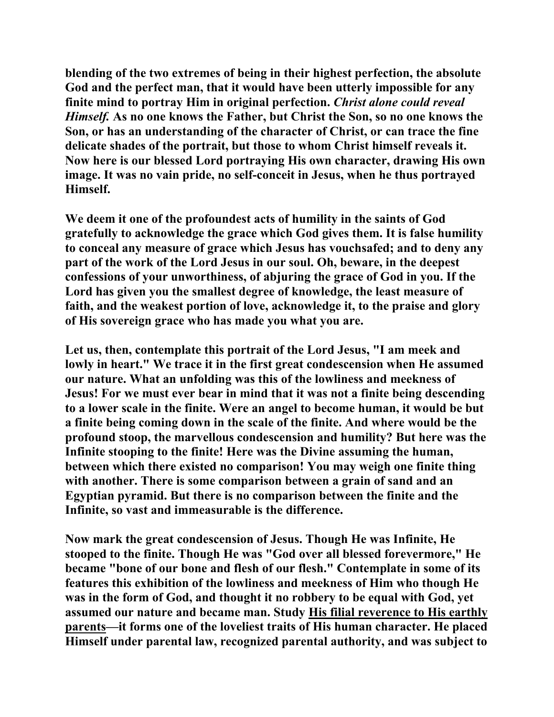**blending of the two extremes of being in their highest perfection, the absolute God and the perfect man, that it would have been utterly impossible for any finite mind to portray Him in original perfection.** *Christ alone could reveal Himself.* **As no one knows the Father, but Christ the Son, so no one knows the Son, or has an understanding of the character of Christ, or can trace the fine delicate shades of the portrait, but those to whom Christ himself reveals it. Now here is our blessed Lord portraying His own character, drawing His own image. It was no vain pride, no self-conceit in Jesus, when he thus portrayed Himself.** 

**We deem it one of the profoundest acts of humility in the saints of God gratefully to acknowledge the grace which God gives them. It is false humility to conceal any measure of grace which Jesus has vouchsafed; and to deny any part of the work of the Lord Jesus in our soul. Oh, beware, in the deepest confessions of your unworthiness, of abjuring the grace of God in you. If the Lord has given you the smallest degree of knowledge, the least measure of faith, and the weakest portion of love, acknowledge it, to the praise and glory of His sovereign grace who has made you what you are.** 

**Let us, then, contemplate this portrait of the Lord Jesus, "I am meek and lowly in heart." We trace it in the first great condescension when He assumed our nature. What an unfolding was this of the lowliness and meekness of Jesus! For we must ever bear in mind that it was not a finite being descending to a lower scale in the finite. Were an angel to become human, it would be but a finite being coming down in the scale of the finite. And where would be the profound stoop, the marvellous condescension and humility? But here was the Infinite stooping to the finite! Here was the Divine assuming the human, between which there existed no comparison! You may weigh one finite thing with another. There is some comparison between a grain of sand and an Egyptian pyramid. But there is no comparison between the finite and the Infinite, so vast and immeasurable is the difference.** 

**Now mark the great condescension of Jesus. Though He was Infinite, He stooped to the finite. Though He was "God over all blessed forevermore," He became "bone of our bone and flesh of our flesh." Contemplate in some of its features this exhibition of the lowliness and meekness of Him who though He was in the form of God, and thought it no robbery to be equal with God, yet assumed our nature and became man. Study His filial reverence to His earthly parents—it forms one of the loveliest traits of His human character. He placed Himself under parental law, recognized parental authority, and was subject to**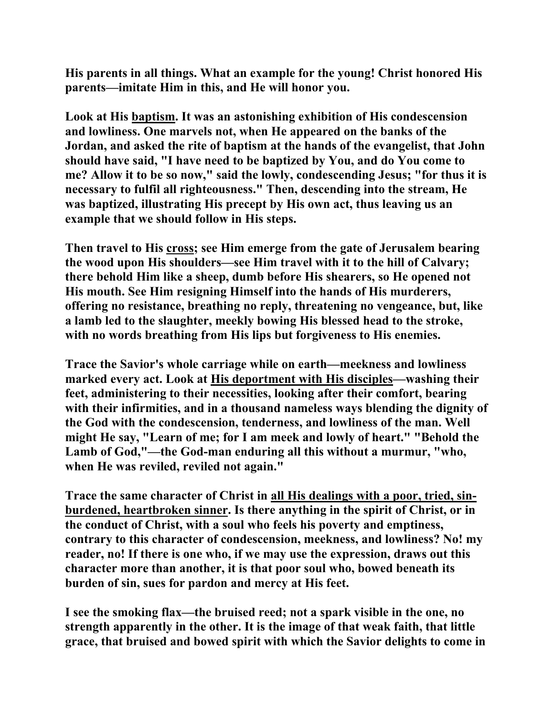**His parents in all things. What an example for the young! Christ honored His parents—imitate Him in this, and He will honor you.** 

**Look at His baptism. It was an astonishing exhibition of His condescension and lowliness. One marvels not, when He appeared on the banks of the Jordan, and asked the rite of baptism at the hands of the evangelist, that John should have said, "I have need to be baptized by You, and do You come to me? Allow it to be so now," said the lowly, condescending Jesus; "for thus it is necessary to fulfil all righteousness." Then, descending into the stream, He was baptized, illustrating His precept by His own act, thus leaving us an example that we should follow in His steps.** 

**Then travel to His cross; see Him emerge from the gate of Jerusalem bearing the wood upon His shoulders—see Him travel with it to the hill of Calvary; there behold Him like a sheep, dumb before His shearers, so He opened not His mouth. See Him resigning Himself into the hands of His murderers, offering no resistance, breathing no reply, threatening no vengeance, but, like a lamb led to the slaughter, meekly bowing His blessed head to the stroke, with no words breathing from His lips but forgiveness to His enemies.** 

**Trace the Savior's whole carriage while on earth—meekness and lowliness marked every act. Look at His deportment with His disciples—washing their feet, administering to their necessities, looking after their comfort, bearing with their infirmities, and in a thousand nameless ways blending the dignity of the God with the condescension, tenderness, and lowliness of the man. Well might He say, "Learn of me; for I am meek and lowly of heart." "Behold the Lamb of God,"—the God-man enduring all this without a murmur, "who, when He was reviled, reviled not again."** 

**Trace the same character of Christ in all His dealings with a poor, tried, sinburdened, heartbroken sinner. Is there anything in the spirit of Christ, or in the conduct of Christ, with a soul who feels his poverty and emptiness, contrary to this character of condescension, meekness, and lowliness? No! my reader, no! If there is one who, if we may use the expression, draws out this character more than another, it is that poor soul who, bowed beneath its burden of sin, sues for pardon and mercy at His feet.** 

**I see the smoking flax—the bruised reed; not a spark visible in the one, no strength apparently in the other. It is the image of that weak faith, that little grace, that bruised and bowed spirit with which the Savior delights to come in**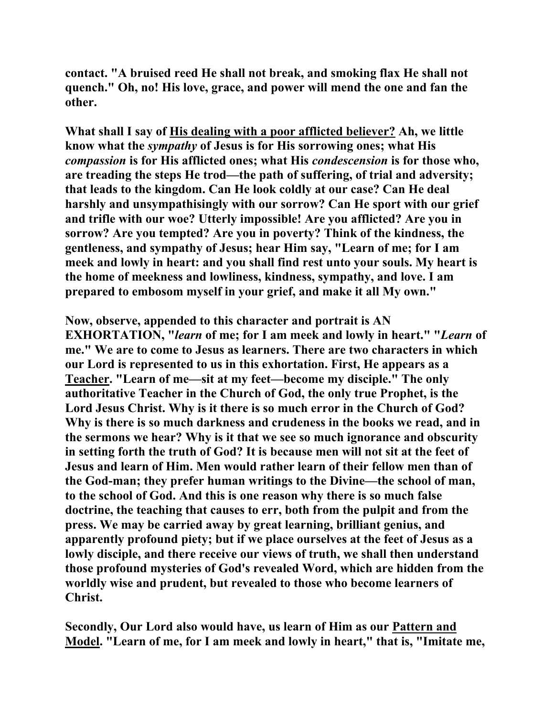**contact. "A bruised reed He shall not break, and smoking flax He shall not quench." Oh, no! His love, grace, and power will mend the one and fan the other.** 

**What shall I say of His dealing with a poor afflicted believer? Ah, we little know what the** *sympathy* **of Jesus is for His sorrowing ones; what His**  *compassion* **is for His afflicted ones; what His** *condescension* **is for those who, are treading the steps He trod—the path of suffering, of trial and adversity; that leads to the kingdom. Can He look coldly at our case? Can He deal harshly and unsympathisingly with our sorrow? Can He sport with our grief and trifle with our woe? Utterly impossible! Are you afflicted? Are you in sorrow? Are you tempted? Are you in poverty? Think of the kindness, the gentleness, and sympathy of Jesus; hear Him say, "Learn of me; for I am meek and lowly in heart: and you shall find rest unto your souls. My heart is the home of meekness and lowliness, kindness, sympathy, and love. I am prepared to embosom myself in your grief, and make it all My own."** 

**Now, observe, appended to this character and portrait is AN EXHORTATION, "***learn* **of me; for I am meek and lowly in heart." "***Learn* **of me." We are to come to Jesus as learners. There are two characters in which our Lord is represented to us in this exhortation. First, He appears as a Teacher. "Learn of me—sit at my feet—become my disciple." The only authoritative Teacher in the Church of God, the only true Prophet, is the Lord Jesus Christ. Why is it there is so much error in the Church of God? Why is there is so much darkness and crudeness in the books we read, and in the sermons we hear? Why is it that we see so much ignorance and obscurity in setting forth the truth of God? It is because men will not sit at the feet of Jesus and learn of Him. Men would rather learn of their fellow men than of the God-man; they prefer human writings to the Divine—the school of man, to the school of God. And this is one reason why there is so much false doctrine, the teaching that causes to err, both from the pulpit and from the press. We may be carried away by great learning, brilliant genius, and apparently profound piety; but if we place ourselves at the feet of Jesus as a lowly disciple, and there receive our views of truth, we shall then understand those profound mysteries of God's revealed Word, which are hidden from the worldly wise and prudent, but revealed to those who become learners of Christ.** 

**Secondly, Our Lord also would have, us learn of Him as our Pattern and Model. "Learn of me, for I am meek and lowly in heart," that is, "Imitate me,**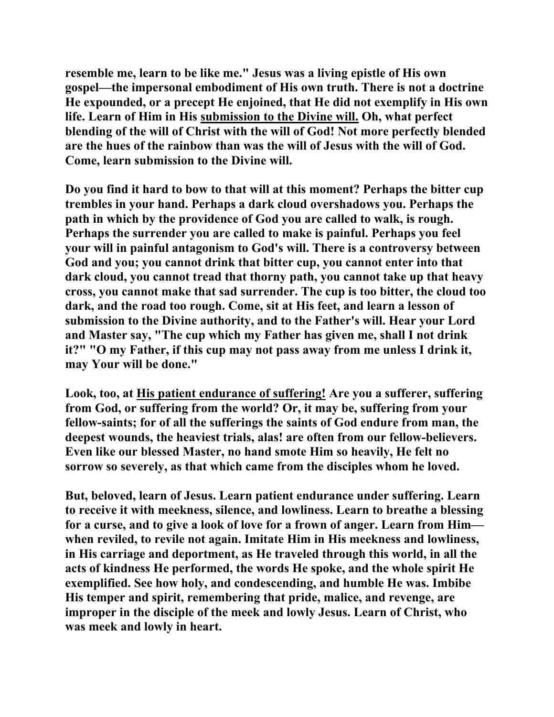**resemble me, learn to be like me." Jesus was a living epistle of His own gospel—the impersonal embodiment of His own truth. There is not a doctrine He expounded, or a precept He enjoined, that He did not exemplify in His own life. Learn of Him in His submission to the Divine will. Oh, what perfect blending of the will of Christ with the will of God! Not more perfectly blended are the hues of the rainbow than was the will of Jesus with the will of God. Come, learn submission to the Divine will.** 

**Do you find it hard to bow to that will at this moment? Perhaps the bitter cup trembles in your hand. Perhaps a dark cloud overshadows you. Perhaps the path in which by the providence of God you are called to walk, is rough. Perhaps the surrender you are called to make is painful. Perhaps you feel your will in painful antagonism to God's will. There is a controversy between God and you; you cannot drink that bitter cup, you cannot enter into that dark cloud, you cannot tread that thorny path, you cannot take up that heavy cross, you cannot make that sad surrender. The cup is too bitter, the cloud too dark, and the road too rough. Come, sit at His feet, and learn a lesson of submission to the Divine authority, and to the Father's will. Hear your Lord and Master say, "The cup which my Father has given me, shall I not drink it?" "O my Father, if this cup may not pass away from me unless I drink it, may Your will be done."** 

**Look, too, at His patient endurance of suffering! Are you a sufferer, suffering from God, or suffering from the world? Or, it may be, suffering from your fellow-saints; for of all the sufferings the saints of God endure from man, the deepest wounds, the heaviest trials, alas! are often from our fellow-believers. Even like our blessed Master, no hand smote Him so heavily, He felt no sorrow so severely, as that which came from the disciples whom he loved.** 

**But, beloved, learn of Jesus. Learn patient endurance under suffering. Learn to receive it with meekness, silence, and lowliness. Learn to breathe a blessing for a curse, and to give a look of love for a frown of anger. Learn from Him when reviled, to revile not again. Imitate Him in His meekness and lowliness, in His carriage and deportment, as He traveled through this world, in all the acts of kindness He performed, the words He spoke, and the whole spirit He exemplified. See how holy, and condescending, and humble He was. Imbibe His temper and spirit, remembering that pride, malice, and revenge, are improper in the disciple of the meek and lowly Jesus. Learn of Christ, who was meek and lowly in heart.**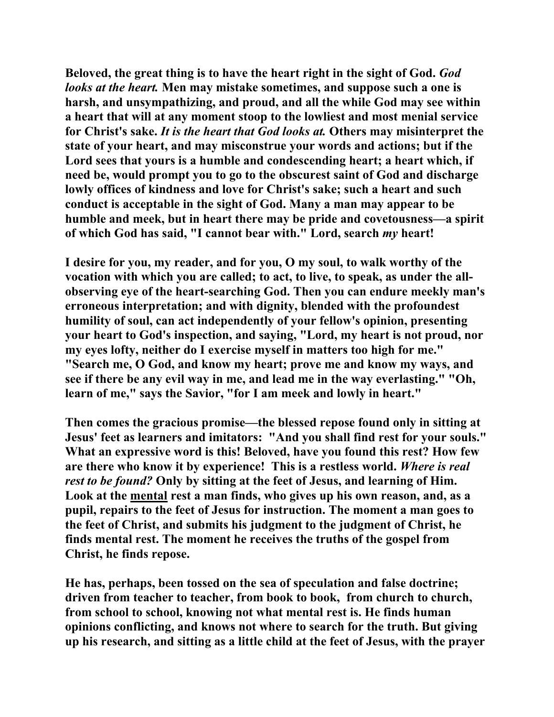**Beloved, the great thing is to have the heart right in the sight of God.** *God looks at the heart.* **Men may mistake sometimes, and suppose such a one is harsh, and unsympathizing, and proud, and all the while God may see within a heart that will at any moment stoop to the lowliest and most menial service for Christ's sake.** *It is the heart that God looks at.* **Others may misinterpret the state of your heart, and may misconstrue your words and actions; but if the Lord sees that yours is a humble and condescending heart; a heart which, if need be, would prompt you to go to the obscurest saint of God and discharge lowly offices of kindness and love for Christ's sake; such a heart and such conduct is acceptable in the sight of God. Many a man may appear to be humble and meek, but in heart there may be pride and covetousness—a spirit of which God has said, "I cannot bear with." Lord, search** *my* **heart!** 

**I desire for you, my reader, and for you, O my soul, to walk worthy of the vocation with which you are called; to act, to live, to speak, as under the allobserving eye of the heart-searching God. Then you can endure meekly man's erroneous interpretation; and with dignity, blended with the profoundest humility of soul, can act independently of your fellow's opinion, presenting your heart to God's inspection, and saying, "Lord, my heart is not proud, nor my eyes lofty, neither do I exercise myself in matters too high for me." "Search me, O God, and know my heart; prove me and know my ways, and see if there be any evil way in me, and lead me in the way everlasting." "Oh, learn of me," says the Savior, "for I am meek and lowly in heart."** 

**Then comes the gracious promise—the blessed repose found only in sitting at Jesus' feet as learners and imitators: "And you shall find rest for your souls." What an expressive word is this! Beloved, have you found this rest? How few are there who know it by experience! This is a restless world.** *Where is real rest to be found?* **Only by sitting at the feet of Jesus, and learning of Him. Look at the mental rest a man finds, who gives up his own reason, and, as a pupil, repairs to the feet of Jesus for instruction. The moment a man goes to the feet of Christ, and submits his judgment to the judgment of Christ, he finds mental rest. The moment he receives the truths of the gospel from Christ, he finds repose.** 

**He has, perhaps, been tossed on the sea of speculation and false doctrine; driven from teacher to teacher, from book to book, from church to church, from school to school, knowing not what mental rest is. He finds human opinions conflicting, and knows not where to search for the truth. But giving up his research, and sitting as a little child at the feet of Jesus, with the prayer**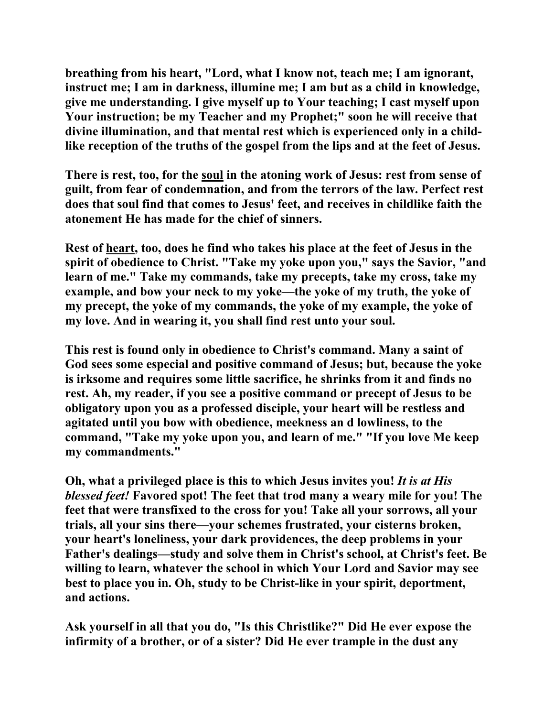**breathing from his heart, "Lord, what I know not, teach me; I am ignorant, instruct me; I am in darkness, illumine me; I am but as a child in knowledge, give me understanding. I give myself up to Your teaching; I cast myself upon Your instruction; be my Teacher and my Prophet;" soon he will receive that divine illumination, and that mental rest which is experienced only in a childlike reception of the truths of the gospel from the lips and at the feet of Jesus.** 

**There is rest, too, for the soul in the atoning work of Jesus: rest from sense of guilt, from fear of condemnation, and from the terrors of the law. Perfect rest does that soul find that comes to Jesus' feet, and receives in childlike faith the atonement He has made for the chief of sinners.** 

**Rest of heart, too, does he find who takes his place at the feet of Jesus in the spirit of obedience to Christ. "Take my yoke upon you," says the Savior, "and learn of me." Take my commands, take my precepts, take my cross, take my example, and bow your neck to my yoke—the yoke of my truth, the yoke of my precept, the yoke of my commands, the yoke of my example, the yoke of my love. And in wearing it, you shall find rest unto your soul.** 

**This rest is found only in obedience to Christ's command. Many a saint of God sees some especial and positive command of Jesus; but, because the yoke is irksome and requires some little sacrifice, he shrinks from it and finds no rest. Ah, my reader, if you see a positive command or precept of Jesus to be obligatory upon you as a professed disciple, your heart will be restless and agitated until you bow with obedience, meekness an d lowliness, to the command, "Take my yoke upon you, and learn of me." "If you love Me keep my commandments."** 

**Oh, what a privileged place is this to which Jesus invites you!** *It is at His blessed feet!* **Favored spot! The feet that trod many a weary mile for you! The feet that were transfixed to the cross for you! Take all your sorrows, all your trials, all your sins there—your schemes frustrated, your cisterns broken, your heart's loneliness, your dark providences, the deep problems in your Father's dealings—study and solve them in Christ's school, at Christ's feet. Be willing to learn, whatever the school in which Your Lord and Savior may see best to place you in. Oh, study to be Christ-like in your spirit, deportment, and actions.** 

**Ask yourself in all that you do, "Is this Christlike?" Did He ever expose the infirmity of a brother, or of a sister? Did He ever trample in the dust any**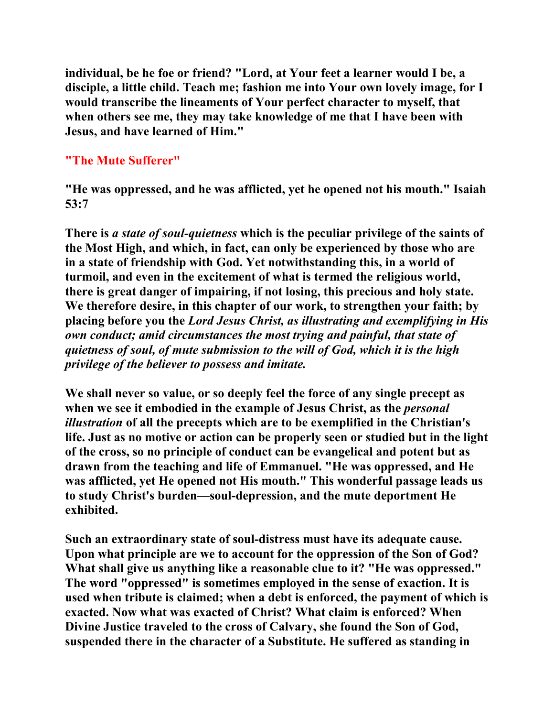**individual, be he foe or friend? "Lord, at Your feet a learner would I be, a disciple, a little child. Teach me; fashion me into Your own lovely image, for I would transcribe the lineaments of Your perfect character to myself, that when others see me, they may take knowledge of me that I have been with Jesus, and have learned of Him."** 

# **"The Mute Sufferer"**

**"He was oppressed, and he was afflicted, yet he opened not his mouth." Isaiah 53:7** 

**There is** *a state of soul-quietness* **which is the peculiar privilege of the saints of the Most High, and which, in fact, can only be experienced by those who are in a state of friendship with God. Yet notwithstanding this, in a world of turmoil, and even in the excitement of what is termed the religious world, there is great danger of impairing, if not losing, this precious and holy state. We therefore desire, in this chapter of our work, to strengthen your faith; by placing before you the** *Lord Jesus Christ, as illustrating and exemplifying in His own conduct; amid circumstances the most trying and painful, that state of quietness of soul, of mute submission to the will of God, which it is the high privilege of the believer to possess and imitate.*

**We shall never so value, or so deeply feel the force of any single precept as**  when we see it embodied in the example of Jesus Christ, as the *personal illustration* **of all the precepts which are to be exemplified in the Christian's life. Just as no motive or action can be properly seen or studied but in the light of the cross, so no principle of conduct can be evangelical and potent but as drawn from the teaching and life of Emmanuel. "He was oppressed, and He was afflicted, yet He opened not His mouth." This wonderful passage leads us to study Christ's burden—soul-depression, and the mute deportment He exhibited.** 

**Such an extraordinary state of soul-distress must have its adequate cause. Upon what principle are we to account for the oppression of the Son of God? What shall give us anything like a reasonable clue to it? "He was oppressed." The word "oppressed" is sometimes employed in the sense of exaction. It is used when tribute is claimed; when a debt is enforced, the payment of which is exacted. Now what was exacted of Christ? What claim is enforced? When Divine Justice traveled to the cross of Calvary, she found the Son of God, suspended there in the character of a Substitute. He suffered as standing in**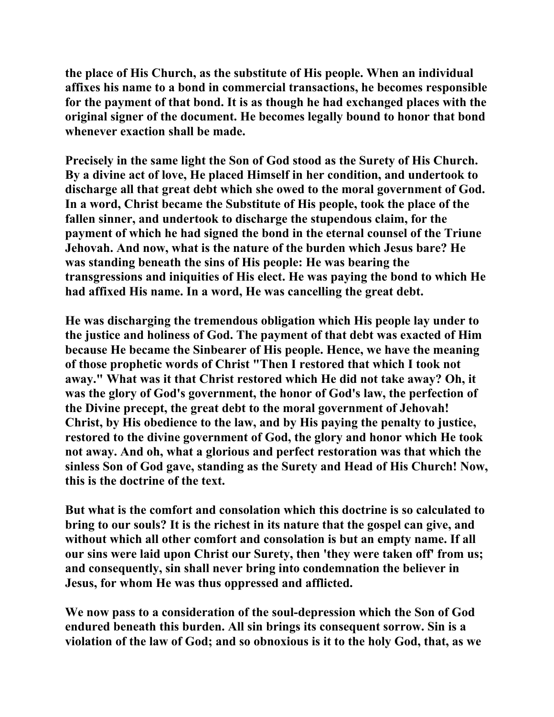**the place of His Church, as the substitute of His people. When an individual affixes his name to a bond in commercial transactions, he becomes responsible for the payment of that bond. It is as though he had exchanged places with the original signer of the document. He becomes legally bound to honor that bond whenever exaction shall be made.** 

**Precisely in the same light the Son of God stood as the Surety of His Church. By a divine act of love, He placed Himself in her condition, and undertook to discharge all that great debt which she owed to the moral government of God. In a word, Christ became the Substitute of His people, took the place of the fallen sinner, and undertook to discharge the stupendous claim, for the payment of which he had signed the bond in the eternal counsel of the Triune Jehovah. And now, what is the nature of the burden which Jesus bare? He was standing beneath the sins of His people: He was bearing the transgressions and iniquities of His elect. He was paying the bond to which He had affixed His name. In a word, He was cancelling the great debt.** 

**He was discharging the tremendous obligation which His people lay under to the justice and holiness of God. The payment of that debt was exacted of Him because He became the Sinbearer of His people. Hence, we have the meaning of those prophetic words of Christ "Then I restored that which I took not away." What was it that Christ restored which He did not take away? Oh, it was the glory of God's government, the honor of God's law, the perfection of the Divine precept, the great debt to the moral government of Jehovah! Christ, by His obedience to the law, and by His paying the penalty to justice, restored to the divine government of God, the glory and honor which He took not away. And oh, what a glorious and perfect restoration was that which the sinless Son of God gave, standing as the Surety and Head of His Church! Now, this is the doctrine of the text.** 

**But what is the comfort and consolation which this doctrine is so calculated to bring to our souls? It is the richest in its nature that the gospel can give, and without which all other comfort and consolation is but an empty name. If all our sins were laid upon Christ our Surety, then 'they were taken off' from us; and consequently, sin shall never bring into condemnation the believer in Jesus, for whom He was thus oppressed and afflicted.** 

**We now pass to a consideration of the soul-depression which the Son of God endured beneath this burden. All sin brings its consequent sorrow. Sin is a violation of the law of God; and so obnoxious is it to the holy God, that, as we**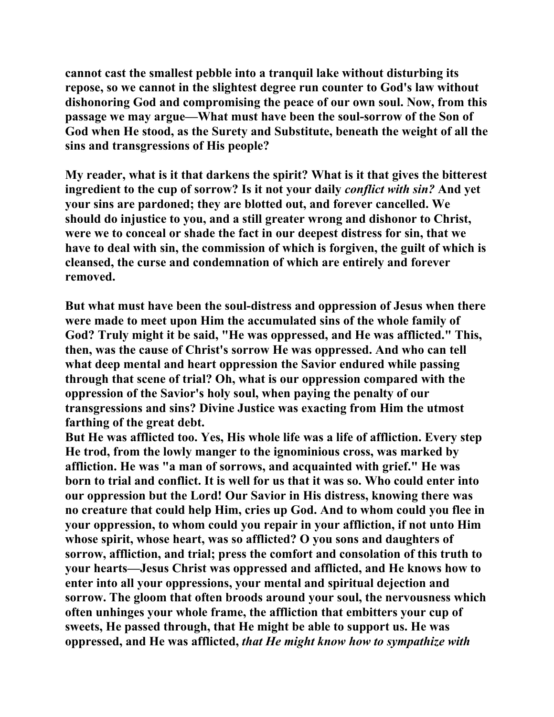**cannot cast the smallest pebble into a tranquil lake without disturbing its repose, so we cannot in the slightest degree run counter to God's law without dishonoring God and compromising the peace of our own soul. Now, from this passage we may argue—What must have been the soul-sorrow of the Son of God when He stood, as the Surety and Substitute, beneath the weight of all the sins and transgressions of His people?** 

**My reader, what is it that darkens the spirit? What is it that gives the bitterest ingredient to the cup of sorrow? Is it not your daily** *conflict with sin?* **And yet your sins are pardoned; they are blotted out, and forever cancelled. We should do injustice to you, and a still greater wrong and dishonor to Christ, were we to conceal or shade the fact in our deepest distress for sin, that we have to deal with sin, the commission of which is forgiven, the guilt of which is cleansed, the curse and condemnation of which are entirely and forever removed.** 

**But what must have been the soul-distress and oppression of Jesus when there were made to meet upon Him the accumulated sins of the whole family of God? Truly might it be said, "He was oppressed, and He was afflicted." This, then, was the cause of Christ's sorrow He was oppressed. And who can tell what deep mental and heart oppression the Savior endured while passing through that scene of trial? Oh, what is our oppression compared with the oppression of the Savior's holy soul, when paying the penalty of our transgressions and sins? Divine Justice was exacting from Him the utmost farthing of the great debt.** 

**But He was afflicted too. Yes, His whole life was a life of affliction. Every step He trod, from the lowly manger to the ignominious cross, was marked by affliction. He was "a man of sorrows, and acquainted with grief." He was born to trial and conflict. It is well for us that it was so. Who could enter into our oppression but the Lord! Our Savior in His distress, knowing there was no creature that could help Him, cries up God. And to whom could you flee in your oppression, to whom could you repair in your affliction, if not unto Him whose spirit, whose heart, was so afflicted? O you sons and daughters of sorrow, affliction, and trial; press the comfort and consolation of this truth to your hearts—Jesus Christ was oppressed and afflicted, and He knows how to enter into all your oppressions, your mental and spiritual dejection and sorrow. The gloom that often broods around your soul, the nervousness which often unhinges your whole frame, the affliction that embitters your cup of sweets, He passed through, that He might be able to support us. He was oppressed, and He was afflicted,** *that He might know how to sympathize with*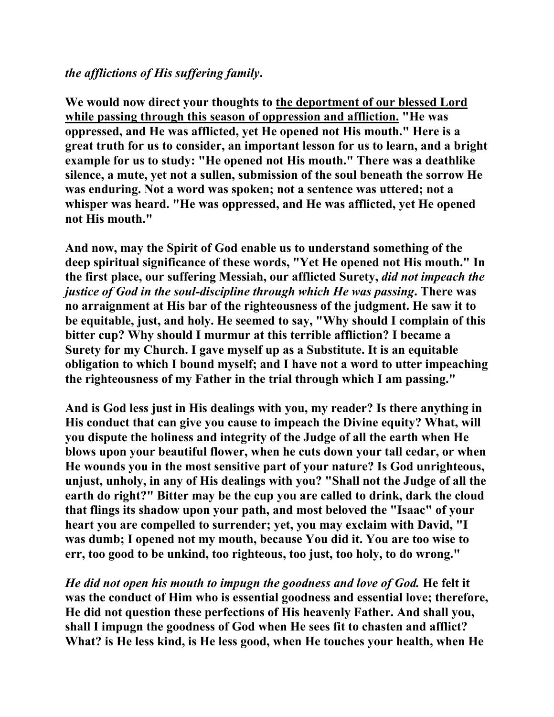# *the afflictions of His suffering family***.**

**We would now direct your thoughts to the deportment of our blessed Lord while passing through this season of oppression and affliction. "He was oppressed, and He was afflicted, yet He opened not His mouth." Here is a great truth for us to consider, an important lesson for us to learn, and a bright example for us to study: "He opened not His mouth." There was a deathlike silence, a mute, yet not a sullen, submission of the soul beneath the sorrow He was enduring. Not a word was spoken; not a sentence was uttered; not a whisper was heard. "He was oppressed, and He was afflicted, yet He opened not His mouth."** 

**And now, may the Spirit of God enable us to understand something of the deep spiritual significance of these words, "Yet He opened not His mouth." In the first place, our suffering Messiah, our afflicted Surety,** *did not impeach the justice of God in the soul-discipline through which He was passing***. There was no arraignment at His bar of the righteousness of the judgment. He saw it to be equitable, just, and holy. He seemed to say, "Why should I complain of this bitter cup? Why should I murmur at this terrible affliction? I became a Surety for my Church. I gave myself up as a Substitute. It is an equitable obligation to which I bound myself; and I have not a word to utter impeaching the righteousness of my Father in the trial through which I am passing."** 

**And is God less just in His dealings with you, my reader? Is there anything in His conduct that can give you cause to impeach the Divine equity? What, will you dispute the holiness and integrity of the Judge of all the earth when He blows upon your beautiful flower, when he cuts down your tall cedar, or when He wounds you in the most sensitive part of your nature? Is God unrighteous, unjust, unholy, in any of His dealings with you? "Shall not the Judge of all the earth do right?" Bitter may be the cup you are called to drink, dark the cloud that flings its shadow upon your path, and most beloved the "Isaac" of your heart you are compelled to surrender; yet, you may exclaim with David, "I was dumb; I opened not my mouth, because You did it. You are too wise to err, too good to be unkind, too righteous, too just, too holy, to do wrong."** 

*He did not open his mouth to impugn the goodness and love of God.* **He felt it was the conduct of Him who is essential goodness and essential love; therefore, He did not question these perfections of His heavenly Father. And shall you, shall I impugn the goodness of God when He sees fit to chasten and afflict? What? is He less kind, is He less good, when He touches your health, when He**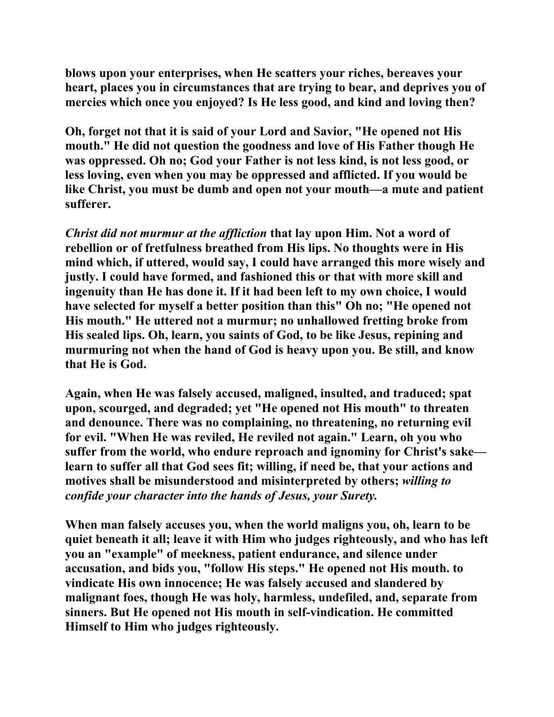**blows upon your enterprises, when He scatters your riches, bereaves your heart, places you in circumstances that are trying to bear, and deprives you of mercies which once you enjoyed? Is He less good, and kind and loving then?** 

**Oh, forget not that it is said of your Lord and Savior, "He opened not His mouth." He did not question the goodness and love of His Father though He was oppressed. Oh no; God your Father is not less kind, is not less good, or less loving, even when you may be oppressed and afflicted. If you would be like Christ, you must be dumb and open not your mouth—a mute and patient sufferer.** 

*Christ did not murmur at the affliction* **that lay upon Him. Not a word of rebellion or of fretfulness breathed from His lips. No thoughts were in His mind which, if uttered, would say, I could have arranged this more wisely and justly. I could have formed, and fashioned this or that with more skill and ingenuity than He has done it. If it had been left to my own choice, I would have selected for myself a better position than this" Oh no; "He opened not His mouth." He uttered not a murmur; no unhallowed fretting broke from His sealed lips. Oh, learn, you saints of God, to be like Jesus, repining and murmuring not when the hand of God is heavy upon you. Be still, and know that He is God.** 

**Again, when He was falsely accused, maligned, insulted, and traduced; spat upon, scourged, and degraded; yet "He opened not His mouth" to threaten and denounce. There was no complaining, no threatening, no returning evil for evil. "When He was reviled, He reviled not again." Learn, oh you who suffer from the world, who endure reproach and ignominy for Christ's sake learn to suffer all that God sees fit; willing, if need be, that your actions and motives shall be misunderstood and misinterpreted by others;** *willing to confide your character into the hands of Jesus, your Surety.*

**When man falsely accuses you, when the world maligns you, oh, learn to be quiet beneath it all; leave it with Him who judges righteously, and who has left you an "example" of meekness, patient endurance, and silence under accusation, and bids you, "follow His steps." He opened not His mouth. to vindicate His own innocence; He was falsely accused and slandered by malignant foes, though He was holy, harmless, undefiled, and, separate from sinners. But He opened not His mouth in self-vindication. He committed Himself to Him who judges righteously.**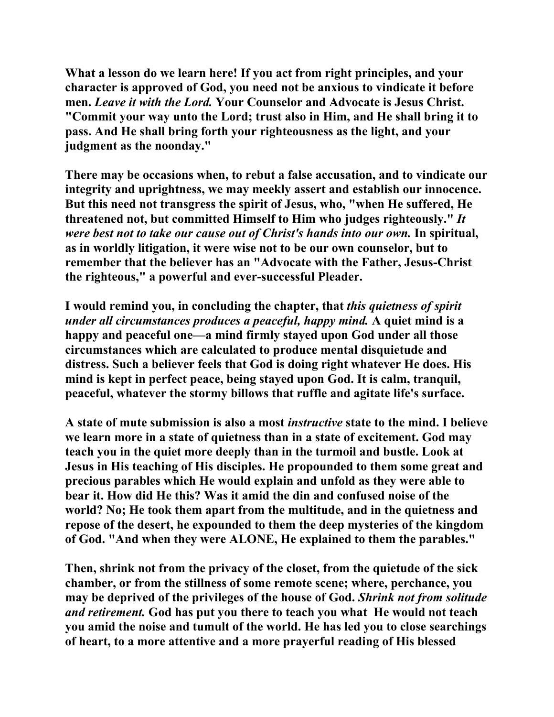**What a lesson do we learn here! If you act from right principles, and your character is approved of God, you need not be anxious to vindicate it before men.** *Leave it with the Lord.* **Your Counselor and Advocate is Jesus Christ. "Commit your way unto the Lord; trust also in Him, and He shall bring it to pass. And He shall bring forth your righteousness as the light, and your judgment as the noonday."** 

**There may be occasions when, to rebut a false accusation, and to vindicate our integrity and uprightness, we may meekly assert and establish our innocence. But this need not transgress the spirit of Jesus, who, "when He suffered, He threatened not, but committed Himself to Him who judges righteously."** *It were best not to take our cause out of Christ's hands into our own.* **In spiritual, as in worldly litigation, it were wise not to be our own counselor, but to remember that the believer has an "Advocate with the Father, Jesus-Christ the righteous," a powerful and ever-successful Pleader.** 

**I would remind you, in concluding the chapter, that** *this quietness of spirit under all circumstances produces a peaceful, happy mind.* **A quiet mind is a happy and peaceful one—a mind firmly stayed upon God under all those circumstances which are calculated to produce mental disquietude and distress. Such a believer feels that God is doing right whatever He does. His mind is kept in perfect peace, being stayed upon God. It is calm, tranquil, peaceful, whatever the stormy billows that ruffle and agitate life's surface.** 

**A state of mute submission is also a most** *instructive* **state to the mind. I believe we learn more in a state of quietness than in a state of excitement. God may teach you in the quiet more deeply than in the turmoil and bustle. Look at Jesus in His teaching of His disciples. He propounded to them some great and precious parables which He would explain and unfold as they were able to bear it. How did He this? Was it amid the din and confused noise of the world? No; He took them apart from the multitude, and in the quietness and repose of the desert, he expounded to them the deep mysteries of the kingdom of God. "And when they were ALONE, He explained to them the parables."** 

**Then, shrink not from the privacy of the closet, from the quietude of the sick chamber, or from the stillness of some remote scene; where, perchance, you may be deprived of the privileges of the house of God.** *Shrink not from solitude and retirement.* **God has put you there to teach you what He would not teach you amid the noise and tumult of the world. He has led you to close searchings of heart, to a more attentive and a more prayerful reading of His blessed**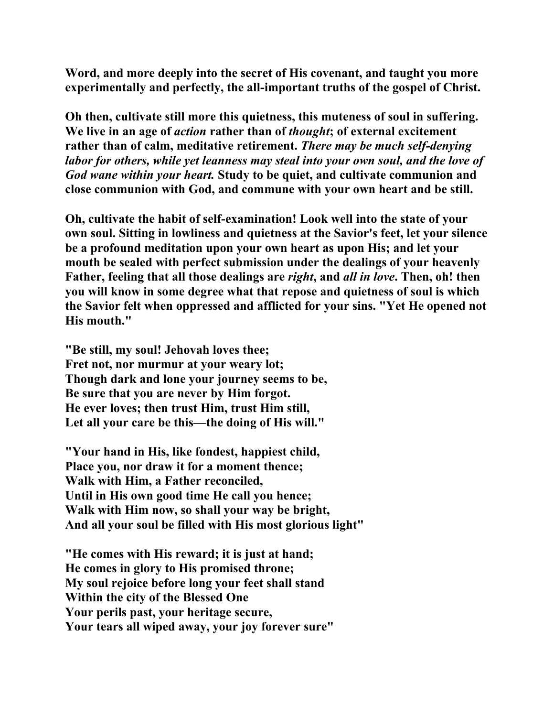**Word, and more deeply into the secret of His covenant, and taught you more experimentally and perfectly, the all-important truths of the gospel of Christ.** 

**Oh then, cultivate still more this quietness, this muteness of soul in suffering. We live in an age of** *action* **rather than of** *thought***; of external excitement rather than of calm, meditative retirement.** *There may be much self-denying labor for others, while yet leanness may steal into your own soul, and the love of God wane within your heart.* **Study to be quiet, and cultivate communion and close communion with God, and commune with your own heart and be still.** 

**Oh, cultivate the habit of self-examination! Look well into the state of your own soul. Sitting in lowliness and quietness at the Savior's feet, let your silence be a profound meditation upon your own heart as upon His; and let your mouth be sealed with perfect submission under the dealings of your heavenly Father, feeling that all those dealings are** *right***, and** *all in love***. Then, oh! then you will know in some degree what that repose and quietness of soul is which the Savior felt when oppressed and afflicted for your sins. "Yet He opened not His mouth."** 

**"Be still, my soul! Jehovah loves thee; Fret not, nor murmur at your weary lot; Though dark and lone your journey seems to be, Be sure that you are never by Him forgot. He ever loves; then trust Him, trust Him still, Let all your care be this—the doing of His will."** 

**"Your hand in His, like fondest, happiest child, Place you, nor draw it for a moment thence; Walk with Him, a Father reconciled, Until in His own good time He call you hence; Walk with Him now, so shall your way be bright, And all your soul be filled with His most glorious light"** 

**"He comes with His reward; it is just at hand; He comes in glory to His promised throne; My soul rejoice before long your feet shall stand Within the city of the Blessed One Your perils past, your heritage secure, Your tears all wiped away, your joy forever sure"**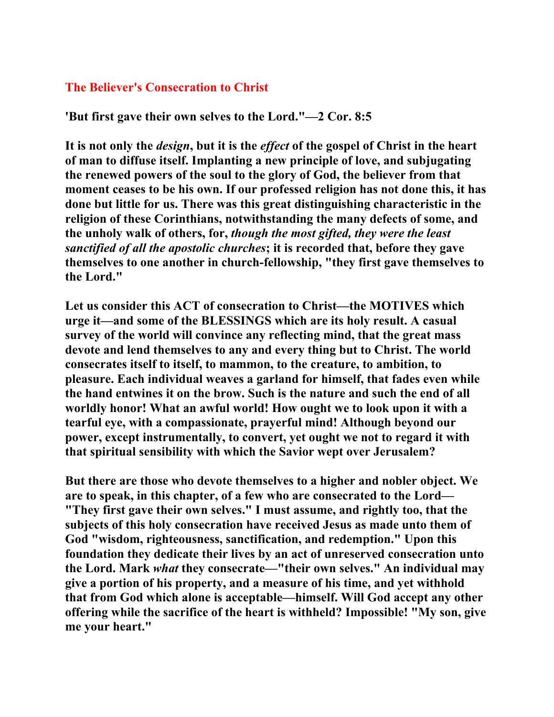### **The Believer's Consecration to Christ**

**'But first gave their own selves to the Lord."—2 Cor. 8:5** 

**It is not only the** *design***, but it is the** *effect* **of the gospel of Christ in the heart of man to diffuse itself. Implanting a new principle of love, and subjugating the renewed powers of the soul to the glory of God, the believer from that moment ceases to be his own. If our professed religion has not done this, it has done but little for us. There was this great distinguishing characteristic in the religion of these Corinthians, notwithstanding the many defects of some, and the unholy walk of others, for,** *though the most gifted, they were the least sanctified of all the apostolic churches***; it is recorded that, before they gave themselves to one another in church-fellowship, "they first gave themselves to the Lord."** 

**Let us consider this ACT of consecration to Christ—the MOTIVES which urge it—and some of the BLESSINGS which are its holy result. A casual survey of the world will convince any reflecting mind, that the great mass devote and lend themselves to any and every thing but to Christ. The world consecrates itself to itself, to mammon, to the creature, to ambition, to pleasure. Each individual weaves a garland for himself, that fades even while the hand entwines it on the brow. Such is the nature and such the end of all worldly honor! What an awful world! How ought we to look upon it with a tearful eye, with a compassionate, prayerful mind! Although beyond our power, except instrumentally, to convert, yet ought we not to regard it with that spiritual sensibility with which the Savior wept over Jerusalem?** 

**But there are those who devote themselves to a higher and nobler object. We are to speak, in this chapter, of a few who are consecrated to the Lord— "They first gave their own selves." I must assume, and rightly too, that the subjects of this holy consecration have received Jesus as made unto them of God "wisdom, righteousness, sanctification, and redemption." Upon this foundation they dedicate their lives by an act of unreserved consecration unto the Lord. Mark** *what* **they consecrate—"their own selves." An individual may give a portion of his property, and a measure of his time, and yet withhold that from God which alone is acceptable—himself. Will God accept any other offering while the sacrifice of the heart is withheld? Impossible! "My son, give me your heart."**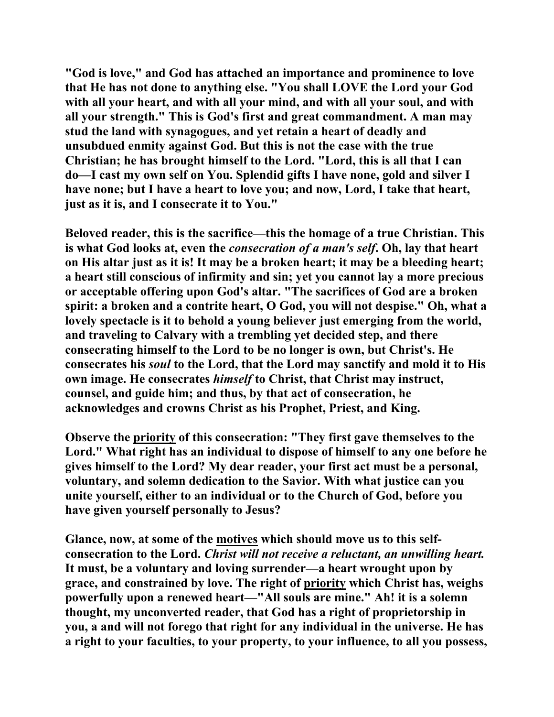**"God is love," and God has attached an importance and prominence to love that He has not done to anything else. "You shall LOVE the Lord your God with all your heart, and with all your mind, and with all your soul, and with all your strength." This is God's first and great commandment. A man may stud the land with synagogues, and yet retain a heart of deadly and unsubdued enmity against God. But this is not the case with the true Christian; he has brought himself to the Lord. "Lord, this is all that I can do—I cast my own self on You. Splendid gifts I have none, gold and silver I have none; but I have a heart to love you; and now, Lord, I take that heart, just as it is, and I consecrate it to You."** 

**Beloved reader, this is the sacrifice—this the homage of a true Christian. This is what God looks at, even the** *consecration of a man's self***. Oh, lay that heart on His altar just as it is! It may be a broken heart; it may be a bleeding heart; a heart still conscious of infirmity and sin; yet you cannot lay a more precious or acceptable offering upon God's altar. "The sacrifices of God are a broken spirit: a broken and a contrite heart, O God, you will not despise." Oh, what a lovely spectacle is it to behold a young believer just emerging from the world, and traveling to Calvary with a trembling yet decided step, and there consecrating himself to the Lord to be no longer is own, but Christ's. He consecrates his** *soul* **to the Lord, that the Lord may sanctify and mold it to His own image. He consecrates** *himself* **to Christ, that Christ may instruct, counsel, and guide him; and thus, by that act of consecration, he acknowledges and crowns Christ as his Prophet, Priest, and King.** 

**Observe the priority of this consecration: "They first gave themselves to the Lord." What right has an individual to dispose of himself to any one before he gives himself to the Lord? My dear reader, your first act must be a personal, voluntary, and solemn dedication to the Savior. With what justice can you unite yourself, either to an individual or to the Church of God, before you have given yourself personally to Jesus?** 

**Glance, now, at some of the motives which should move us to this selfconsecration to the Lord.** *Christ will not receive a reluctant, an unwilling heart.* **It must, be a voluntary and loving surrender—a heart wrought upon by grace, and constrained by love. The right of priority which Christ has, weighs powerfully upon a renewed heart—"All souls are mine." Ah! it is a solemn thought, my unconverted reader, that God has a right of proprietorship in you, a and will not forego that right for any individual in the universe. He has a right to your faculties, to your property, to your influence, to all you possess,**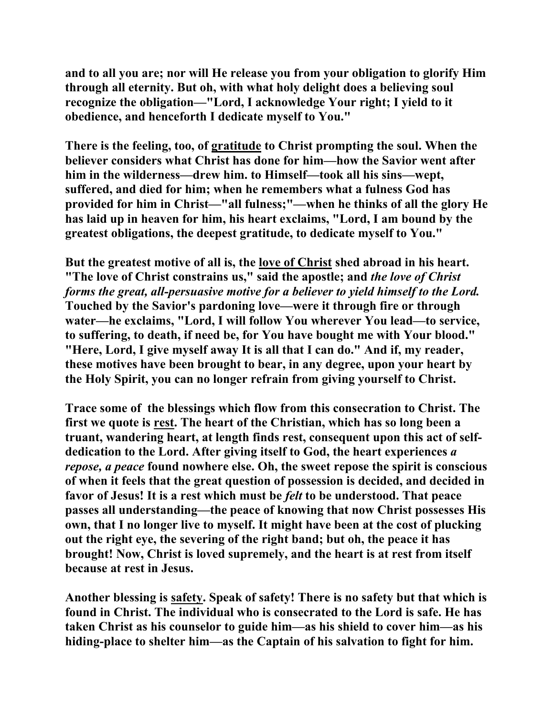**and to all you are; nor will He release you from your obligation to glorify Him through all eternity. But oh, with what holy delight does a believing soul recognize the obligation—"Lord, I acknowledge Your right; I yield to it obedience, and henceforth I dedicate myself to You."** 

**There is the feeling, too, of gratitude to Christ prompting the soul. When the believer considers what Christ has done for him—how the Savior went after him in the wilderness—drew him. to Himself—took all his sins—wept, suffered, and died for him; when he remembers what a fulness God has provided for him in Christ—"all fulness;"—when he thinks of all the glory He has laid up in heaven for him, his heart exclaims, "Lord, I am bound by the greatest obligations, the deepest gratitude, to dedicate myself to You."** 

**But the greatest motive of all is, the love of Christ shed abroad in his heart. "The love of Christ constrains us," said the apostle; and** *the love of Christ forms the great, all-persuasive motive for a believer to yield himself to the Lord.* **Touched by the Savior's pardoning love—were it through fire or through water—he exclaims, "Lord, I will follow You wherever You lead—to service, to suffering, to death, if need be, for You have bought me with Your blood." "Here, Lord, I give myself away It is all that I can do." And if, my reader, these motives have been brought to bear, in any degree, upon your heart by the Holy Spirit, you can no longer refrain from giving yourself to Christ.** 

**Trace some of the blessings which flow from this consecration to Christ. The first we quote is rest. The heart of the Christian, which has so long been a truant, wandering heart, at length finds rest, consequent upon this act of selfdedication to the Lord. After giving itself to God, the heart experiences** *a repose, a peace* **found nowhere else. Oh, the sweet repose the spirit is conscious of when it feels that the great question of possession is decided, and decided in favor of Jesus! It is a rest which must be** *felt* **to be understood. That peace passes all understanding—the peace of knowing that now Christ possesses His own, that I no longer live to myself. It might have been at the cost of plucking out the right eye, the severing of the right band; but oh, the peace it has brought! Now, Christ is loved supremely, and the heart is at rest from itself because at rest in Jesus.** 

**Another blessing is safety. Speak of safety! There is no safety but that which is found in Christ. The individual who is consecrated to the Lord is safe. He has taken Christ as his counselor to guide him—as his shield to cover him—as his hiding-place to shelter him—as the Captain of his salvation to fight for him.**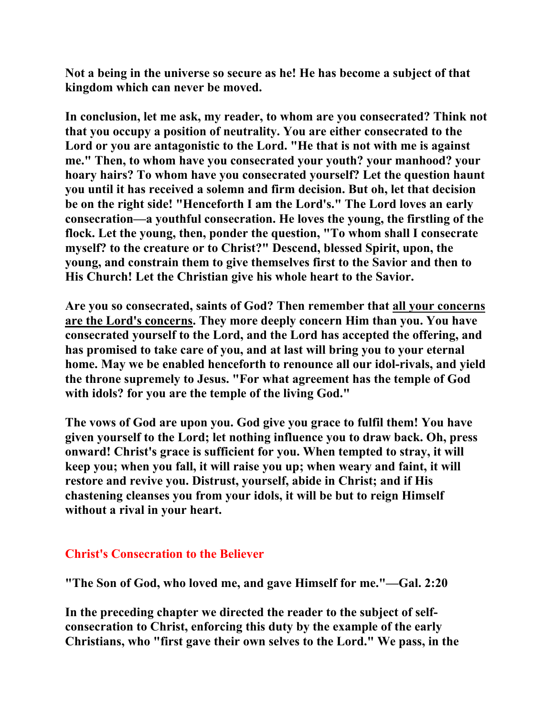**Not a being in the universe so secure as he! He has become a subject of that kingdom which can never be moved.** 

**In conclusion, let me ask, my reader, to whom are you consecrated? Think not that you occupy a position of neutrality. You are either consecrated to the Lord or you are antagonistic to the Lord. "He that is not with me is against me." Then, to whom have you consecrated your youth? your manhood? your hoary hairs? To whom have you consecrated yourself? Let the question haunt you until it has received a solemn and firm decision. But oh, let that decision be on the right side! "Henceforth I am the Lord's." The Lord loves an early consecration—a youthful consecration. He loves the young, the firstling of the flock. Let the young, then, ponder the question, "To whom shall I consecrate myself? to the creature or to Christ?" Descend, blessed Spirit, upon, the young, and constrain them to give themselves first to the Savior and then to His Church! Let the Christian give his whole heart to the Savior.** 

**Are you so consecrated, saints of God? Then remember that all your concerns are the Lord's concerns. They more deeply concern Him than you. You have consecrated yourself to the Lord, and the Lord has accepted the offering, and has promised to take care of you, and at last will bring you to your eternal home. May we be enabled henceforth to renounce all our idol-rivals, and yield the throne supremely to Jesus. "For what agreement has the temple of God with idols? for you are the temple of the living God."** 

**The vows of God are upon you. God give you grace to fulfil them! You have given yourself to the Lord; let nothing influence you to draw back. Oh, press onward! Christ's grace is sufficient for you. When tempted to stray, it will keep you; when you fall, it will raise you up; when weary and faint, it will restore and revive you. Distrust, yourself, abide in Christ; and if His chastening cleanses you from your idols, it will be but to reign Himself without a rival in your heart.** 

#### **Christ's Consecration to the Believer**

**"The Son of God, who loved me, and gave Himself for me."—Gal. 2:20** 

**In the preceding chapter we directed the reader to the subject of selfconsecration to Christ, enforcing this duty by the example of the early Christians, who "first gave their own selves to the Lord." We pass, in the**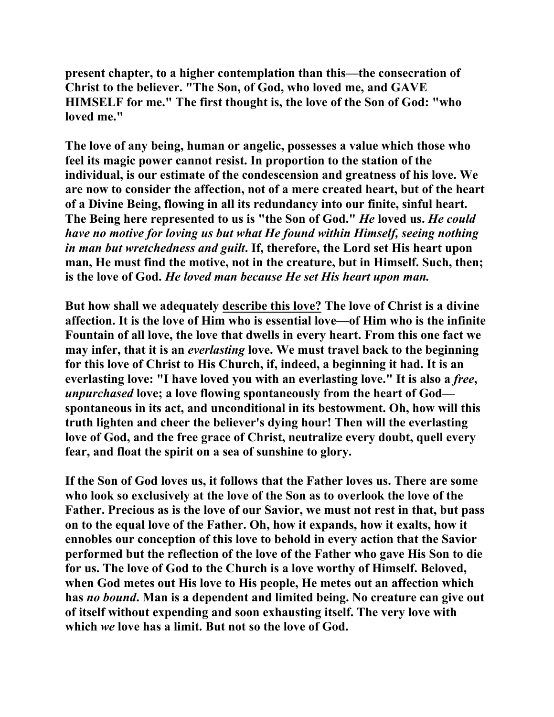**present chapter, to a higher contemplation than this—the consecration of Christ to the believer. "The Son, of God, who loved me, and GAVE HIMSELF for me." The first thought is, the love of the Son of God: "who loved me."** 

**The love of any being, human or angelic, possesses a value which those who feel its magic power cannot resist. In proportion to the station of the individual, is our estimate of the condescension and greatness of his love. We are now to consider the affection, not of a mere created heart, but of the heart of a Divine Being, flowing in all its redundancy into our finite, sinful heart. The Being here represented to us is "the Son of God."** *He* **loved us.** *He could have no motive for loving us but what He found within Himself, seeing nothing in man but wretchedness and guilt***. If, therefore, the Lord set His heart upon man, He must find the motive, not in the creature, but in Himself. Such, then; is the love of God.** *He loved man because He set His heart upon man.* 

**But how shall we adequately describe this love? The love of Christ is a divine affection. It is the love of Him who is essential love—of Him who is the infinite Fountain of all love, the love that dwells in every heart. From this one fact we may infer, that it is an** *everlasting* **love. We must travel back to the beginning for this love of Christ to His Church, if, indeed, a beginning it had. It is an everlasting love: "I have loved you with an everlasting love." It is also a** *free***,**  *unpurchased* **love; a love flowing spontaneously from the heart of God spontaneous in its act, and unconditional in its bestowment. Oh, how will this truth lighten and cheer the believer's dying hour! Then will the everlasting love of God, and the free grace of Christ, neutralize every doubt, quell every fear, and float the spirit on a sea of sunshine to glory.** 

**If the Son of God loves us, it follows that the Father loves us. There are some who look so exclusively at the love of the Son as to overlook the love of the Father. Precious as is the love of our Savior, we must not rest in that, but pass on to the equal love of the Father. Oh, how it expands, how it exalts, how it ennobles our conception of this love to behold in every action that the Savior performed but the reflection of the love of the Father who gave His Son to die for us. The love of God to the Church is a love worthy of Himself. Beloved, when God metes out His love to His people, He metes out an affection which has** *no bound***. Man is a dependent and limited being. No creature can give out of itself without expending and soon exhausting itself. The very love with which** *we* **love has a limit. But not so the love of God.**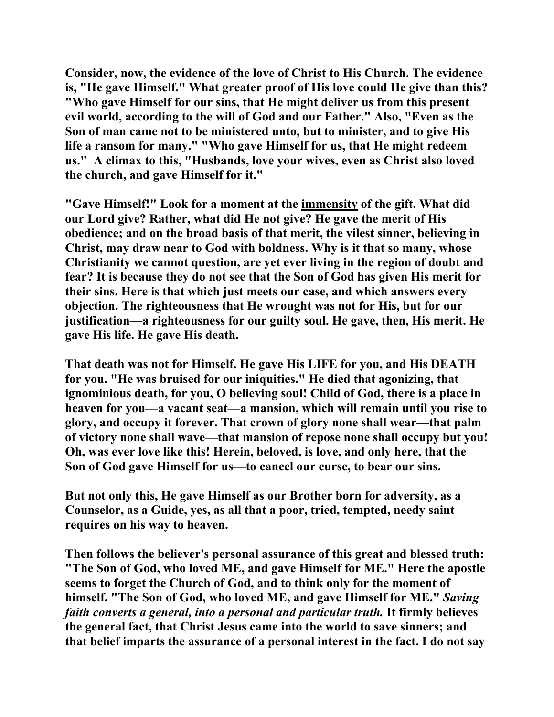**Consider, now, the evidence of the love of Christ to His Church. The evidence is, "He gave Himself." What greater proof of His love could He give than this? "Who gave Himself for our sins, that He might deliver us from this present evil world, according to the will of God and our Father." Also, "Even as the Son of man came not to be ministered unto, but to minister, and to give His life a ransom for many." "Who gave Himself for us, that He might redeem us." A climax to this, "Husbands, love your wives, even as Christ also loved the church, and gave Himself for it."** 

**"Gave Himself!" Look for a moment at the immensity of the gift. What did our Lord give? Rather, what did He not give? He gave the merit of His obedience; and on the broad basis of that merit, the vilest sinner, believing in Christ, may draw near to God with boldness. Why is it that so many, whose Christianity we cannot question, are yet ever living in the region of doubt and fear? It is because they do not see that the Son of God has given His merit for their sins. Here is that which just meets our case, and which answers every objection. The righteousness that He wrought was not for His, but for our justification—a righteousness for our guilty soul. He gave, then, His merit. He gave His life. He gave His death.** 

**That death was not for Himself. He gave His LIFE for you, and His DEATH for you. "He was bruised for our iniquities." He died that agonizing, that ignominious death, for you, O believing soul! Child of God, there is a place in heaven for you—a vacant seat—a mansion, which will remain until you rise to glory, and occupy it forever. That crown of glory none shall wear—that palm of victory none shall wave—that mansion of repose none shall occupy but you! Oh, was ever love like this! Herein, beloved, is love, and only here, that the Son of God gave Himself for us—to cancel our curse, to bear our sins.** 

**But not only this, He gave Himself as our Brother born for adversity, as a Counselor, as a Guide, yes, as all that a poor, tried, tempted, needy saint requires on his way to heaven.** 

**Then follows the believer's personal assurance of this great and blessed truth: "The Son of God, who loved ME, and gave Himself for ME." Here the apostle seems to forget the Church of God, and to think only for the moment of himself. "The Son of God, who loved ME, and gave Himself for ME."** *Saving faith converts a general, into a personal and particular truth.* **It firmly believes the general fact, that Christ Jesus came into the world to save sinners; and that belief imparts the assurance of a personal interest in the fact. I do not say**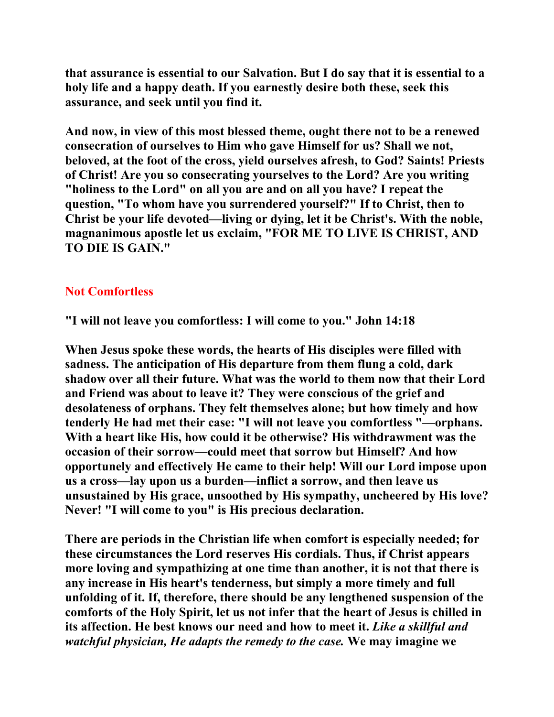**that assurance is essential to our Salvation. But I do say that it is essential to a holy life and a happy death. If you earnestly desire both these, seek this assurance, and seek until you find it.** 

**And now, in view of this most blessed theme, ought there not to be a renewed consecration of ourselves to Him who gave Himself for us? Shall we not, beloved, at the foot of the cross, yield ourselves afresh, to God? Saints! Priests of Christ! Are you so consecrating yourselves to the Lord? Are you writing "holiness to the Lord" on all you are and on all you have? I repeat the question, "To whom have you surrendered yourself?" If to Christ, then to Christ be your life devoted—living or dying, let it be Christ's. With the noble, magnanimous apostle let us exclaim, "FOR ME TO LIVE IS CHRIST, AND TO DIE IS GAIN."** 

### **Not Comfortless**

**"I will not leave you comfortless: I will come to you." John 14:18** 

**When Jesus spoke these words, the hearts of His disciples were filled with sadness. The anticipation of His departure from them flung a cold, dark shadow over all their future. What was the world to them now that their Lord and Friend was about to leave it? They were conscious of the grief and desolateness of orphans. They felt themselves alone; but how timely and how tenderly He had met their case: "I will not leave you comfortless "—orphans. With a heart like His, how could it be otherwise? His withdrawment was the occasion of their sorrow—could meet that sorrow but Himself? And how opportunely and effectively He came to their help! Will our Lord impose upon us a cross—lay upon us a burden—inflict a sorrow, and then leave us unsustained by His grace, unsoothed by His sympathy, uncheered by His love? Never! "I will come to you" is His precious declaration.** 

**There are periods in the Christian life when comfort is especially needed; for these circumstances the Lord reserves His cordials. Thus, if Christ appears more loving and sympathizing at one time than another, it is not that there is any increase in His heart's tenderness, but simply a more timely and full unfolding of it. If, therefore, there should be any lengthened suspension of the comforts of the Holy Spirit, let us not infer that the heart of Jesus is chilled in its affection. He best knows our need and how to meet it.** *Like a skillful and watchful physician, He adapts the remedy to the case.* **We may imagine we**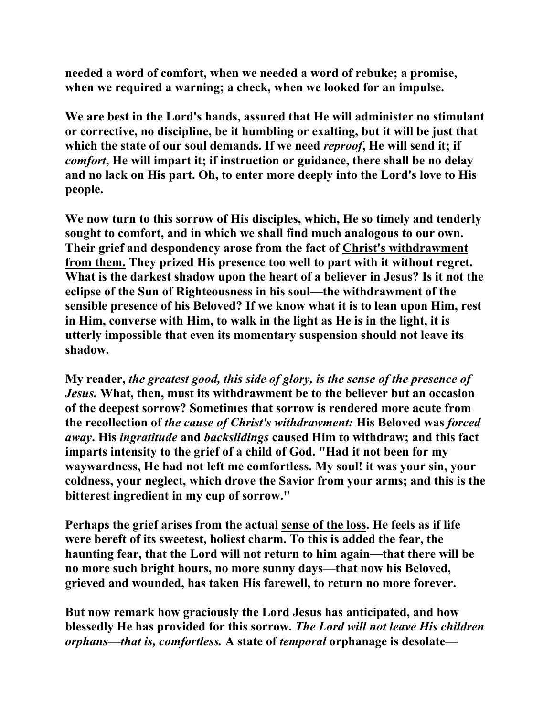**needed a word of comfort, when we needed a word of rebuke; a promise, when we required a warning; a check, when we looked for an impulse.** 

**We are best in the Lord's hands, assured that He will administer no stimulant or corrective, no discipline, be it humbling or exalting, but it will be just that which the state of our soul demands. If we need** *reproof***, He will send it; if**  *comfort***, He will impart it; if instruction or guidance, there shall be no delay and no lack on His part. Oh, to enter more deeply into the Lord's love to His people.** 

**We now turn to this sorrow of His disciples, which, He so timely and tenderly sought to comfort, and in which we shall find much analogous to our own. Their grief and despondency arose from the fact of Christ's withdrawment from them. They prized His presence too well to part with it without regret. What is the darkest shadow upon the heart of a believer in Jesus? Is it not the eclipse of the Sun of Righteousness in his soul—the withdrawment of the sensible presence of his Beloved? If we know what it is to lean upon Him, rest in Him, converse with Him, to walk in the light as He is in the light, it is utterly impossible that even its momentary suspension should not leave its shadow.** 

**My reader,** *the greatest good, this side of glory, is the sense of the presence of Jesus.* **What, then, must its withdrawment be to the believer but an occasion of the deepest sorrow? Sometimes that sorrow is rendered more acute from the recollection of** *the cause of Christ's withdrawment:* **His Beloved was** *forced away***. His** *ingratitude* **and** *backslidings* **caused Him to withdraw; and this fact imparts intensity to the grief of a child of God. "Had it not been for my waywardness, He had not left me comfortless. My soul! it was your sin, your coldness, your neglect, which drove the Savior from your arms; and this is the bitterest ingredient in my cup of sorrow."** 

**Perhaps the grief arises from the actual sense of the loss. He feels as if life were bereft of its sweetest, holiest charm. To this is added the fear, the haunting fear, that the Lord will not return to him again—that there will be no more such bright hours, no more sunny days—that now his Beloved, grieved and wounded, has taken His farewell, to return no more forever.** 

**But now remark how graciously the Lord Jesus has anticipated, and how blessedly He has provided for this sorrow.** *The Lord will not leave His children orphans—that is, comfortless.* **A state of** *temporal* **orphanage is desolate—**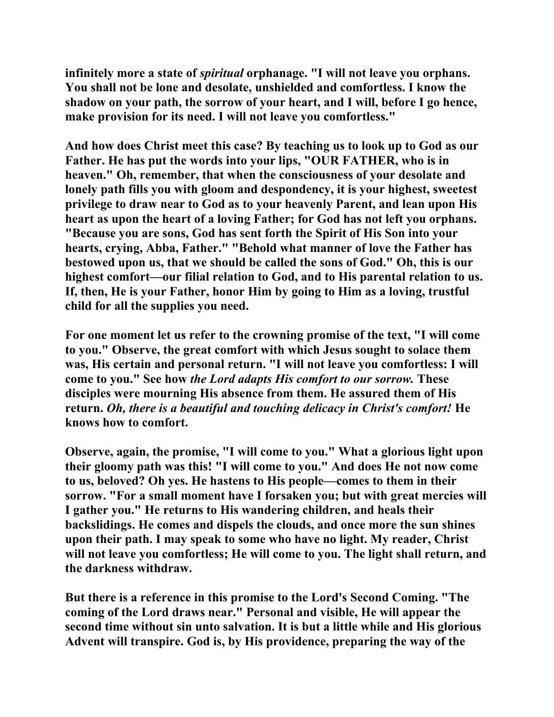**infinitely more a state of** *spiritual* **orphanage. "I will not leave you orphans. You shall not be lone and desolate, unshielded and comfortless. I know the shadow on your path, the sorrow of your heart, and I will, before I go hence, make provision for its need. I will not leave you comfortless."** 

**And how does Christ meet this case? By teaching us to look up to God as our Father. He has put the words into your lips, "OUR FATHER, who is in heaven." Oh, remember, that when the consciousness of your desolate and lonely path fills you with gloom and despondency, it is your highest, sweetest privilege to draw near to God as to your heavenly Parent, and lean upon His heart as upon the heart of a loving Father; for God has not left you orphans. "Because you are sons, God has sent forth the Spirit of His Son into your hearts, crying, Abba, Father." "Behold what manner of love the Father has bestowed upon us, that we should be called the sons of God." Oh, this is our highest comfort—our filial relation to God, and to His parental relation to us. If, then, He is your Father, honor Him by going to Him as a loving, trustful child for all the supplies you need.** 

**For one moment let us refer to the crowning promise of the text, "I will come to you." Observe, the great comfort with which Jesus sought to solace them was, His certain and personal return. "I will not leave you comfortless: I will come to you." See how** *the Lord adapts His comfort to our sorrow.* **These disciples were mourning His absence from them. He assured them of His return.** *Oh, there is a beautiful and touching delicacy in Christ's comfort!* **He knows how to comfort.** 

**Observe, again, the promise, "I will come to you." What a glorious light upon their gloomy path was this! "I will come to you." And does He not now come to us, beloved? Oh yes. He hastens to His people—comes to them in their sorrow. "For a small moment have I forsaken you; but with great mercies will I gather you." He returns to His wandering children, and heals their backslidings. He comes and dispels the clouds, and once more the sun shines upon their path. I may speak to some who have no light. My reader, Christ will not leave you comfortless; He will come to you. The light shall return, and the darkness withdraw.** 

**But there is a reference in this promise to the Lord's Second Coming. "The coming of the Lord draws near." Personal and visible, He will appear the second time without sin unto salvation. It is but a little while and His glorious Advent will transpire. God is, by His providence, preparing the way of the**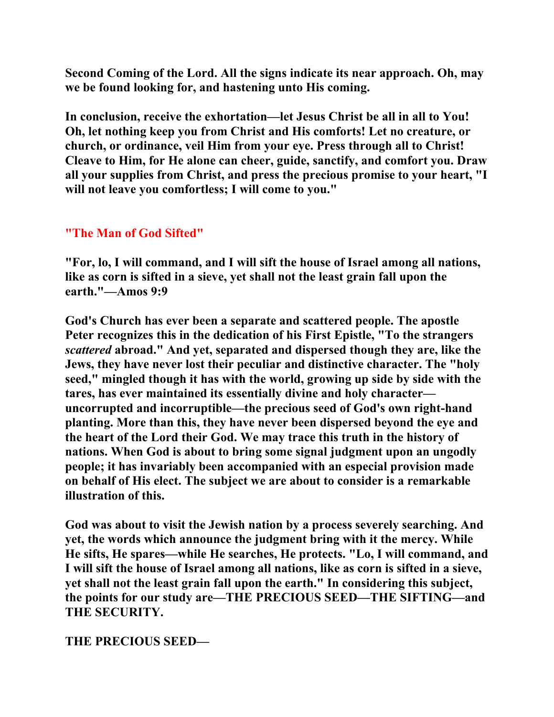**Second Coming of the Lord. All the signs indicate its near approach. Oh, may we be found looking for, and hastening unto His coming.** 

**In conclusion, receive the exhortation—let Jesus Christ be all in all to You! Oh, let nothing keep you from Christ and His comforts! Let no creature, or church, or ordinance, veil Him from your eye. Press through all to Christ! Cleave to Him, for He alone can cheer, guide, sanctify, and comfort you. Draw all your supplies from Christ, and press the precious promise to your heart, "I will not leave you comfortless; I will come to you."** 

### **"The Man of God Sifted"**

**"For, lo, I will command, and I will sift the house of Israel among all nations, like as corn is sifted in a sieve, yet shall not the least grain fall upon the earth."—Amos 9:9** 

**God's Church has ever been a separate and scattered people. The apostle Peter recognizes this in the dedication of his First Epistle, "To the strangers**  *scattered* **abroad." And yet, separated and dispersed though they are, like the Jews, they have never lost their peculiar and distinctive character. The "holy seed," mingled though it has with the world, growing up side by side with the tares, has ever maintained its essentially divine and holy character uncorrupted and incorruptible—the precious seed of God's own right-hand planting. More than this, they have never been dispersed beyond the eye and the heart of the Lord their God. We may trace this truth in the history of nations. When God is about to bring some signal judgment upon an ungodly people; it has invariably been accompanied with an especial provision made on behalf of His elect. The subject we are about to consider is a remarkable illustration of this.** 

**God was about to visit the Jewish nation by a process severely searching. And yet, the words which announce the judgment bring with it the mercy. While He sifts, He spares—while He searches, He protects. "Lo, I will command, and I will sift the house of Israel among all nations, like as corn is sifted in a sieve, yet shall not the least grain fall upon the earth." In considering this subject, the points for our study are—THE PRECIOUS SEED—THE SIFTING—and THE SECURITY.** 

**THE PRECIOUS SEED—**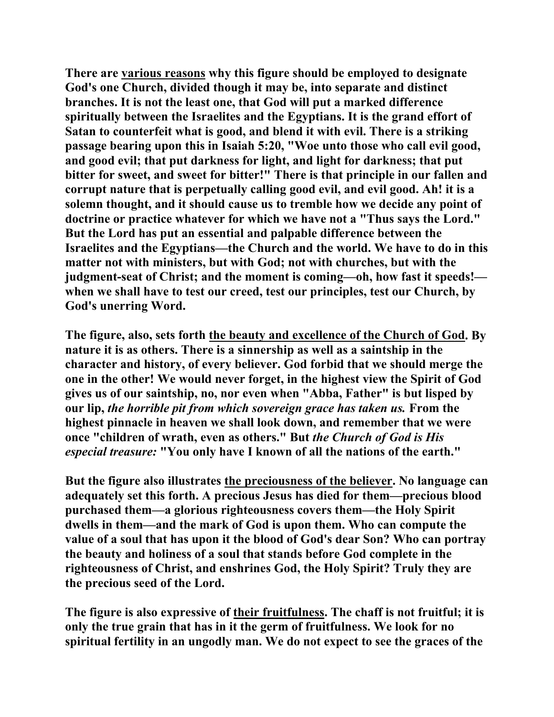**There are various reasons why this figure should be employed to designate God's one Church, divided though it may be, into separate and distinct branches. It is not the least one, that God will put a marked difference spiritually between the Israelites and the Egyptians. It is the grand effort of Satan to counterfeit what is good, and blend it with evil. There is a striking passage bearing upon this in Isaiah 5:20, "Woe unto those who call evil good, and good evil; that put darkness for light, and light for darkness; that put bitter for sweet, and sweet for bitter!" There is that principle in our fallen and corrupt nature that is perpetually calling good evil, and evil good. Ah! it is a solemn thought, and it should cause us to tremble how we decide any point of doctrine or practice whatever for which we have not a "Thus says the Lord." But the Lord has put an essential and palpable difference between the Israelites and the Egyptians—the Church and the world. We have to do in this matter not with ministers, but with God; not with churches, but with the judgment-seat of Christ; and the moment is coming—oh, how fast it speeds! when we shall have to test our creed, test our principles, test our Church, by God's unerring Word.** 

**The figure, also, sets forth the beauty and excellence of the Church of God. By nature it is as others. There is a sinnership as well as a saintship in the character and history, of every believer. God forbid that we should merge the one in the other! We would never forget, in the highest view the Spirit of God gives us of our saintship, no, nor even when "Abba, Father" is but lisped by our lip,** *the horrible pit from which sovereign grace has taken us.* **From the highest pinnacle in heaven we shall look down, and remember that we were once "children of wrath, even as others." But** *the Church of God is His especial treasure:* **"You only have I known of all the nations of the earth."** 

**But the figure also illustrates the preciousness of the believer. No language can adequately set this forth. A precious Jesus has died for them—precious blood purchased them—a glorious righteousness covers them—the Holy Spirit dwells in them—and the mark of God is upon them. Who can compute the value of a soul that has upon it the blood of God's dear Son? Who can portray the beauty and holiness of a soul that stands before God complete in the righteousness of Christ, and enshrines God, the Holy Spirit? Truly they are the precious seed of the Lord.** 

**The figure is also expressive of their fruitfulness. The chaff is not fruitful; it is only the true grain that has in it the germ of fruitfulness. We look for no spiritual fertility in an ungodly man. We do not expect to see the graces of the**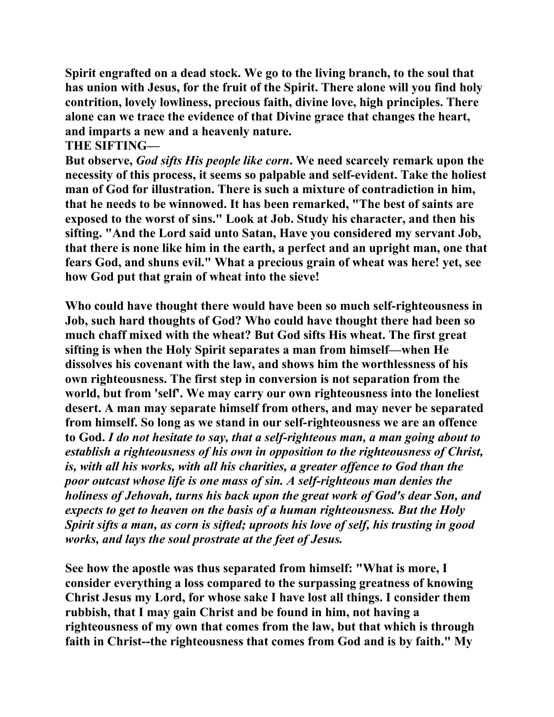**Spirit engrafted on a dead stock. We go to the living branch, to the soul that has union with Jesus, for the fruit of the Spirit. There alone will you find holy contrition, lovely lowliness, precious faith, divine love, high principles. There alone can we trace the evidence of that Divine grace that changes the heart, and imparts a new and a heavenly nature.** 

#### **THE SIFTING—**

**But observe,** *God sifts His people like corn***. We need scarcely remark upon the necessity of this process, it seems so palpable and self-evident. Take the holiest man of God for illustration. There is such a mixture of contradiction in him, that he needs to be winnowed. It has been remarked, "The best of saints are exposed to the worst of sins." Look at Job. Study his character, and then his sifting. "And the Lord said unto Satan, Have you considered my servant Job, that there is none like him in the earth, a perfect and an upright man, one that fears God, and shuns evil." What a precious grain of wheat was here! yet, see how God put that grain of wheat into the sieve!** 

**Who could have thought there would have been so much self-righteousness in Job, such hard thoughts of God? Who could have thought there had been so much chaff mixed with the wheat? But God sifts His wheat. The first great sifting is when the Holy Spirit separates a man from himself—when He dissolves his covenant with the law, and shows him the worthlessness of his own righteousness. The first step in conversion is not separation from the world, but from 'self'. We may carry our own righteousness into the loneliest desert. A man may separate himself from others, and may never be separated from himself. So long as we stand in our self-righteousness we are an offence to God.** *I do not hesitate to say, that a self-righteous man, a man going about to establish a righteousness of his own in opposition to the righteousness of Christ, is, with all his works, with all his charities, a greater offence to God than the poor outcast whose life is one mass of sin. A self-righteous man denies the holiness of Jehovah, turns his back upon the great work of God's dear Son, and expects to get to heaven on the basis of a human righteousness. But the Holy Spirit sifts a man, as corn is sifted; uproots his love of self, his trusting in good works, and lays the soul prostrate at the feet of Jesus.* 

**See how the apostle was thus separated from himself: "What is more, I consider everything a loss compared to the surpassing greatness of knowing Christ Jesus my Lord, for whose sake I have lost all things. I consider them rubbish, that I may gain Christ and be found in him, not having a righteousness of my own that comes from the law, but that which is through faith in Christ--the righteousness that comes from God and is by faith." My**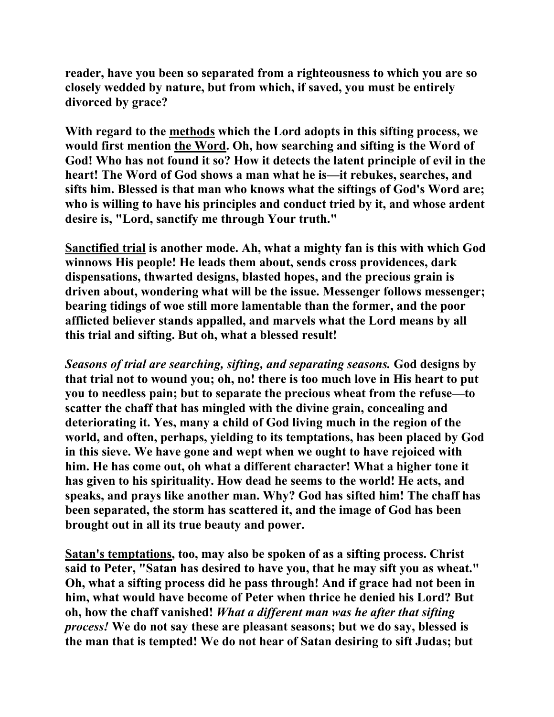**reader, have you been so separated from a righteousness to which you are so closely wedded by nature, but from which, if saved, you must be entirely divorced by grace?** 

**With regard to the methods which the Lord adopts in this sifting process, we would first mention the Word. Oh, how searching and sifting is the Word of God! Who has not found it so? How it detects the latent principle of evil in the heart! The Word of God shows a man what he is—it rebukes, searches, and sifts him. Blessed is that man who knows what the siftings of God's Word are; who is willing to have his principles and conduct tried by it, and whose ardent desire is, "Lord, sanctify me through Your truth."** 

**Sanctified trial is another mode. Ah, what a mighty fan is this with which God winnows His people! He leads them about, sends cross providences, dark dispensations, thwarted designs, blasted hopes, and the precious grain is driven about, wondering what will be the issue. Messenger follows messenger; bearing tidings of woe still more lamentable than the former, and the poor afflicted believer stands appalled, and marvels what the Lord means by all this trial and sifting. But oh, what a blessed result!** 

*Seasons of trial are searching, sifting, and separating seasons.* **God designs by that trial not to wound you; oh, no! there is too much love in His heart to put you to needless pain; but to separate the precious wheat from the refuse—to scatter the chaff that has mingled with the divine grain, concealing and deteriorating it. Yes, many a child of God living much in the region of the world, and often, perhaps, yielding to its temptations, has been placed by God in this sieve. We have gone and wept when we ought to have rejoiced with him. He has come out, oh what a different character! What a higher tone it has given to his spirituality. How dead he seems to the world! He acts, and speaks, and prays like another man. Why? God has sifted him! The chaff has been separated, the storm has scattered it, and the image of God has been brought out in all its true beauty and power.** 

**Satan's temptations, too, may also be spoken of as a sifting process. Christ said to Peter, "Satan has desired to have you, that he may sift you as wheat." Oh, what a sifting process did he pass through! And if grace had not been in him, what would have become of Peter when thrice he denied his Lord? But oh, how the chaff vanished!** *What a different man was he after that sifting process!* **We do not say these are pleasant seasons; but we do say, blessed is the man that is tempted! We do not hear of Satan desiring to sift Judas; but**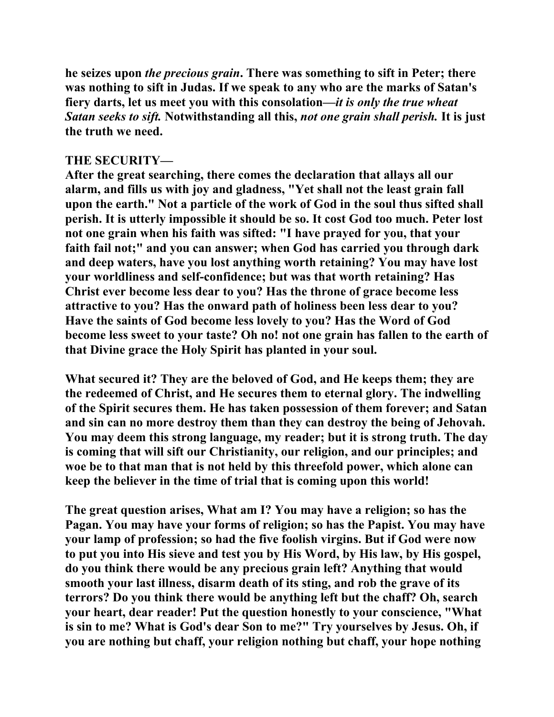**he seizes upon** *the precious grain***. There was something to sift in Peter; there was nothing to sift in Judas. If we speak to any who are the marks of Satan's fiery darts, let us meet you with this consolation***—it is only the true wheat Satan seeks to sift.* **Notwithstanding all this,** *not one grain shall perish.* **It is just the truth we need.** 

### **THE SECURITY—**

**After the great searching, there comes the declaration that allays all our alarm, and fills us with joy and gladness, "Yet shall not the least grain fall upon the earth." Not a particle of the work of God in the soul thus sifted shall perish. It is utterly impossible it should be so. It cost God too much. Peter lost not one grain when his faith was sifted: "I have prayed for you, that your faith fail not;" and you can answer; when God has carried you through dark and deep waters, have you lost anything worth retaining? You may have lost your worldliness and self-confidence; but was that worth retaining? Has Christ ever become less dear to you? Has the throne of grace become less attractive to you? Has the onward path of holiness been less dear to you? Have the saints of God become less lovely to you? Has the Word of God become less sweet to your taste? Oh no! not one grain has fallen to the earth of that Divine grace the Holy Spirit has planted in your soul.** 

**What secured it? They are the beloved of God, and He keeps them; they are the redeemed of Christ, and He secures them to eternal glory. The indwelling of the Spirit secures them. He has taken possession of them forever; and Satan and sin can no more destroy them than they can destroy the being of Jehovah. You may deem this strong language, my reader; but it is strong truth. The day is coming that will sift our Christianity, our religion, and our principles; and woe be to that man that is not held by this threefold power, which alone can keep the believer in the time of trial that is coming upon this world!** 

**The great question arises, What am I? You may have a religion; so has the Pagan. You may have your forms of religion; so has the Papist. You may have your lamp of profession; so had the five foolish virgins. But if God were now to put you into His sieve and test you by His Word, by His law, by His gospel, do you think there would be any precious grain left? Anything that would smooth your last illness, disarm death of its sting, and rob the grave of its terrors? Do you think there would be anything left but the chaff? Oh, search your heart, dear reader! Put the question honestly to your conscience, "What is sin to me? What is God's dear Son to me?" Try yourselves by Jesus. Oh, if you are nothing but chaff, your religion nothing but chaff, your hope nothing**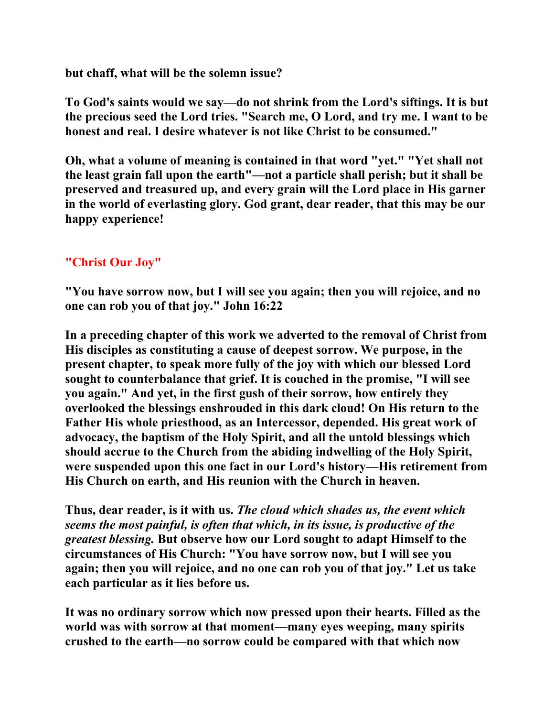**but chaff, what will be the solemn issue?** 

**To God's saints would we say—do not shrink from the Lord's siftings. It is but the precious seed the Lord tries. "Search me, O Lord, and try me. I want to be honest and real. I desire whatever is not like Christ to be consumed."** 

**Oh, what a volume of meaning is contained in that word "yet." "Yet shall not the least grain fall upon the earth"—not a particle shall perish; but it shall be preserved and treasured up, and every grain will the Lord place in His garner in the world of everlasting glory. God grant, dear reader, that this may be our happy experience!** 

# **"Christ Our Joy"**

**"You have sorrow now, but I will see you again; then you will rejoice, and no one can rob you of that joy." John 16:22** 

**In a preceding chapter of this work we adverted to the removal of Christ from His disciples as constituting a cause of deepest sorrow. We purpose, in the present chapter, to speak more fully of the joy with which our blessed Lord sought to counterbalance that grief. It is couched in the promise, "I will see you again." And yet, in the first gush of their sorrow, how entirely they overlooked the blessings enshrouded in this dark cloud! On His return to the Father His whole priesthood, as an Intercessor, depended. His great work of advocacy, the baptism of the Holy Spirit, and all the untold blessings which should accrue to the Church from the abiding indwelling of the Holy Spirit, were suspended upon this one fact in our Lord's history—His retirement from His Church on earth, and His reunion with the Church in heaven.** 

**Thus, dear reader, is it with us.** *The cloud which shades us, the event which seems the most painful, is often that which, in its issue, is productive of the greatest blessing.* **But observe how our Lord sought to adapt Himself to the circumstances of His Church: "You have sorrow now, but I will see you again; then you will rejoice, and no one can rob you of that joy." Let us take each particular as it lies before us.** 

**It was no ordinary sorrow which now pressed upon their hearts. Filled as the world was with sorrow at that moment—many eyes weeping, many spirits crushed to the earth—no sorrow could be compared with that which now**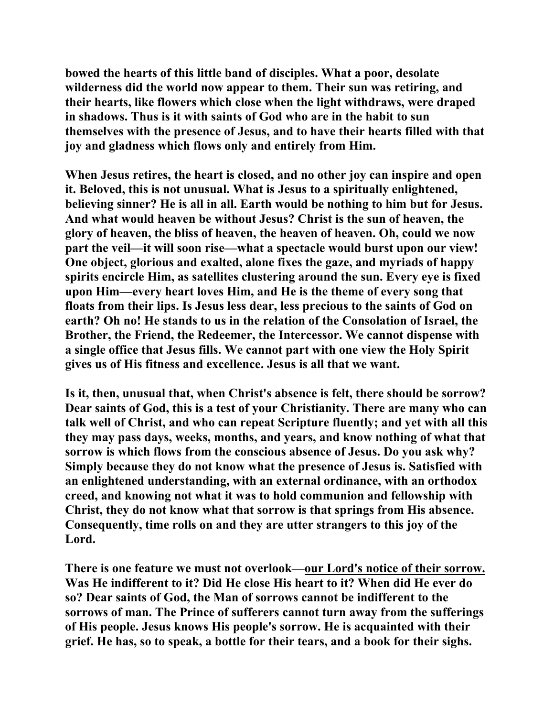**bowed the hearts of this little band of disciples. What a poor, desolate wilderness did the world now appear to them. Their sun was retiring, and their hearts, like flowers which close when the light withdraws, were draped in shadows. Thus is it with saints of God who are in the habit to sun themselves with the presence of Jesus, and to have their hearts filled with that joy and gladness which flows only and entirely from Him.** 

**When Jesus retires, the heart is closed, and no other joy can inspire and open it. Beloved, this is not unusual. What is Jesus to a spiritually enlightened, believing sinner? He is all in all. Earth would be nothing to him but for Jesus. And what would heaven be without Jesus? Christ is the sun of heaven, the glory of heaven, the bliss of heaven, the heaven of heaven. Oh, could we now part the veil—it will soon rise—what a spectacle would burst upon our view! One object, glorious and exalted, alone fixes the gaze, and myriads of happy spirits encircle Him, as satellites clustering around the sun. Every eye is fixed upon Him—every heart loves Him, and He is the theme of every song that floats from their lips. Is Jesus less dear, less precious to the saints of God on earth? Oh no! He stands to us in the relation of the Consolation of Israel, the Brother, the Friend, the Redeemer, the Intercessor. We cannot dispense with a single office that Jesus fills. We cannot part with one view the Holy Spirit gives us of His fitness and excellence. Jesus is all that we want.** 

**Is it, then, unusual that, when Christ's absence is felt, there should be sorrow? Dear saints of God, this is a test of your Christianity. There are many who can talk well of Christ, and who can repeat Scripture fluently; and yet with all this they may pass days, weeks, months, and years, and know nothing of what that sorrow is which flows from the conscious absence of Jesus. Do you ask why? Simply because they do not know what the presence of Jesus is. Satisfied with an enlightened understanding, with an external ordinance, with an orthodox creed, and knowing not what it was to hold communion and fellowship with Christ, they do not know what that sorrow is that springs from His absence. Consequently, time rolls on and they are utter strangers to this joy of the Lord.** 

**There is one feature we must not overlook—our Lord's notice of their sorrow. Was He indifferent to it? Did He close His heart to it? When did He ever do so? Dear saints of God, the Man of sorrows cannot be indifferent to the sorrows of man. The Prince of sufferers cannot turn away from the sufferings of His people. Jesus knows His people's sorrow. He is acquainted with their grief. He has, so to speak, a bottle for their tears, and a book for their sighs.**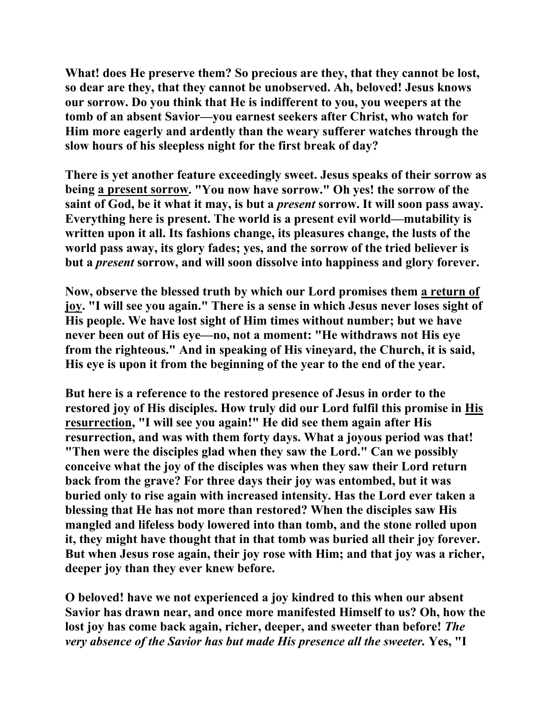**What! does He preserve them? So precious are they, that they cannot be lost, so dear are they, that they cannot be unobserved. Ah, beloved! Jesus knows our sorrow. Do you think that He is indifferent to you, you weepers at the tomb of an absent Savior—you earnest seekers after Christ, who watch for Him more eagerly and ardently than the weary sufferer watches through the slow hours of his sleepless night for the first break of day?** 

**There is yet another feature exceedingly sweet. Jesus speaks of their sorrow as being a present sorrow. "You now have sorrow." Oh yes! the sorrow of the saint of God, be it what it may, is but a** *present* **sorrow. It will soon pass away. Everything here is present. The world is a present evil world—mutability is written upon it all. Its fashions change, its pleasures change, the lusts of the world pass away, its glory fades; yes, and the sorrow of the tried believer is but a** *present* **sorrow, and will soon dissolve into happiness and glory forever.** 

**Now, observe the blessed truth by which our Lord promises them a return of joy. "I will see you again." There is a sense in which Jesus never loses sight of His people. We have lost sight of Him times without number; but we have never been out of His eye—no, not a moment: "He withdraws not His eye from the righteous." And in speaking of His vineyard, the Church, it is said, His eye is upon it from the beginning of the year to the end of the year.** 

**But here is a reference to the restored presence of Jesus in order to the restored joy of His disciples. How truly did our Lord fulfil this promise in His resurrection, "I will see you again!" He did see them again after His resurrection, and was with them forty days. What a joyous period was that! "Then were the disciples glad when they saw the Lord." Can we possibly conceive what the joy of the disciples was when they saw their Lord return back from the grave? For three days their joy was entombed, but it was buried only to rise again with increased intensity. Has the Lord ever taken a blessing that He has not more than restored? When the disciples saw His mangled and lifeless body lowered into than tomb, and the stone rolled upon it, they might have thought that in that tomb was buried all their joy forever. But when Jesus rose again, their joy rose with Him; and that joy was a richer, deeper joy than they ever knew before.** 

**O beloved! have we not experienced a joy kindred to this when our absent Savior has drawn near, and once more manifested Himself to us? Oh, how the lost joy has come back again, richer, deeper, and sweeter than before!** *The very absence of the Savior has but made His presence all the sweeter.* **Yes, "I**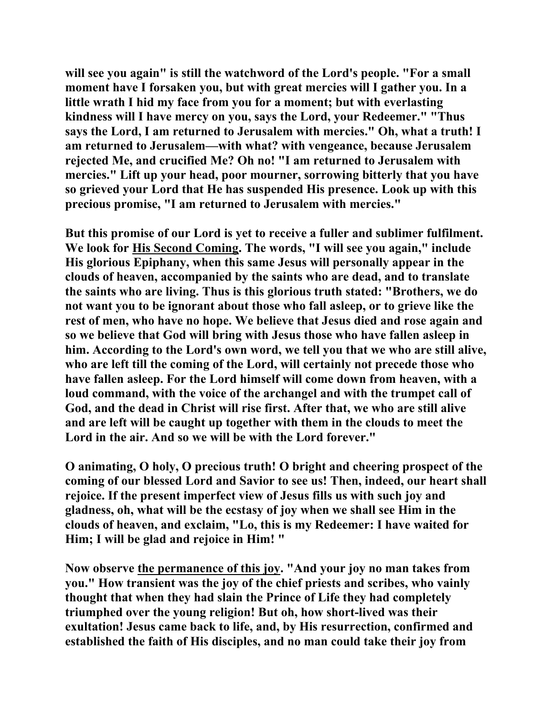**will see you again" is still the watchword of the Lord's people. "For a small moment have I forsaken you, but with great mercies will I gather you. In a little wrath I hid my face from you for a moment; but with everlasting kindness will I have mercy on you, says the Lord, your Redeemer." "Thus says the Lord, I am returned to Jerusalem with mercies." Oh, what a truth! I am returned to Jerusalem—with what? with vengeance, because Jerusalem rejected Me, and crucified Me? Oh no! "I am returned to Jerusalem with mercies." Lift up your head, poor mourner, sorrowing bitterly that you have so grieved your Lord that He has suspended His presence. Look up with this precious promise, "I am returned to Jerusalem with mercies."** 

**But this promise of our Lord is yet to receive a fuller and sublimer fulfilment. We look for His Second Coming. The words, "I will see you again," include His glorious Epiphany, when this same Jesus will personally appear in the clouds of heaven, accompanied by the saints who are dead, and to translate the saints who are living. Thus is this glorious truth stated: "Brothers, we do not want you to be ignorant about those who fall asleep, or to grieve like the rest of men, who have no hope. We believe that Jesus died and rose again and so we believe that God will bring with Jesus those who have fallen asleep in him. According to the Lord's own word, we tell you that we who are still alive, who are left till the coming of the Lord, will certainly not precede those who have fallen asleep. For the Lord himself will come down from heaven, with a loud command, with the voice of the archangel and with the trumpet call of God, and the dead in Christ will rise first. After that, we who are still alive and are left will be caught up together with them in the clouds to meet the Lord in the air. And so we will be with the Lord forever."** 

**O animating, O holy, O precious truth! O bright and cheering prospect of the coming of our blessed Lord and Savior to see us! Then, indeed, our heart shall rejoice. If the present imperfect view of Jesus fills us with such joy and gladness, oh, what will be the ecstasy of joy when we shall see Him in the clouds of heaven, and exclaim, "Lo, this is my Redeemer: I have waited for Him; I will be glad and rejoice in Him! "** 

**Now observe the permanence of this joy. "And your joy no man takes from you." How transient was the joy of the chief priests and scribes, who vainly thought that when they had slain the Prince of Life they had completely triumphed over the young religion! But oh, how short-lived was their exultation! Jesus came back to life, and, by His resurrection, confirmed and established the faith of His disciples, and no man could take their joy from**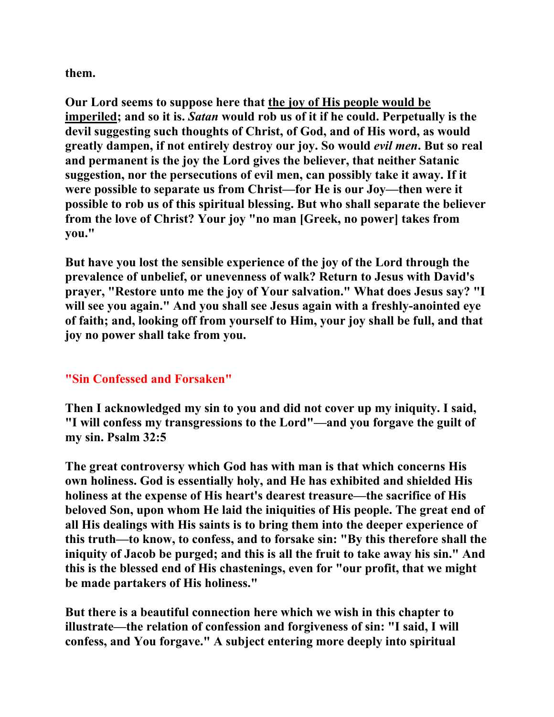**them.** 

**Our Lord seems to suppose here that the joy of His people would be imperiled; and so it is.** *Satan* **would rob us of it if he could. Perpetually is the devil suggesting such thoughts of Christ, of God, and of His word, as would greatly dampen, if not entirely destroy our joy. So would** *evil men***. But so real and permanent is the joy the Lord gives the believer, that neither Satanic suggestion, nor the persecutions of evil men, can possibly take it away. If it were possible to separate us from Christ—for He is our Joy—then were it possible to rob us of this spiritual blessing. But who shall separate the believer from the love of Christ? Your joy "no man [Greek, no power] takes from you."** 

**But have you lost the sensible experience of the joy of the Lord through the prevalence of unbelief, or unevenness of walk? Return to Jesus with David's prayer, "Restore unto me the joy of Your salvation." What does Jesus say? "I will see you again." And you shall see Jesus again with a freshly-anointed eye of faith; and, looking off from yourself to Him, your joy shall be full, and that joy no power shall take from you.** 

### **"Sin Confessed and Forsaken"**

**Then I acknowledged my sin to you and did not cover up my iniquity. I said, "I will confess my transgressions to the Lord"—and you forgave the guilt of my sin. Psalm 32:5** 

**The great controversy which God has with man is that which concerns His own holiness. God is essentially holy, and He has exhibited and shielded His holiness at the expense of His heart's dearest treasure—the sacrifice of His beloved Son, upon whom He laid the iniquities of His people. The great end of all His dealings with His saints is to bring them into the deeper experience of this truth—to know, to confess, and to forsake sin: "By this therefore shall the iniquity of Jacob be purged; and this is all the fruit to take away his sin." And this is the blessed end of His chastenings, even for "our profit, that we might be made partakers of His holiness."** 

**But there is a beautiful connection here which we wish in this chapter to illustrate—the relation of confession and forgiveness of sin: "I said, I will confess, and You forgave." A subject entering more deeply into spiritual**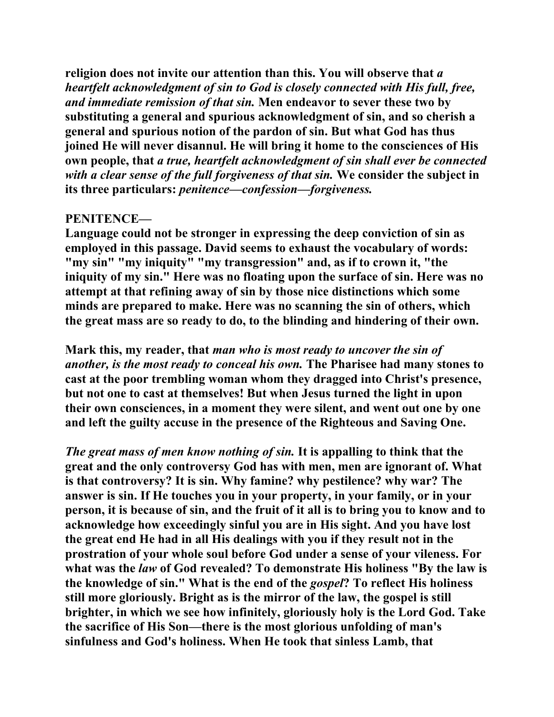**religion does not invite our attention than this. You will observe that** *a heartfelt acknowledgment of sin to God is closely connected with His full, free, and immediate remission of that sin.* **Men endeavor to sever these two by substituting a general and spurious acknowledgment of sin, and so cherish a general and spurious notion of the pardon of sin. But what God has thus joined He will never disannul. He will bring it home to the consciences of His own people, that** *a true, heartfelt acknowledgment of sin shall ever be connected with a clear sense of the full forgiveness of that sin.* **We consider the subject in its three particulars:** *penitence—confession—forgiveness.*

### **PENITENCE—**

**Language could not be stronger in expressing the deep conviction of sin as employed in this passage. David seems to exhaust the vocabulary of words: "my sin" "my iniquity" "my transgression" and, as if to crown it, "the iniquity of my sin." Here was no floating upon the surface of sin. Here was no attempt at that refining away of sin by those nice distinctions which some minds are prepared to make. Here was no scanning the sin of others, which the great mass are so ready to do, to the blinding and hindering of their own.** 

**Mark this, my reader, that** *man who is most ready to uncover the sin of another, is the most ready to conceal his own.* **The Pharisee had many stones to cast at the poor trembling woman whom they dragged into Christ's presence, but not one to cast at themselves! But when Jesus turned the light in upon their own consciences, in a moment they were silent, and went out one by one and left the guilty accuse in the presence of the Righteous and Saving One.** 

*The great mass of men know nothing of sin.* **It is appalling to think that the great and the only controversy God has with men, men are ignorant of. What is that controversy? It is sin. Why famine? why pestilence? why war? The answer is sin. If He touches you in your property, in your family, or in your person, it is because of sin, and the fruit of it all is to bring you to know and to acknowledge how exceedingly sinful you are in His sight. And you have lost the great end He had in all His dealings with you if they result not in the prostration of your whole soul before God under a sense of your vileness. For what was the** *law* **of God revealed? To demonstrate His holiness "By the law is the knowledge of sin." What is the end of the** *gospel***? To reflect His holiness still more gloriously. Bright as is the mirror of the law, the gospel is still brighter, in which we see how infinitely, gloriously holy is the Lord God. Take the sacrifice of His Son—there is the most glorious unfolding of man's sinfulness and God's holiness. When He took that sinless Lamb, that**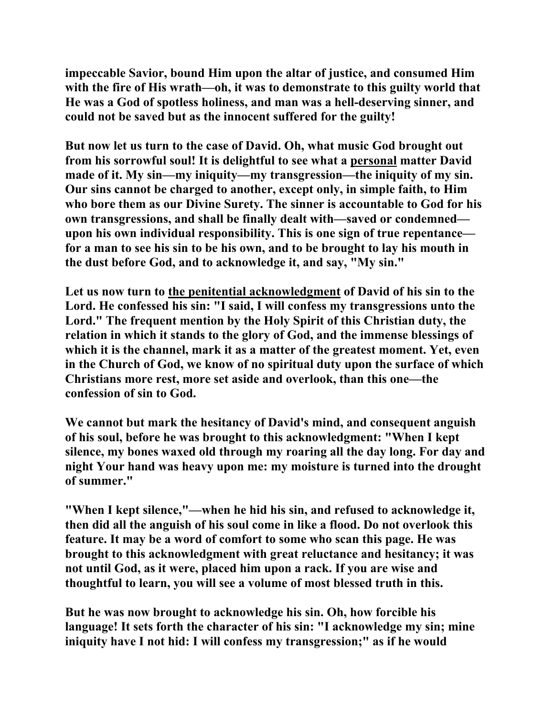**impeccable Savior, bound Him upon the altar of justice, and consumed Him with the fire of His wrath—oh, it was to demonstrate to this guilty world that He was a God of spotless holiness, and man was a hell-deserving sinner, and could not be saved but as the innocent suffered for the guilty!** 

**But now let us turn to the case of David. Oh, what music God brought out from his sorrowful soul! It is delightful to see what a personal matter David made of it. My sin—my iniquity—my transgression—the iniquity of my sin. Our sins cannot be charged to another, except only, in simple faith, to Him who bore them as our Divine Surety. The sinner is accountable to God for his own transgressions, and shall be finally dealt with—saved or condemned upon his own individual responsibility. This is one sign of true repentance for a man to see his sin to be his own, and to be brought to lay his mouth in the dust before God, and to acknowledge it, and say, "My sin."** 

**Let us now turn to the penitential acknowledgment of David of his sin to the Lord. He confessed his sin: "I said, I will confess my transgressions unto the Lord." The frequent mention by the Holy Spirit of this Christian duty, the relation in which it stands to the glory of God, and the immense blessings of which it is the channel, mark it as a matter of the greatest moment. Yet, even in the Church of God, we know of no spiritual duty upon the surface of which Christians more rest, more set aside and overlook, than this one—the confession of sin to God.** 

**We cannot but mark the hesitancy of David's mind, and consequent anguish of his soul, before he was brought to this acknowledgment: "When I kept silence, my bones waxed old through my roaring all the day long. For day and night Your hand was heavy upon me: my moisture is turned into the drought of summer."** 

**"When I kept silence,"—when he hid his sin, and refused to acknowledge it, then did all the anguish of his soul come in like a flood. Do not overlook this feature. It may be a word of comfort to some who scan this page. He was brought to this acknowledgment with great reluctance and hesitancy; it was not until God, as it were, placed him upon a rack. If you are wise and thoughtful to learn, you will see a volume of most blessed truth in this.** 

**But he was now brought to acknowledge his sin. Oh, how forcible his language! It sets forth the character of his sin: "I acknowledge my sin; mine iniquity have I not hid: I will confess my transgression;" as if he would**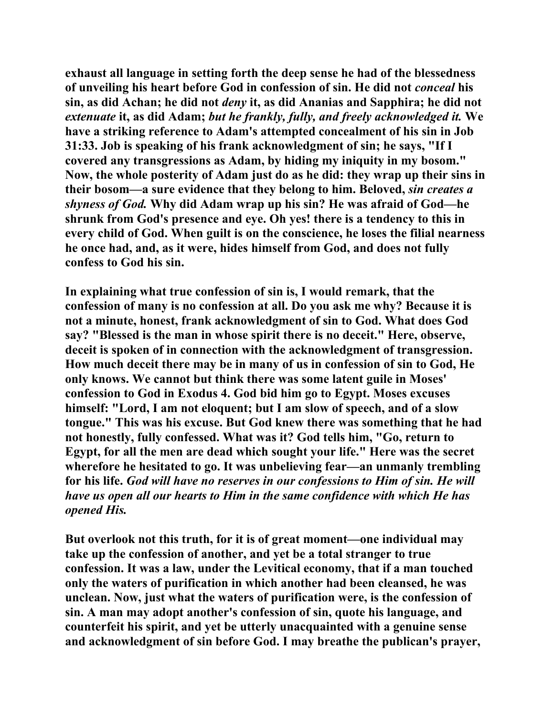**exhaust all language in setting forth the deep sense he had of the blessedness of unveiling his heart before God in confession of sin. He did not** *conceal* **his sin, as did Achan; he did not** *deny* **it, as did Ananias and Sapphira; he did not**  *extenuate* **it, as did Adam;** *but he frankly, fully, and freely acknowledged it.* **We have a striking reference to Adam's attempted concealment of his sin in Job 31:33. Job is speaking of his frank acknowledgment of sin; he says, "If I covered any transgressions as Adam, by hiding my iniquity in my bosom." Now, the whole posterity of Adam just do as he did: they wrap up their sins in their bosom—a sure evidence that they belong to him. Beloved,** *sin creates a shyness of God.* **Why did Adam wrap up his sin? He was afraid of God—he shrunk from God's presence and eye. Oh yes! there is a tendency to this in every child of God. When guilt is on the conscience, he loses the filial nearness he once had, and, as it were, hides himself from God, and does not fully confess to God his sin.** 

**In explaining what true confession of sin is, I would remark, that the confession of many is no confession at all. Do you ask me why? Because it is not a minute, honest, frank acknowledgment of sin to God. What does God say? "Blessed is the man in whose spirit there is no deceit." Here, observe, deceit is spoken of in connection with the acknowledgment of transgression. How much deceit there may be in many of us in confession of sin to God, He only knows. We cannot but think there was some latent guile in Moses' confession to God in Exodus 4. God bid him go to Egypt. Moses excuses himself: "Lord, I am not eloquent; but I am slow of speech, and of a slow tongue." This was his excuse. But God knew there was something that he had not honestly, fully confessed. What was it? God tells him, "Go, return to Egypt, for all the men are dead which sought your life." Here was the secret wherefore he hesitated to go. It was unbelieving fear—an unmanly trembling for his life.** *God will have no reserves in our confessions to Him of sin. He will have us open all our hearts to Him in the same confidence with which He has opened His.* 

**But overlook not this truth, for it is of great moment—one individual may take up the confession of another, and yet be a total stranger to true confession. It was a law, under the Levitical economy, that if a man touched only the waters of purification in which another had been cleansed, he was unclean. Now, just what the waters of purification were, is the confession of sin. A man may adopt another's confession of sin, quote his language, and counterfeit his spirit, and yet be utterly unacquainted with a genuine sense and acknowledgment of sin before God. I may breathe the publican's prayer,**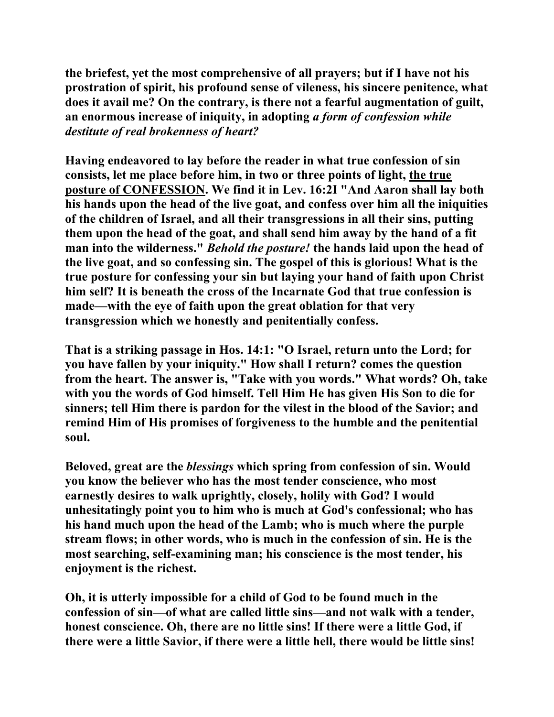**the briefest, yet the most comprehensive of all prayers; but if I have not his prostration of spirit, his profound sense of vileness, his sincere penitence, what does it avail me? On the contrary, is there not a fearful augmentation of guilt, an enormous increase of iniquity, in adopting** *a form of confession while destitute of real brokenness of heart?*

**Having endeavored to lay before the reader in what true confession of sin consists, let me place before him, in two or three points of light, the true posture of CONFESSION. We find it in Lev. 16:2I "And Aaron shall lay both his hands upon the head of the live goat, and confess over him all the iniquities of the children of Israel, and all their transgressions in all their sins, putting them upon the head of the goat, and shall send him away by the hand of a fit man into the wilderness."** *Behold the posture!* **the hands laid upon the head of the live goat, and so confessing sin. The gospel of this is glorious! What is the true posture for confessing your sin but laying your hand of faith upon Christ him self? It is beneath the cross of the Incarnate God that true confession is made—with the eye of faith upon the great oblation for that very transgression which we honestly and penitentially confess.** 

**That is a striking passage in Hos. 14:1: "O Israel, return unto the Lord; for you have fallen by your iniquity." How shall I return? comes the question from the heart. The answer is, "Take with you words." What words? Oh, take with you the words of God himself. Tell Him He has given His Son to die for sinners; tell Him there is pardon for the vilest in the blood of the Savior; and remind Him of His promises of forgiveness to the humble and the penitential soul.** 

**Beloved, great are the** *blessings* **which spring from confession of sin. Would you know the believer who has the most tender conscience, who most earnestly desires to walk uprightly, closely, holily with God? I would unhesitatingly point you to him who is much at God's confessional; who has his hand much upon the head of the Lamb; who is much where the purple stream flows; in other words, who is much in the confession of sin. He is the most searching, self-examining man; his conscience is the most tender, his enjoyment is the richest.** 

**Oh, it is utterly impossible for a child of God to be found much in the confession of sin—of what are called little sins—and not walk with a tender, honest conscience. Oh, there are no little sins! If there were a little God, if there were a little Savior, if there were a little hell, there would be little sins!**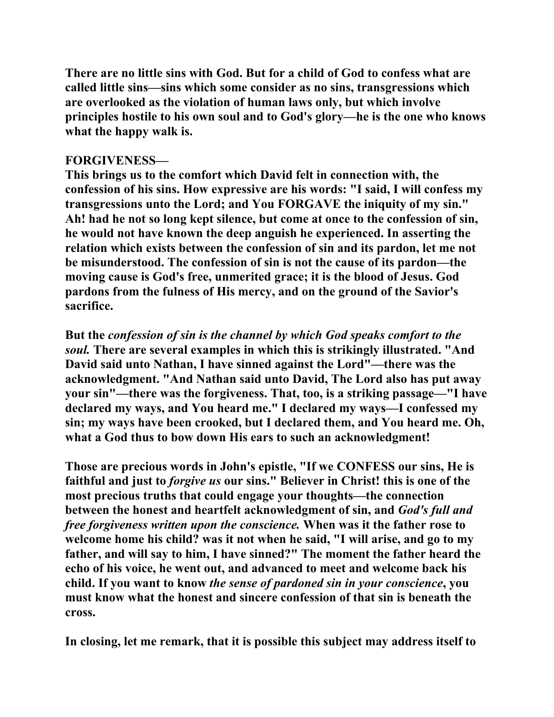**There are no little sins with God. But for a child of God to confess what are called little sins—sins which some consider as no sins, transgressions which are overlooked as the violation of human laws only, but which involve principles hostile to his own soul and to God's glory—he is the one who knows what the happy walk is.** 

#### **FORGIVENESS—**

**This brings us to the comfort which David felt in connection with, the confession of his sins. How expressive are his words: "I said, I will confess my transgressions unto the Lord; and You FORGAVE the iniquity of my sin." Ah! had he not so long kept silence, but come at once to the confession of sin, he would not have known the deep anguish he experienced. In asserting the relation which exists between the confession of sin and its pardon, let me not be misunderstood. The confession of sin is not the cause of its pardon—the moving cause is God's free, unmerited grace; it is the blood of Jesus. God pardons from the fulness of His mercy, and on the ground of the Savior's sacrifice.** 

**But the** *confession of sin is the channel by which God speaks comfort to the soul.* **There are several examples in which this is strikingly illustrated. "And David said unto Nathan, I have sinned against the Lord"—there was the acknowledgment. "And Nathan said unto David, The Lord also has put away your sin"—there was the forgiveness. That, too, is a striking passage—"I have declared my ways, and You heard me." I declared my ways—I confessed my sin; my ways have been crooked, but I declared them, and You heard me. Oh, what a God thus to bow down His ears to such an acknowledgment!** 

**Those are precious words in John's epistle, "If we CONFESS our sins, He is faithful and just to** *forgive us* **our sins." Believer in Christ! this is one of the most precious truths that could engage your thoughts—the connection between the honest and heartfelt acknowledgment of sin, and** *God's full and free forgiveness written upon the conscience.* **When was it the father rose to welcome home his child? was it not when he said, "I will arise, and go to my father, and will say to him, I have sinned?" The moment the father heard the echo of his voice, he went out, and advanced to meet and welcome back his child. If you want to know** *the sense of pardoned sin in your conscience***, you must know what the honest and sincere confession of that sin is beneath the cross.** 

**In closing, let me remark, that it is possible this subject may address itself to**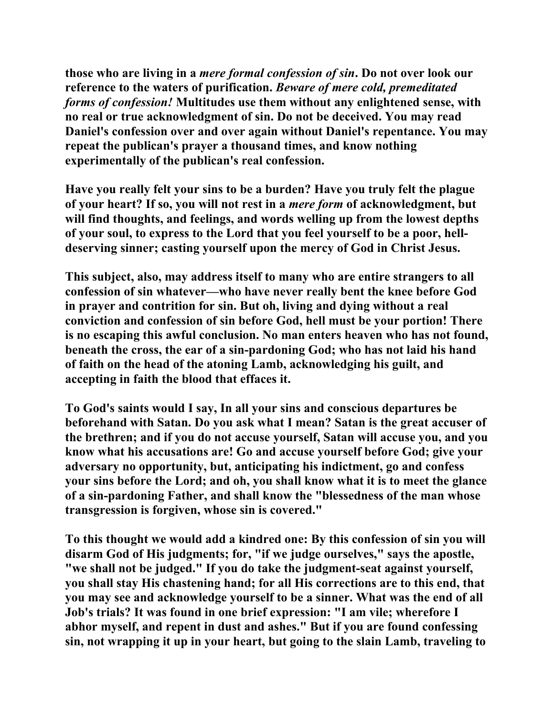**those who are living in a** *mere formal confession of sin***. Do not over look our reference to the waters of purification.** *Beware of mere cold, premeditated forms of confession!* **Multitudes use them without any enlightened sense, with no real or true acknowledgment of sin. Do not be deceived. You may read Daniel's confession over and over again without Daniel's repentance. You may repeat the publican's prayer a thousand times, and know nothing experimentally of the publican's real confession.** 

**Have you really felt your sins to be a burden? Have you truly felt the plague of your heart? If so, you will not rest in a** *mere form* **of acknowledgment, but will find thoughts, and feelings, and words welling up from the lowest depths of your soul, to express to the Lord that you feel yourself to be a poor, helldeserving sinner; casting yourself upon the mercy of God in Christ Jesus.** 

**This subject, also, may address itself to many who are entire strangers to all confession of sin whatever—who have never really bent the knee before God in prayer and contrition for sin. But oh, living and dying without a real conviction and confession of sin before God, hell must be your portion! There is no escaping this awful conclusion. No man enters heaven who has not found, beneath the cross, the ear of a sin-pardoning God; who has not laid his hand of faith on the head of the atoning Lamb, acknowledging his guilt, and accepting in faith the blood that effaces it.** 

**To God's saints would I say, In all your sins and conscious departures be beforehand with Satan. Do you ask what I mean? Satan is the great accuser of the brethren; and if you do not accuse yourself, Satan will accuse you, and you know what his accusations are! Go and accuse yourself before God; give your adversary no opportunity, but, anticipating his indictment, go and confess your sins before the Lord; and oh, you shall know what it is to meet the glance of a sin-pardoning Father, and shall know the "blessedness of the man whose transgression is forgiven, whose sin is covered."** 

**To this thought we would add a kindred one: By this confession of sin you will disarm God of His judgments; for, "if we judge ourselves," says the apostle, "we shall not be judged." If you do take the judgment-seat against yourself, you shall stay His chastening hand; for all His corrections are to this end, that you may see and acknowledge yourself to be a sinner. What was the end of all Job's trials? It was found in one brief expression: "I am vile; wherefore I abhor myself, and repent in dust and ashes." But if you are found confessing sin, not wrapping it up in your heart, but going to the slain Lamb, traveling to**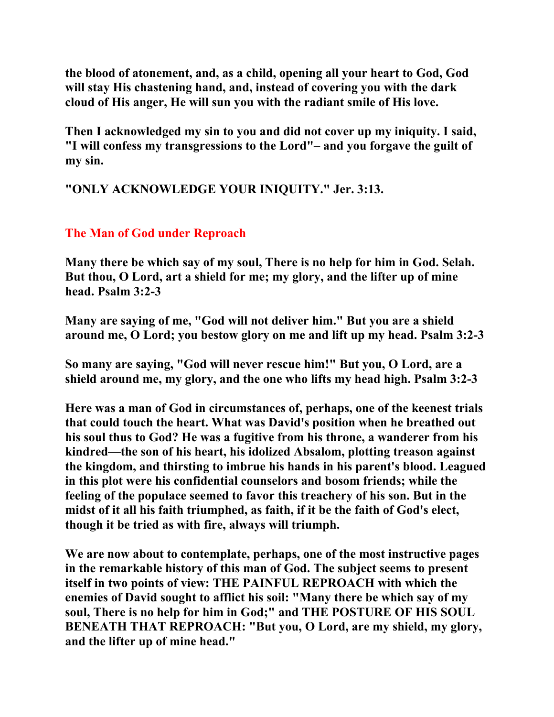**the blood of atonement, and, as a child, opening all your heart to God, God will stay His chastening hand, and, instead of covering you with the dark cloud of His anger, He will sun you with the radiant smile of His love.** 

**Then I acknowledged my sin to you and did not cover up my iniquity. I said, "I will confess my transgressions to the Lord"– and you forgave the guilt of my sin.** 

**"ONLY ACKNOWLEDGE YOUR INIQUITY." Jer. 3:13.** 

# **The Man of God under Reproach**

**Many there be which say of my soul, There is no help for him in God. Selah. But thou, O Lord, art a shield for me; my glory, and the lifter up of mine head. Psalm 3:2-3** 

**Many are saying of me, "God will not deliver him." But you are a shield around me, O Lord; you bestow glory on me and lift up my head. Psalm 3:2-3** 

**So many are saying, "God will never rescue him!" But you, O Lord, are a shield around me, my glory, and the one who lifts my head high. Psalm 3:2-3** 

**Here was a man of God in circumstances of, perhaps, one of the keenest trials that could touch the heart. What was David's position when he breathed out his soul thus to God? He was a fugitive from his throne, a wanderer from his kindred—the son of his heart, his idolized Absalom, plotting treason against the kingdom, and thirsting to imbrue his hands in his parent's blood. Leagued in this plot were his confidential counselors and bosom friends; while the feeling of the populace seemed to favor this treachery of his son. But in the midst of it all his faith triumphed, as faith, if it be the faith of God's elect, though it be tried as with fire, always will triumph.** 

**We are now about to contemplate, perhaps, one of the most instructive pages in the remarkable history of this man of God. The subject seems to present itself in two points of view: THE PAINFUL REPROACH with which the enemies of David sought to afflict his soil: "Many there be which say of my soul, There is no help for him in God;" and THE POSTURE OF HIS SOUL BENEATH THAT REPROACH: "But you, O Lord, are my shield, my glory, and the lifter up of mine head."**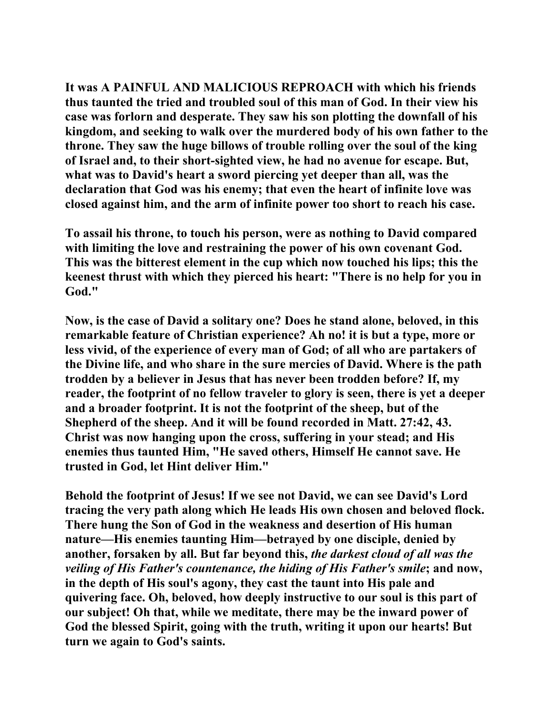**It was A PAINFUL AND MALICIOUS REPROACH with which his friends thus taunted the tried and troubled soul of this man of God. In their view his case was forlorn and desperate. They saw his son plotting the downfall of his kingdom, and seeking to walk over the murdered body of his own father to the throne. They saw the huge billows of trouble rolling over the soul of the king of Israel and, to their short-sighted view, he had no avenue for escape. But, what was to David's heart a sword piercing yet deeper than all, was the declaration that God was his enemy; that even the heart of infinite love was closed against him, and the arm of infinite power too short to reach his case.** 

**To assail his throne, to touch his person, were as nothing to David compared with limiting the love and restraining the power of his own covenant God. This was the bitterest element in the cup which now touched his lips; this the keenest thrust with which they pierced his heart: "There is no help for you in God."** 

**Now, is the case of David a solitary one? Does he stand alone, beloved, in this remarkable feature of Christian experience? Ah no! it is but a type, more or less vivid, of the experience of every man of God; of all who are partakers of the Divine life, and who share in the sure mercies of David. Where is the path trodden by a believer in Jesus that has never been trodden before? If, my reader, the footprint of no fellow traveler to glory is seen, there is yet a deeper and a broader footprint. It is not the footprint of the sheep, but of the Shepherd of the sheep. And it will be found recorded in Matt. 27:42, 43. Christ was now hanging upon the cross, suffering in your stead; and His enemies thus taunted Him, "He saved others, Himself He cannot save. He trusted in God, let Hint deliver Him."** 

**Behold the footprint of Jesus! If we see not David, we can see David's Lord tracing the very path along which He leads His own chosen and beloved flock. There hung the Son of God in the weakness and desertion of His human nature—His enemies taunting Him—betrayed by one disciple, denied by another, forsaken by all. But far beyond this,** *the darkest cloud of all was the veiling of His Father's countenance, the hiding of His Father's smile***; and now, in the depth of His soul's agony, they cast the taunt into His pale and quivering face. Oh, beloved, how deeply instructive to our soul is this part of our subject! Oh that, while we meditate, there may be the inward power of God the blessed Spirit, going with the truth, writing it upon our hearts! But turn we again to God's saints.**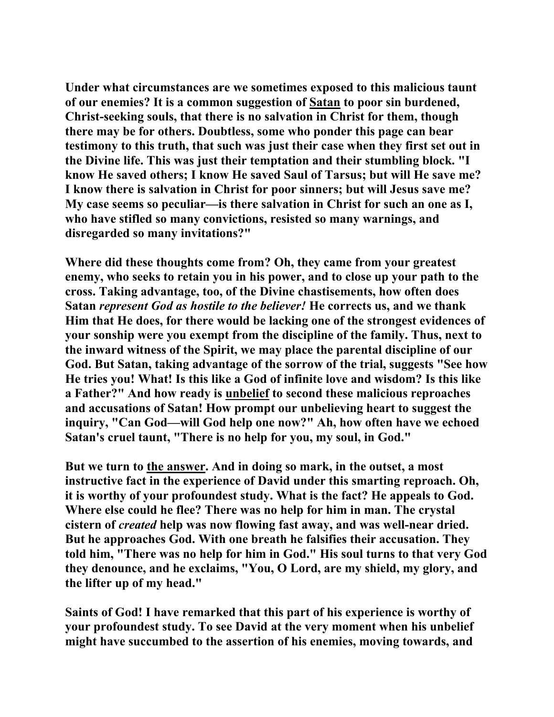**Under what circumstances are we sometimes exposed to this malicious taunt of our enemies? It is a common suggestion of Satan to poor sin burdened, Christ-seeking souls, that there is no salvation in Christ for them, though there may be for others. Doubtless, some who ponder this page can bear testimony to this truth, that such was just their case when they first set out in the Divine life. This was just their temptation and their stumbling block. "I know He saved others; I know He saved Saul of Tarsus; but will He save me? I know there is salvation in Christ for poor sinners; but will Jesus save me? My case seems so peculiar—is there salvation in Christ for such an one as I, who have stifled so many convictions, resisted so many warnings, and disregarded so many invitations?"** 

**Where did these thoughts come from? Oh, they came from your greatest enemy, who seeks to retain you in his power, and to close up your path to the cross. Taking advantage, too, of the Divine chastisements, how often does Satan** *represent God as hostile to the believer!* **He corrects us, and we thank Him that He does, for there would be lacking one of the strongest evidences of your sonship were you exempt from the discipline of the family. Thus, next to the inward witness of the Spirit, we may place the parental discipline of our God. But Satan, taking advantage of the sorrow of the trial, suggests "See how He tries you! What! Is this like a God of infinite love and wisdom? Is this like a Father?" And how ready is unbelief to second these malicious reproaches and accusations of Satan! How prompt our unbelieving heart to suggest the inquiry, "Can God—will God help one now?" Ah, how often have we echoed Satan's cruel taunt, "There is no help for you, my soul, in God."** 

**But we turn to the answer. And in doing so mark, in the outset, a most instructive fact in the experience of David under this smarting reproach. Oh, it is worthy of your profoundest study. What is the fact? He appeals to God. Where else could he flee? There was no help for him in man. The crystal cistern of** *created* **help was now flowing fast away, and was well-near dried. But he approaches God. With one breath he falsifies their accusation. They told him, "There was no help for him in God." His soul turns to that very God they denounce, and he exclaims, "You, O Lord, are my shield, my glory, and the lifter up of my head."** 

**Saints of God! I have remarked that this part of his experience is worthy of your profoundest study. To see David at the very moment when his unbelief might have succumbed to the assertion of his enemies, moving towards, and**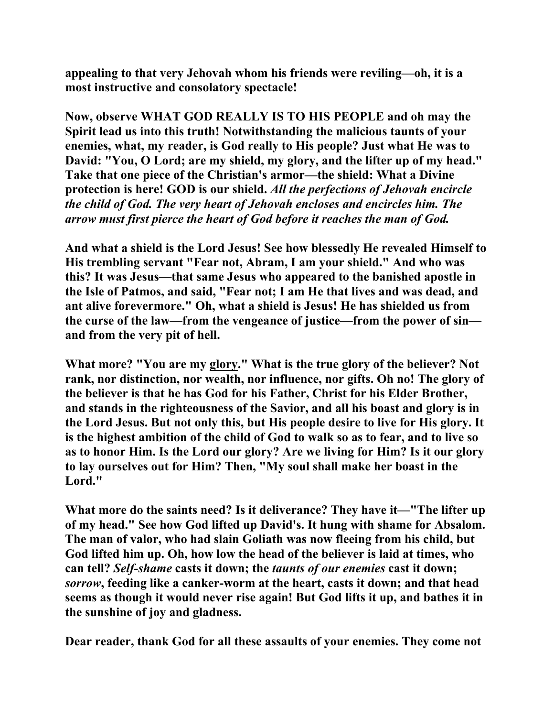**appealing to that very Jehovah whom his friends were reviling—oh, it is a most instructive and consolatory spectacle!** 

**Now, observe WHAT GOD REALLY IS TO HIS PEOPLE and oh may the Spirit lead us into this truth! Notwithstanding the malicious taunts of your enemies, what, my reader, is God really to His people? Just what He was to David: "You, O Lord; are my shield, my glory, and the lifter up of my head." Take that one piece of the Christian's armor—the shield: What a Divine protection is here! GOD is our shield.** *All the perfections of Jehovah encircle the child of God. The very heart of Jehovah encloses and encircles him. The arrow must first pierce the heart of God before it reaches the man of God.*

**And what a shield is the Lord Jesus! See how blessedly He revealed Himself to His trembling servant "Fear not, Abram, I am your shield." And who was this? It was Jesus—that same Jesus who appeared to the banished apostle in the Isle of Patmos, and said, "Fear not; I am He that lives and was dead, and ant alive forevermore." Oh, what a shield is Jesus! He has shielded us from the curse of the law—from the vengeance of justice—from the power of sin and from the very pit of hell.** 

What more? "You are my glory." What is the true glory of the believer? Not **rank, nor distinction, nor wealth, nor influence, nor gifts. Oh no! The glory of the believer is that he has God for his Father, Christ for his Elder Brother, and stands in the righteousness of the Savior, and all his boast and glory is in the Lord Jesus. But not only this, but His people desire to live for His glory. It is the highest ambition of the child of God to walk so as to fear, and to live so as to honor Him. Is the Lord our glory? Are we living for Him? Is it our glory to lay ourselves out for Him? Then, "My soul shall make her boast in the Lord."** 

**What more do the saints need? Is it deliverance? They have it—"The lifter up of my head." See how God lifted up David's. It hung with shame for Absalom. The man of valor, who had slain Goliath was now fleeing from his child, but God lifted him up. Oh, how low the head of the believer is laid at times, who can tell?** *Self-shame* **casts it down; the** *taunts of our enemies* **cast it down;**  *sorrow***, feeding like a canker-worm at the heart, casts it down; and that head seems as though it would never rise again! But God lifts it up, and bathes it in the sunshine of joy and gladness.** 

**Dear reader, thank God for all these assaults of your enemies. They come not**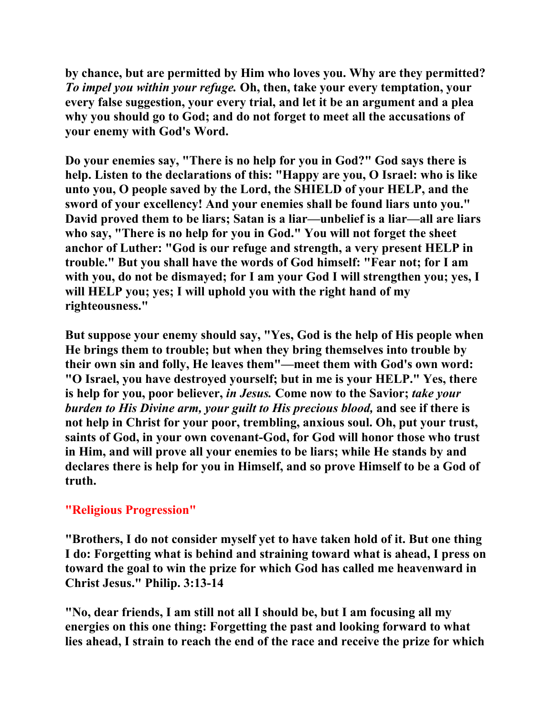**by chance, but are permitted by Him who loves you. Why are they permitted?**  *To impel you within your refuge.* **Oh, then, take your every temptation, your every false suggestion, your every trial, and let it be an argument and a plea why you should go to God; and do not forget to meet all the accusations of your enemy with God's Word.** 

**Do your enemies say, "There is no help for you in God?" God says there is help. Listen to the declarations of this: "Happy are you, O Israel: who is like unto you, O people saved by the Lord, the SHIELD of your HELP, and the sword of your excellency! And your enemies shall be found liars unto you." David proved them to be liars; Satan is a liar—unbelief is a liar—all are liars who say, "There is no help for you in God." You will not forget the sheet anchor of Luther: "God is our refuge and strength, a very present HELP in trouble." But you shall have the words of God himself: "Fear not; for I am with you, do not be dismayed; for I am your God I will strengthen you; yes, I will HELP you; yes; I will uphold you with the right hand of my righteousness."** 

**But suppose your enemy should say, "Yes, God is the help of His people when He brings them to trouble; but when they bring themselves into trouble by their own sin and folly, He leaves them"—meet them with God's own word: "O Israel, you have destroyed yourself; but in me is your HELP." Yes, there is help for you, poor believer,** *in Jesus.* **Come now to the Savior;** *take your burden to His Divine arm, your guilt to His precious blood,* **and see if there is not help in Christ for your poor, trembling, anxious soul. Oh, put your trust, saints of God, in your own covenant-God, for God will honor those who trust in Him, and will prove all your enemies to be liars; while He stands by and declares there is help for you in Himself, and so prove Himself to be a God of truth.** 

## **"Religious Progression"**

**"Brothers, I do not consider myself yet to have taken hold of it. But one thing I do: Forgetting what is behind and straining toward what is ahead, I press on toward the goal to win the prize for which God has called me heavenward in Christ Jesus." Philip. 3:13-14** 

**"No, dear friends, I am still not all I should be, but I am focusing all my energies on this one thing: Forgetting the past and looking forward to what lies ahead, I strain to reach the end of the race and receive the prize for which**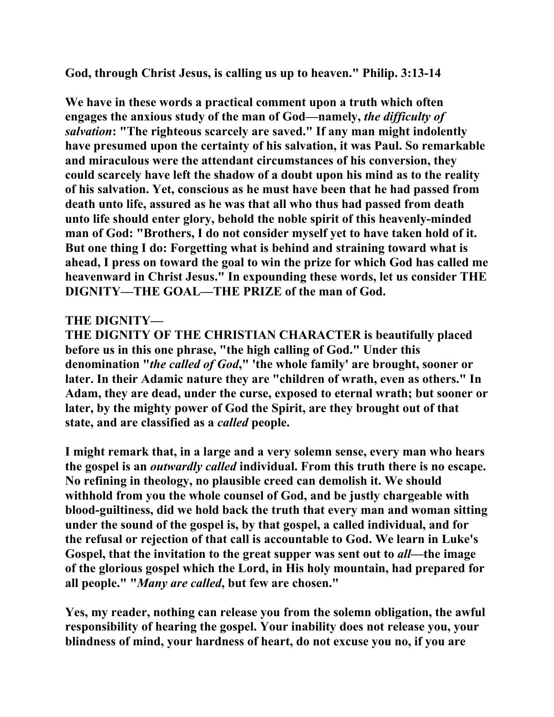**God, through Christ Jesus, is calling us up to heaven." Philip. 3:13-14** 

**We have in these words a practical comment upon a truth which often engages the anxious study of the man of God—namely,** *the difficulty of salvation***: "The righteous scarcely are saved." If any man might indolently have presumed upon the certainty of his salvation, it was Paul. So remarkable and miraculous were the attendant circumstances of his conversion, they could scarcely have left the shadow of a doubt upon his mind as to the reality of his salvation. Yet, conscious as he must have been that he had passed from death unto life, assured as he was that all who thus had passed from death unto life should enter glory, behold the noble spirit of this heavenly-minded man of God: "Brothers, I do not consider myself yet to have taken hold of it. But one thing I do: Forgetting what is behind and straining toward what is ahead, I press on toward the goal to win the prize for which God has called me heavenward in Christ Jesus." In expounding these words, let us consider THE DIGNITY—THE GOAL—THE PRIZE of the man of God.** 

### **THE DIGNITY—**

**THE DIGNITY OF THE CHRISTIAN CHARACTER is beautifully placed before us in this one phrase, "the high calling of God." Under this denomination "***the called of God***," 'the whole family' are brought, sooner or later. In their Adamic nature they are "children of wrath, even as others." In Adam, they are dead, under the curse, exposed to eternal wrath; but sooner or later, by the mighty power of God the Spirit, are they brought out of that state, and are classified as a** *called* **people.** 

**I might remark that, in a large and a very solemn sense, every man who hears the gospel is an** *outwardly called* **individual. From this truth there is no escape. No refining in theology, no plausible creed can demolish it. We should withhold from you the whole counsel of God, and be justly chargeable with blood-guiltiness, did we hold back the truth that every man and woman sitting under the sound of the gospel is, by that gospel, a called individual, and for the refusal or rejection of that call is accountable to God. We learn in Luke's Gospel, that the invitation to the great supper was sent out to** *all***—the image of the glorious gospel which the Lord, in His holy mountain, had prepared for all people." "***Many are called***, but few are chosen."** 

**Yes, my reader, nothing can release you from the solemn obligation, the awful responsibility of hearing the gospel. Your inability does not release you, your blindness of mind, your hardness of heart, do not excuse you no, if you are**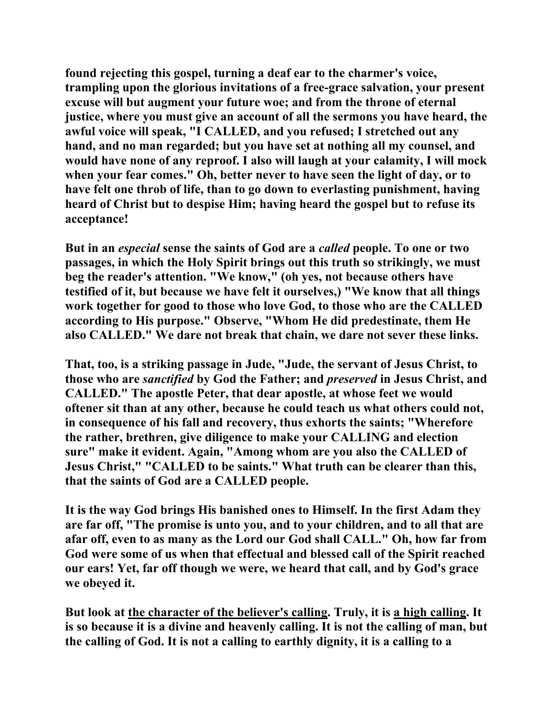**found rejecting this gospel, turning a deaf ear to the charmer's voice, trampling upon the glorious invitations of a free-grace salvation, your present excuse will but augment your future woe; and from the throne of eternal justice, where you must give an account of all the sermons you have heard, the awful voice will speak, "I CALLED, and you refused; I stretched out any hand, and no man regarded; but you have set at nothing all my counsel, and would have none of any reproof. I also will laugh at your calamity, I will mock when your fear comes." Oh, better never to have seen the light of day, or to have felt one throb of life, than to go down to everlasting punishment, having heard of Christ but to despise Him; having heard the gospel but to refuse its acceptance!** 

**But in an** *especial* **sense the saints of God are a** *called* **people. To one or two passages, in which the Holy Spirit brings out this truth so strikingly, we must beg the reader's attention. "We know," (oh yes, not because others have testified of it, but because we have felt it ourselves,) "We know that all things work together for good to those who love God, to those who are the CALLED according to His purpose." Observe, "Whom He did predestinate, them He also CALLED." We dare not break that chain, we dare not sever these links.** 

**That, too, is a striking passage in Jude, "Jude, the servant of Jesus Christ, to those who are** *sanctified* **by God the Father; and** *preserved* **in Jesus Christ, and CALLED." The apostle Peter, that dear apostle, at whose feet we would oftener sit than at any other, because he could teach us what others could not, in consequence of his fall and recovery, thus exhorts the saints; "Wherefore the rather, brethren, give diligence to make your CALLING and election sure" make it evident. Again, "Among whom are you also the CALLED of Jesus Christ," "CALLED to be saints." What truth can be clearer than this, that the saints of God are a CALLED people.** 

**It is the way God brings His banished ones to Himself. In the first Adam they are far off, "The promise is unto you, and to your children, and to all that are afar off, even to as many as the Lord our God shall CALL." Oh, how far from God were some of us when that effectual and blessed call of the Spirit reached our ears! Yet, far off though we were, we heard that call, and by God's grace we obeyed it.** 

**But look at the character of the believer's calling. Truly, it is a high calling. It is so because it is a divine and heavenly calling. It is not the calling of man, but the calling of God. It is not a calling to earthly dignity, it is a calling to a**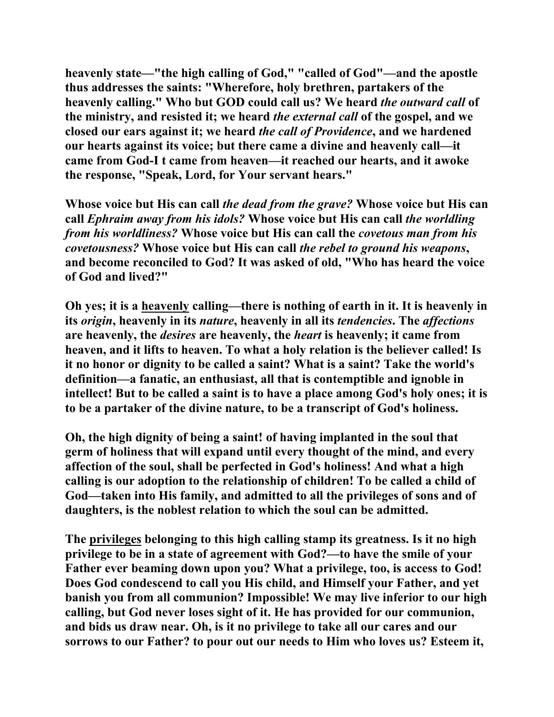**heavenly state—"the high calling of God," "called of God"—and the apostle thus addresses the saints: "Wherefore, holy brethren, partakers of the heavenly calling." Who but GOD could call us? We heard** *the outward call* **of the ministry, and resisted it; we heard** *the external call* **of the gospel, and we closed our ears against it; we heard** *the call of Providence***, and we hardened our hearts against its voice; but there came a divine and heavenly call—it came from God-I t came from heaven—it reached our hearts, and it awoke the response, "Speak, Lord, for Your servant hears."** 

**Whose voice but His can call** *the dead from the grave?* **Whose voice but His can call** *Ephraim away from his idols?* **Whose voice but His can call** *the worldling from his worldliness?* **Whose voice but His can call the** *covetous man from his covetousness?* **Whose voice but His can call** *the rebel to ground his weapons***, and become reconciled to God? It was asked of old, "Who has heard the voice of God and lived?"** 

**Oh yes; it is a heavenly calling—there is nothing of earth in it. It is heavenly in its** *origin***, heavenly in its** *nature***, heavenly in all its** *tendencies***. The** *affections* **are heavenly, the** *desires* **are heavenly, the** *heart* **is heavenly; it came from heaven, and it lifts to heaven. To what a holy relation is the believer called! Is it no honor or dignity to be called a saint? What is a saint? Take the world's definition—a fanatic, an enthusiast, all that is contemptible and ignoble in intellect! But to be called a saint is to have a place among God's holy ones; it is to be a partaker of the divine nature, to be a transcript of God's holiness.** 

**Oh, the high dignity of being a saint! of having implanted in the soul that germ of holiness that will expand until every thought of the mind, and every affection of the soul, shall be perfected in God's holiness! And what a high calling is our adoption to the relationship of children! To be called a child of God—taken into His family, and admitted to all the privileges of sons and of daughters, is the noblest relation to which the soul can be admitted.** 

**The privileges belonging to this high calling stamp its greatness. Is it no high privilege to be in a state of agreement with God?—to have the smile of your Father ever beaming down upon you? What a privilege, too, is access to God! Does God condescend to call you His child, and Himself your Father, and yet banish you from all communion? Impossible! We may live inferior to our high calling, but God never loses sight of it. He has provided for our communion, and bids us draw near. Oh, is it no privilege to take all our cares and our sorrows to our Father? to pour out our needs to Him who loves us? Esteem it,**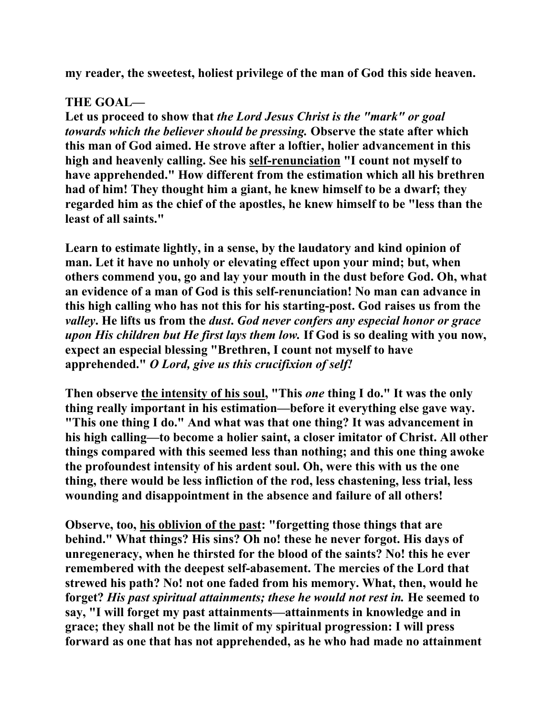**my reader, the sweetest, holiest privilege of the man of God this side heaven.** 

# **THE GOAL—**

**Let us proceed to show that** *the Lord Jesus Christ is the "mark" or goal towards which the believer should be pressing.* **Observe the state after which this man of God aimed. He strove after a loftier, holier advancement in this high and heavenly calling. See his self-renunciation "I count not myself to have apprehended." How different from the estimation which all his brethren had of him! They thought him a giant, he knew himself to be a dwarf; they regarded him as the chief of the apostles, he knew himself to be "less than the least of all saints."** 

**Learn to estimate lightly, in a sense, by the laudatory and kind opinion of man. Let it have no unholy or elevating effect upon your mind; but, when others commend you, go and lay your mouth in the dust before God. Oh, what an evidence of a man of God is this self-renunciation! No man can advance in this high calling who has not this for his starting-post. God raises us from the**  *valley***. He lifts us from the** *dust***.** *God never confers any especial honor or grace upon His children but He first lays them low.* **If God is so dealing with you now, expect an especial blessing "Brethren, I count not myself to have apprehended."** *O Lord, give us this crucifixion of self!* 

**Then observe the intensity of his soul, "This** *one* **thing I do." It was the only thing really important in his estimation—before it everything else gave way. "This one thing I do." And what was that one thing? It was advancement in his high calling—to become a holier saint, a closer imitator of Christ. All other things compared with this seemed less than nothing; and this one thing awoke the profoundest intensity of his ardent soul. Oh, were this with us the one thing, there would be less infliction of the rod, less chastening, less trial, less wounding and disappointment in the absence and failure of all others!** 

**Observe, too, his oblivion of the past: "forgetting those things that are behind." What things? His sins? Oh no! these he never forgot. His days of unregeneracy, when he thirsted for the blood of the saints? No! this he ever remembered with the deepest self-abasement. The mercies of the Lord that strewed his path? No! not one faded from his memory. What, then, would he forget?** *His past spiritual attainments; these he would not rest in.* **He seemed to say, "I will forget my past attainments—attainments in knowledge and in grace; they shall not be the limit of my spiritual progression: I will press forward as one that has not apprehended, as he who had made no attainment**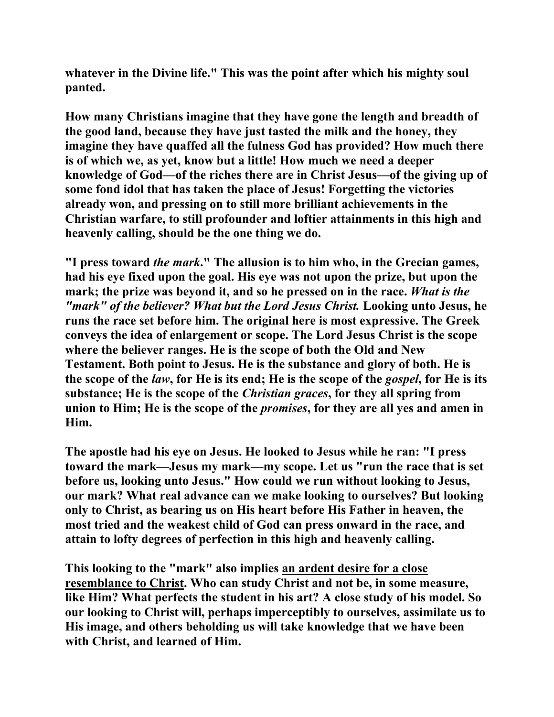**whatever in the Divine life." This was the point after which his mighty soul panted.** 

**How many Christians imagine that they have gone the length and breadth of the good land, because they have just tasted the milk and the honey, they imagine they have quaffed all the fulness God has provided? How much there is of which we, as yet, know but a little! How much we need a deeper knowledge of God—of the riches there are in Christ Jesus—of the giving up of some fond idol that has taken the place of Jesus! Forgetting the victories already won, and pressing on to still more brilliant achievements in the Christian warfare, to still profounder and loftier attainments in this high and heavenly calling, should be the one thing we do.** 

**"I press toward** *the mark***." The allusion is to him who, in the Grecian games, had his eye fixed upon the goal. His eye was not upon the prize, but upon the mark; the prize was beyond it, and so he pressed on in the race.** *What is the "mark" of the believer? What but the Lord Jesus Christ.* **Looking unto Jesus, he runs the race set before him. The original here is most expressive. The Greek conveys the idea of enlargement or scope. The Lord Jesus Christ is the scope where the believer ranges. He is the scope of both the Old and New Testament. Both point to Jesus. He is the substance and glory of both. He is the scope of the** *law***, for He is its end; He is the scope of the** *gospel***, for He is its substance; He is the scope of the** *Christian graces***, for they all spring from union to Him; He is the scope of the** *promises***, for they are all yes and amen in Him.** 

**The apostle had his eye on Jesus. He looked to Jesus while he ran: "I press toward the mark—Jesus my mark—my scope. Let us "run the race that is set before us, looking unto Jesus." How could we run without looking to Jesus, our mark? What real advance can we make looking to ourselves? But looking only to Christ, as bearing us on His heart before His Father in heaven, the most tried and the weakest child of God can press onward in the race, and attain to lofty degrees of perfection in this high and heavenly calling.** 

**This looking to the "mark" also implies an ardent desire for a close resemblance to Christ. Who can study Christ and not be, in some measure, like Him? What perfects the student in his art? A close study of his model. So our looking to Christ will, perhaps imperceptibly to ourselves, assimilate us to His image, and others beholding us will take knowledge that we have been with Christ, and learned of Him.**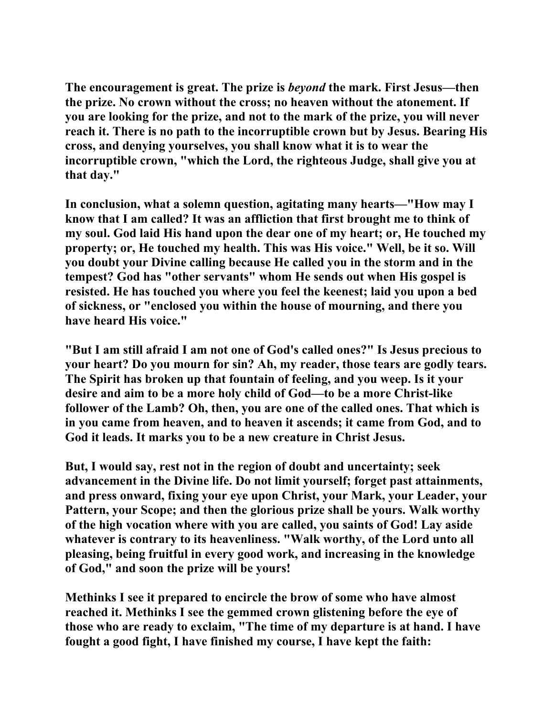**The encouragement is great. The prize is** *beyond* **the mark. First Jesus—then the prize. No crown without the cross; no heaven without the atonement. If you are looking for the prize, and not to the mark of the prize, you will never reach it. There is no path to the incorruptible crown but by Jesus. Bearing His cross, and denying yourselves, you shall know what it is to wear the incorruptible crown, "which the Lord, the righteous Judge, shall give you at that day."** 

**In conclusion, what a solemn question, agitating many hearts—"How may I know that I am called? It was an affliction that first brought me to think of my soul. God laid His hand upon the dear one of my heart; or, He touched my property; or, He touched my health. This was His voice." Well, be it so. Will you doubt your Divine calling because He called you in the storm and in the tempest? God has "other servants" whom He sends out when His gospel is resisted. He has touched you where you feel the keenest; laid you upon a bed of sickness, or "enclosed you within the house of mourning, and there you have heard His voice."** 

**"But I am still afraid I am not one of God's called ones?" Is Jesus precious to your heart? Do you mourn for sin? Ah, my reader, those tears are godly tears. The Spirit has broken up that fountain of feeling, and you weep. Is it your desire and aim to be a more holy child of God—to be a more Christ-like follower of the Lamb? Oh, then, you are one of the called ones. That which is in you came from heaven, and to heaven it ascends; it came from God, and to God it leads. It marks you to be a new creature in Christ Jesus.** 

**But, I would say, rest not in the region of doubt and uncertainty; seek advancement in the Divine life. Do not limit yourself; forget past attainments, and press onward, fixing your eye upon Christ, your Mark, your Leader, your Pattern, your Scope; and then the glorious prize shall be yours. Walk worthy of the high vocation where with you are called, you saints of God! Lay aside whatever is contrary to its heavenliness. "Walk worthy, of the Lord unto all pleasing, being fruitful in every good work, and increasing in the knowledge of God," and soon the prize will be yours!** 

**Methinks I see it prepared to encircle the brow of some who have almost reached it. Methinks I see the gemmed crown glistening before the eye of those who are ready to exclaim, "The time of my departure is at hand. I have fought a good fight, I have finished my course, I have kept the faith:**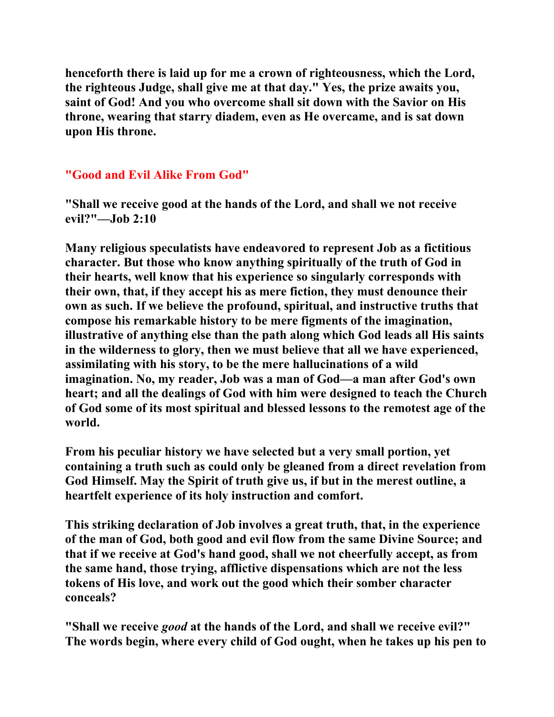**henceforth there is laid up for me a crown of righteousness, which the Lord, the righteous Judge, shall give me at that day." Yes, the prize awaits you, saint of God! And you who overcome shall sit down with the Savior on His throne, wearing that starry diadem, even as He overcame, and is sat down upon His throne.** 

### **"Good and Evil Alike From God"**

**"Shall we receive good at the hands of the Lord, and shall we not receive evil?"—Job 2:10** 

**Many religious speculatists have endeavored to represent Job as a fictitious character. But those who know anything spiritually of the truth of God in their hearts, well know that his experience so singularly corresponds with their own, that, if they accept his as mere fiction, they must denounce their own as such. If we believe the profound, spiritual, and instructive truths that compose his remarkable history to be mere figments of the imagination, illustrative of anything else than the path along which God leads all His saints in the wilderness to glory, then we must believe that all we have experienced, assimilating with his story, to be the mere hallucinations of a wild imagination. No, my reader, Job was a man of God—a man after God's own heart; and all the dealings of God with him were designed to teach the Church of God some of its most spiritual and blessed lessons to the remotest age of the world.** 

**From his peculiar history we have selected but a very small portion, yet containing a truth such as could only be gleaned from a direct revelation from God Himself. May the Spirit of truth give us, if but in the merest outline, a heartfelt experience of its holy instruction and comfort.** 

**This striking declaration of Job involves a great truth, that, in the experience of the man of God, both good and evil flow from the same Divine Source; and that if we receive at God's hand good, shall we not cheerfully accept, as from the same hand, those trying, afflictive dispensations which are not the less tokens of His love, and work out the good which their somber character conceals?** 

**"Shall we receive** *good* **at the hands of the Lord, and shall we receive evil?" The words begin, where every child of God ought, when he takes up his pen to**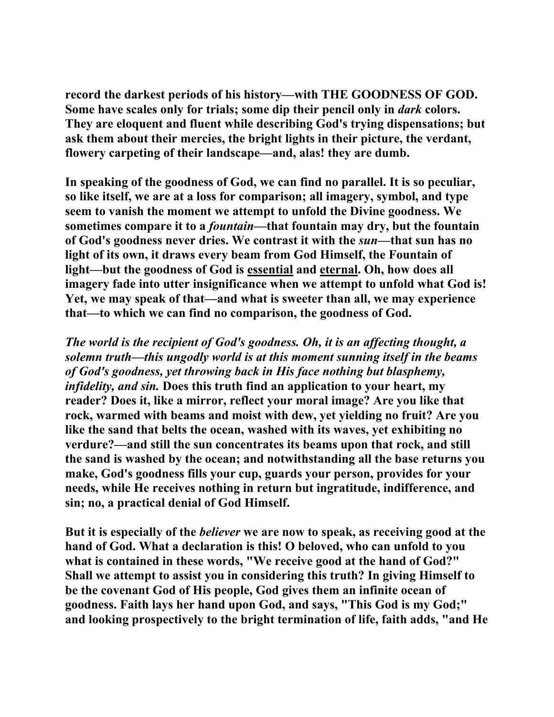**record the darkest periods of his history—with THE GOODNESS OF GOD. Some have scales only for trials; some dip their pencil only in** *dark* **colors. They are eloquent and fluent while describing God's trying dispensations; but ask them about their mercies, the bright lights in their picture, the verdant, flowery carpeting of their landscape—and, alas! they are dumb.** 

**In speaking of the goodness of God, we can find no parallel. It is so peculiar, so like itself, we are at a loss for comparison; all imagery, symbol, and type seem to vanish the moment we attempt to unfold the Divine goodness. We sometimes compare it to a** *fountain***—that fountain may dry, but the fountain of God's goodness never dries. We contrast it with the** *sun***—that sun has no light of its own, it draws every beam from God Himself, the Fountain of light—but the goodness of God is essential and eternal. Oh, how does all imagery fade into utter insignificance when we attempt to unfold what God is! Yet, we may speak of that—and what is sweeter than all, we may experience that—to which we can find no comparison, the goodness of God.** 

*The world is the recipient of God's goodness. Oh, it is an affecting thought, a solemn truth—this ungodly world is at this moment sunning itself in the beams of God's goodness, yet throwing back in His face nothing but blasphemy, infidelity, and sin.* **Does this truth find an application to your heart, my reader? Does it, like a mirror, reflect your moral image? Are you like that rock, warmed with beams and moist with dew, yet yielding no fruit? Are you like the sand that belts the ocean, washed with its waves, yet exhibiting no verdure?—and still the sun concentrates its beams upon that rock, and still the sand is washed by the ocean; and notwithstanding all the base returns you make, God's goodness fills your cup, guards your person, provides for your needs, while He receives nothing in return but ingratitude, indifference, and sin; no, a practical denial of God Himself.** 

**But it is especially of the** *believer* **we are now to speak, as receiving good at the hand of God. What a declaration is this! O beloved, who can unfold to you what is contained in these words, "We receive good at the hand of God?" Shall we attempt to assist you in considering this truth? In giving Himself to be the covenant God of His people, God gives them an infinite ocean of goodness. Faith lays her hand upon God, and says, "This God is my God;" and looking prospectively to the bright termination of life, faith adds, "and He**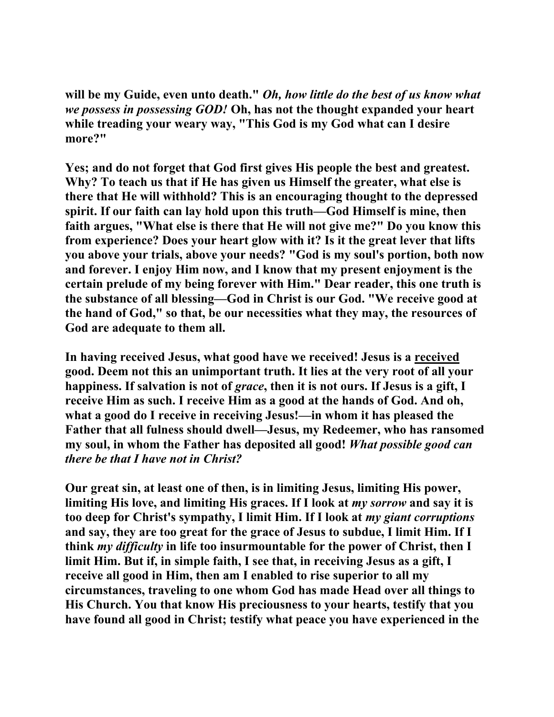**will be my Guide, even unto death."** *Oh, how little do the best of us know what we possess in possessing GOD!* **Oh, has not the thought expanded your heart while treading your weary way, "This God is my God what can I desire more?"** 

**Yes; and do not forget that God first gives His people the best and greatest. Why? To teach us that if He has given us Himself the greater, what else is there that He will withhold? This is an encouraging thought to the depressed spirit. If our faith can lay hold upon this truth—God Himself is mine, then faith argues, "What else is there that He will not give me?" Do you know this from experience? Does your heart glow with it? Is it the great lever that lifts you above your trials, above your needs? "God is my soul's portion, both now and forever. I enjoy Him now, and I know that my present enjoyment is the certain prelude of my being forever with Him." Dear reader, this one truth is the substance of all blessing—God in Christ is our God. "We receive good at the hand of God," so that, be our necessities what they may, the resources of God are adequate to them all.** 

**In having received Jesus, what good have we received! Jesus is a received good. Deem not this an unimportant truth. It lies at the very root of all your happiness. If salvation is not of** *grace***, then it is not ours. If Jesus is a gift, I receive Him as such. I receive Him as a good at the hands of God. And oh, what a good do I receive in receiving Jesus!—in whom it has pleased the Father that all fulness should dwell—Jesus, my Redeemer, who has ransomed my soul, in whom the Father has deposited all good!** *What possible good can there be that I have not in Christ?* 

**Our great sin, at least one of then, is in limiting Jesus, limiting His power, limiting His love, and limiting His graces. If I look at** *my sorrow* **and say it is too deep for Christ's sympathy, I limit Him. If I look at** *my giant corruptions* **and say, they are too great for the grace of Jesus to subdue, I limit Him. If I think** *my difficulty* **in life too insurmountable for the power of Christ, then I limit Him. But if, in simple faith, I see that, in receiving Jesus as a gift, I receive all good in Him, then am I enabled to rise superior to all my circumstances, traveling to one whom God has made Head over all things to His Church. You that know His preciousness to your hearts, testify that you have found all good in Christ; testify what peace you have experienced in the**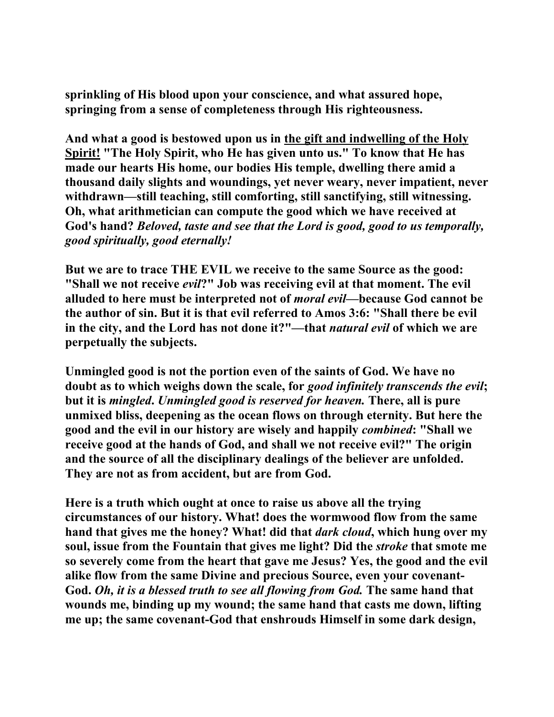**sprinkling of His blood upon your conscience, and what assured hope, springing from a sense of completeness through His righteousness.** 

**And what a good is bestowed upon us in the gift and indwelling of the Holy Spirit! "The Holy Spirit, who He has given unto us." To know that He has made our hearts His home, our bodies His temple, dwelling there amid a thousand daily slights and woundings, yet never weary, never impatient, never withdrawn—still teaching, still comforting, still sanctifying, still witnessing. Oh, what arithmetician can compute the good which we have received at God's hand?** *Beloved, taste and see that the Lord is good, good to us temporally, good spiritually, good eternally!*

**But we are to trace THE EVIL we receive to the same Source as the good: "Shall we not receive** *evil***?" Job was receiving evil at that moment. The evil alluded to here must be interpreted not of** *moral evil***—because God cannot be the author of sin. But it is that evil referred to Amos 3:6: "Shall there be evil in the city, and the Lord has not done it?"—that** *natural evil* **of which we are perpetually the subjects.** 

**Unmingled good is not the portion even of the saints of God. We have no doubt as to which weighs down the scale, for** *good infinitely transcends the evil***; but it is** *mingled***.** *Unmingled good is reserved for heaven.* **There, all is pure unmixed bliss, deepening as the ocean flows on through eternity. But here the good and the evil in our history are wisely and happily** *combined***: "Shall we receive good at the hands of God, and shall we not receive evil?" The origin and the source of all the disciplinary dealings of the believer are unfolded. They are not as from accident, but are from God.** 

**Here is a truth which ought at once to raise us above all the trying circumstances of our history. What! does the wormwood flow from the same hand that gives me the honey? What! did that** *dark cloud***, which hung over my soul, issue from the Fountain that gives me light? Did the** *stroke* **that smote me so severely come from the heart that gave me Jesus? Yes, the good and the evil alike flow from the same Divine and precious Source, even your covenant-God.** *Oh, it is a blessed truth to see all flowing from God.* **The same hand that wounds me, binding up my wound; the same hand that casts me down, lifting me up; the same covenant-God that enshrouds Himself in some dark design,**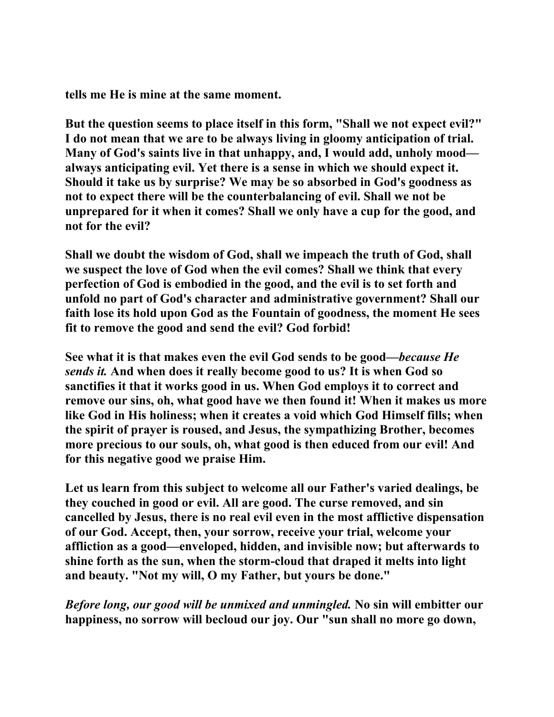**tells me He is mine at the same moment.** 

**But the question seems to place itself in this form, "Shall we not expect evil?" I do not mean that we are to be always living in gloomy anticipation of trial. Many of God's saints live in that unhappy, and, I would add, unholy mood always anticipating evil. Yet there is a sense in which we should expect it. Should it take us by surprise? We may be so absorbed in God's goodness as not to expect there will be the counterbalancing of evil. Shall we not be unprepared for it when it comes? Shall we only have a cup for the good, and not for the evil?** 

**Shall we doubt the wisdom of God, shall we impeach the truth of God, shall we suspect the love of God when the evil comes? Shall we think that every perfection of God is embodied in the good, and the evil is to set forth and unfold no part of God's character and administrative government? Shall our faith lose its hold upon God as the Fountain of goodness, the moment He sees fit to remove the good and send the evil? God forbid!** 

**See what it is that makes even the evil God sends to be good—***because He sends it.* **And when does it really become good to us? It is when God so sanctifies it that it works good in us. When God employs it to correct and remove our sins, oh, what good have we then found it! When it makes us more like God in His holiness; when it creates a void which God Himself fills; when the spirit of prayer is roused, and Jesus, the sympathizing Brother, becomes more precious to our souls, oh, what good is then educed from our evil! And for this negative good we praise Him.** 

**Let us learn from this subject to welcome all our Father's varied dealings, be they couched in good or evil. All are good. The curse removed, and sin cancelled by Jesus, there is no real evil even in the most afflictive dispensation of our God. Accept, then, your sorrow, receive your trial, welcome your affliction as a good—enveloped, hidden, and invisible now; but afterwards to shine forth as the sun, when the storm-cloud that draped it melts into light and beauty. "Not my will, O my Father, but yours be done."** 

*Before long, our good will be unmixed and unmingled.* **No sin will embitter our happiness, no sorrow will becloud our joy. Our "sun shall no more go down,**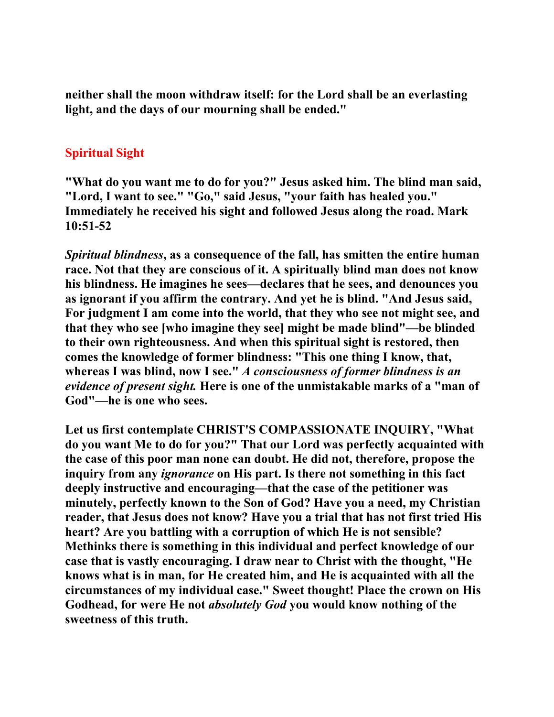**neither shall the moon withdraw itself: for the Lord shall be an everlasting light, and the days of our mourning shall be ended."** 

### **Spiritual Sight**

**"What do you want me to do for you?" Jesus asked him. The blind man said, "Lord, I want to see." "Go," said Jesus, "your faith has healed you." Immediately he received his sight and followed Jesus along the road. Mark 10:51-52** 

*Spiritual blindness***, as a consequence of the fall, has smitten the entire human race. Not that they are conscious of it. A spiritually blind man does not know his blindness. He imagines he sees—declares that he sees, and denounces you as ignorant if you affirm the contrary. And yet he is blind. "And Jesus said, For judgment I am come into the world, that they who see not might see, and that they who see [who imagine they see] might be made blind"—be blinded to their own righteousness. And when this spiritual sight is restored, then comes the knowledge of former blindness: "This one thing I know, that, whereas I was blind, now I see."** *A consciousness of former blindness is an evidence of present sight.* **Here is one of the unmistakable marks of a "man of God"—he is one who sees.** 

**Let us first contemplate CHRIST'S COMPASSIONATE INQUIRY, "What do you want Me to do for you?" That our Lord was perfectly acquainted with the case of this poor man none can doubt. He did not, therefore, propose the inquiry from any** *ignorance* **on His part. Is there not something in this fact deeply instructive and encouraging—that the case of the petitioner was minutely, perfectly known to the Son of God? Have you a need, my Christian reader, that Jesus does not know? Have you a trial that has not first tried His heart? Are you battling with a corruption of which He is not sensible? Methinks there is something in this individual and perfect knowledge of our case that is vastly encouraging. I draw near to Christ with the thought, "He knows what is in man, for He created him, and He is acquainted with all the circumstances of my individual case." Sweet thought! Place the crown on His Godhead, for were He not** *absolutely God* **you would know nothing of the sweetness of this truth.**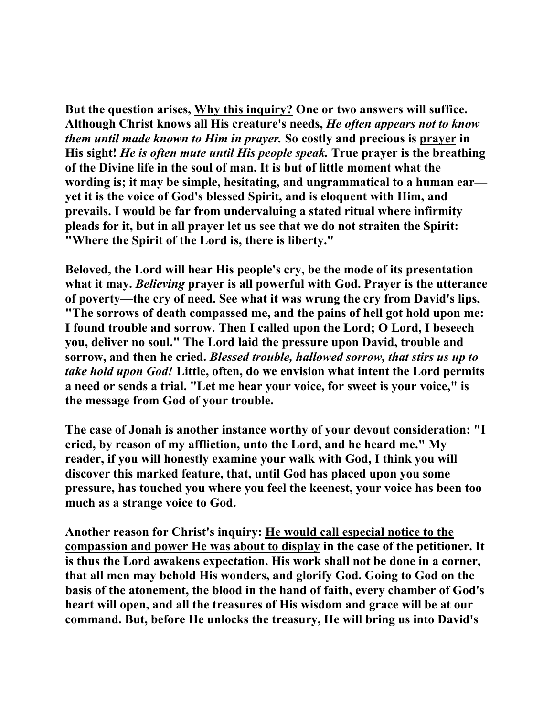**But the question arises, Why this inquiry? One or two answers will suffice. Although Christ knows all His creature's needs,** *He often appears not to know them until made known to Him in prayer.* **So costly and precious is prayer in His sight!** *He is often mute until His people speak.* **True prayer is the breathing of the Divine life in the soul of man. It is but of little moment what the wording is; it may be simple, hesitating, and ungrammatical to a human ear yet it is the voice of God's blessed Spirit, and is eloquent with Him, and prevails. I would be far from undervaluing a stated ritual where infirmity pleads for it, but in all prayer let us see that we do not straiten the Spirit: "Where the Spirit of the Lord is, there is liberty."** 

**Beloved, the Lord will hear His people's cry, be the mode of its presentation what it may.** *Believing* **prayer is all powerful with God. Prayer is the utterance of poverty—the cry of need. See what it was wrung the cry from David's lips, "The sorrows of death compassed me, and the pains of hell got hold upon me: I found trouble and sorrow. Then I called upon the Lord; O Lord, I beseech you, deliver no soul." The Lord laid the pressure upon David, trouble and sorrow, and then he cried.** *Blessed trouble, hallowed sorrow, that stirs us up to take hold upon God!* **Little, often, do we envision what intent the Lord permits a need or sends a trial. "Let me hear your voice, for sweet is your voice," is the message from God of your trouble.** 

**The case of Jonah is another instance worthy of your devout consideration: "I cried, by reason of my affliction, unto the Lord, and he heard me." My reader, if you will honestly examine your walk with God, I think you will discover this marked feature, that, until God has placed upon you some pressure, has touched you where you feel the keenest, your voice has been too much as a strange voice to God.** 

**Another reason for Christ's inquiry: He would call especial notice to the compassion and power He was about to display in the case of the petitioner. It is thus the Lord awakens expectation. His work shall not be done in a corner, that all men may behold His wonders, and glorify God. Going to God on the basis of the atonement, the blood in the hand of faith, every chamber of God's heart will open, and all the treasures of His wisdom and grace will be at our command. But, before He unlocks the treasury, He will bring us into David's**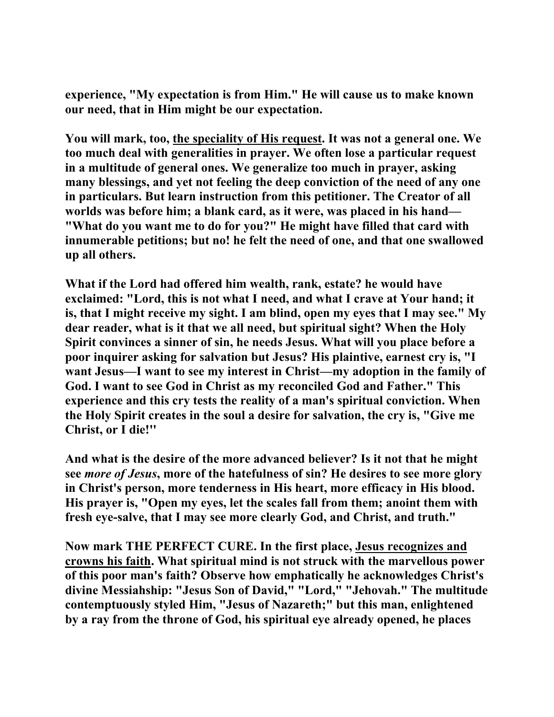**experience, "My expectation is from Him." He will cause us to make known our need, that in Him might be our expectation.** 

**You will mark, too, the speciality of His request. It was not a general one. We too much deal with generalities in prayer. We often lose a particular request in a multitude of general ones. We generalize too much in prayer, asking many blessings, and yet not feeling the deep conviction of the need of any one in particulars. But learn instruction from this petitioner. The Creator of all worlds was before him; a blank card, as it were, was placed in his hand— "What do you want me to do for you?" He might have filled that card with innumerable petitions; but no! he felt the need of one, and that one swallowed up all others.** 

**What if the Lord had offered him wealth, rank, estate? he would have exclaimed: "Lord, this is not what I need, and what I crave at Your hand; it is, that I might receive my sight. I am blind, open my eyes that I may see." My dear reader, what is it that we all need, but spiritual sight? When the Holy Spirit convinces a sinner of sin, he needs Jesus. What will you place before a poor inquirer asking for salvation but Jesus? His plaintive, earnest cry is, "I want Jesus—I want to see my interest in Christ—my adoption in the family of God. I want to see God in Christ as my reconciled God and Father." This experience and this cry tests the reality of a man's spiritual conviction. When the Holy Spirit creates in the soul a desire for salvation, the cry is, "Give me Christ, or I die!''** 

**And what is the desire of the more advanced believer? Is it not that he might see** *more of Jesus***, more of the hatefulness of sin? He desires to see more glory in Christ's person, more tenderness in His heart, more efficacy in His blood. His prayer is, "Open my eyes, let the scales fall from them; anoint them with fresh eye-salve, that I may see more clearly God, and Christ, and truth."** 

**Now mark THE PERFECT CURE. In the first place, Jesus recognizes and crowns his faith. What spiritual mind is not struck with the marvellous power of this poor man's faith? Observe how emphatically he acknowledges Christ's divine Messiahship: "Jesus Son of David," "Lord," "Jehovah." The multitude contemptuously styled Him, "Jesus of Nazareth;" but this man, enlightened by a ray from the throne of God, his spiritual eye already opened, he places**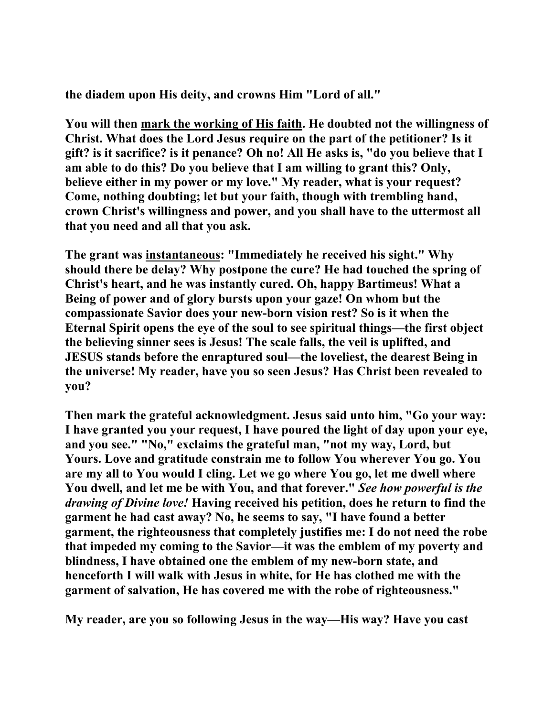**the diadem upon His deity, and crowns Him "Lord of all."** 

**You will then mark the working of His faith. He doubted not the willingness of Christ. What does the Lord Jesus require on the part of the petitioner? Is it gift? is it sacrifice? is it penance? Oh no! All He asks is, "do you believe that I am able to do this? Do you believe that I am willing to grant this? Only, believe either in my power or my love." My reader, what is your request? Come, nothing doubting; let but your faith, though with trembling hand, crown Christ's willingness and power, and you shall have to the uttermost all that you need and all that you ask.** 

**The grant was instantaneous: "Immediately he received his sight." Why should there be delay? Why postpone the cure? He had touched the spring of Christ's heart, and he was instantly cured. Oh, happy Bartimeus! What a Being of power and of glory bursts upon your gaze! On whom but the compassionate Savior does your new-born vision rest? So is it when the Eternal Spirit opens the eye of the soul to see spiritual things—the first object the believing sinner sees is Jesus! The scale falls, the veil is uplifted, and JESUS stands before the enraptured soul—the loveliest, the dearest Being in the universe! My reader, have you so seen Jesus? Has Christ been revealed to you?** 

**Then mark the grateful acknowledgment. Jesus said unto him, "Go your way: I have granted you your request, I have poured the light of day upon your eye, and you see." "No," exclaims the grateful man, "not my way, Lord, but Yours. Love and gratitude constrain me to follow You wherever You go. You are my all to You would I cling. Let we go where You go, let me dwell where You dwell, and let me be with You, and that forever."** *See how powerful is the drawing of Divine love!* **Having received his petition, does he return to find the garment he had cast away? No, he seems to say, "I have found a better garment, the righteousness that completely justifies me: I do not need the robe that impeded my coming to the Savior—it was the emblem of my poverty and blindness, I have obtained one the emblem of my new-born state, and henceforth I will walk with Jesus in white, for He has clothed me with the garment of salvation, He has covered me with the robe of righteousness."** 

**My reader, are you so following Jesus in the way—His way? Have you cast**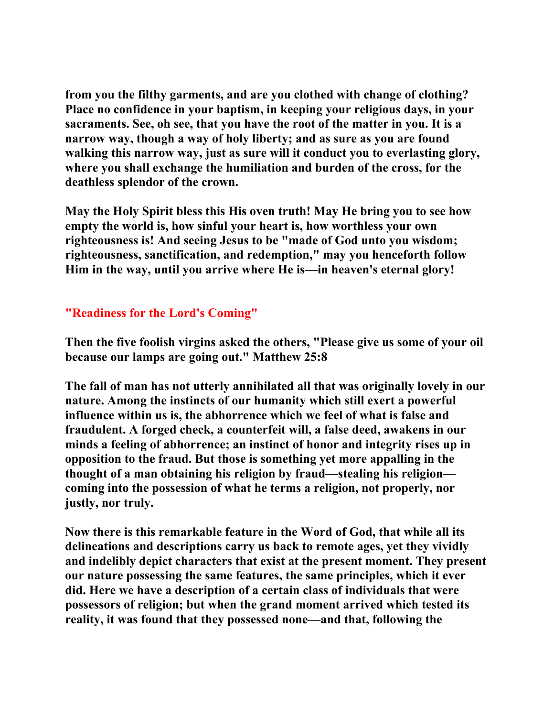**from you the filthy garments, and are you clothed with change of clothing? Place no confidence in your baptism, in keeping your religious days, in your sacraments. See, oh see, that you have the root of the matter in you. It is a narrow way, though a way of holy liberty; and as sure as you are found walking this narrow way, just as sure will it conduct you to everlasting glory, where you shall exchange the humiliation and burden of the cross, for the deathless splendor of the crown.** 

**May the Holy Spirit bless this His oven truth! May He bring you to see how empty the world is, how sinful your heart is, how worthless your own righteousness is! And seeing Jesus to be "made of God unto you wisdom; righteousness, sanctification, and redemption," may you henceforth follow Him in the way, until you arrive where He is—in heaven's eternal glory!** 

# **"Readiness for the Lord's Coming"**

**Then the five foolish virgins asked the others, "Please give us some of your oil because our lamps are going out." Matthew 25:8** 

**The fall of man has not utterly annihilated all that was originally lovely in our nature. Among the instincts of our humanity which still exert a powerful influence within us is, the abhorrence which we feel of what is false and fraudulent. A forged check, a counterfeit will, a false deed, awakens in our minds a feeling of abhorrence; an instinct of honor and integrity rises up in opposition to the fraud. But those is something yet more appalling in the thought of a man obtaining his religion by fraud—stealing his religion coming into the possession of what he terms a religion, not properly, nor justly, nor truly.** 

**Now there is this remarkable feature in the Word of God, that while all its delineations and descriptions carry us back to remote ages, yet they vividly and indelibly depict characters that exist at the present moment. They present our nature possessing the same features, the same principles, which it ever did. Here we have a description of a certain class of individuals that were possessors of religion; but when the grand moment arrived which tested its reality, it was found that they possessed none—and that, following the**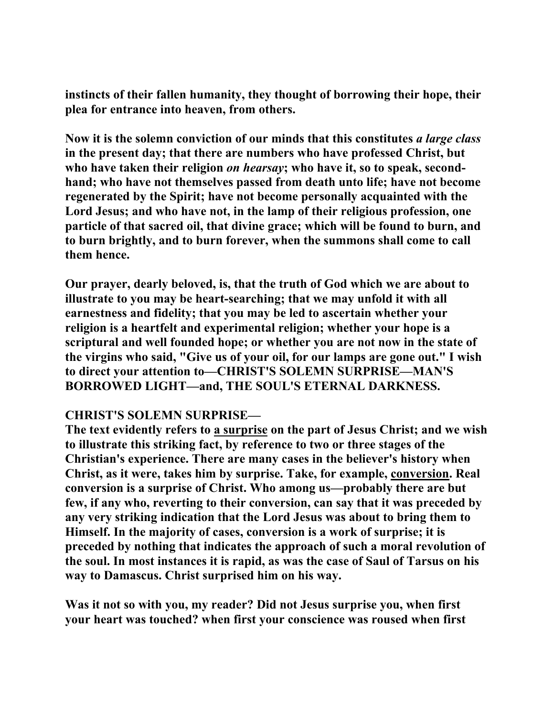**instincts of their fallen humanity, they thought of borrowing their hope, their plea for entrance into heaven, from others.** 

**Now it is the solemn conviction of our minds that this constitutes** *a large class* **in the present day; that there are numbers who have professed Christ, but who have taken their religion** *on hearsay***; who have it, so to speak, secondhand; who have not themselves passed from death unto life; have not become regenerated by the Spirit; have not become personally acquainted with the Lord Jesus; and who have not, in the lamp of their religious profession, one particle of that sacred oil, that divine grace; which will be found to burn, and to burn brightly, and to burn forever, when the summons shall come to call them hence.** 

**Our prayer, dearly beloved, is, that the truth of God which we are about to illustrate to you may be heart-searching; that we may unfold it with all earnestness and fidelity; that you may be led to ascertain whether your religion is a heartfelt and experimental religion; whether your hope is a scriptural and well founded hope; or whether you are not now in the state of the virgins who said, "Give us of your oil, for our lamps are gone out." I wish to direct your attention to—CHRIST'S SOLEMN SURPRISE—MAN'S BORROWED LIGHT—and, THE SOUL'S ETERNAL DARKNESS.** 

### **CHRIST'S SOLEMN SURPRISE—**

**The text evidently refers to a surprise on the part of Jesus Christ; and we wish to illustrate this striking fact, by reference to two or three stages of the Christian's experience. There are many cases in the believer's history when Christ, as it were, takes him by surprise. Take, for example, conversion. Real conversion is a surprise of Christ. Who among us—probably there are but few, if any who, reverting to their conversion, can say that it was preceded by any very striking indication that the Lord Jesus was about to bring them to Himself. In the majority of cases, conversion is a work of surprise; it is preceded by nothing that indicates the approach of such a moral revolution of the soul. In most instances it is rapid, as was the case of Saul of Tarsus on his way to Damascus. Christ surprised him on his way.** 

**Was it not so with you, my reader? Did not Jesus surprise you, when first your heart was touched? when first your conscience was roused when first**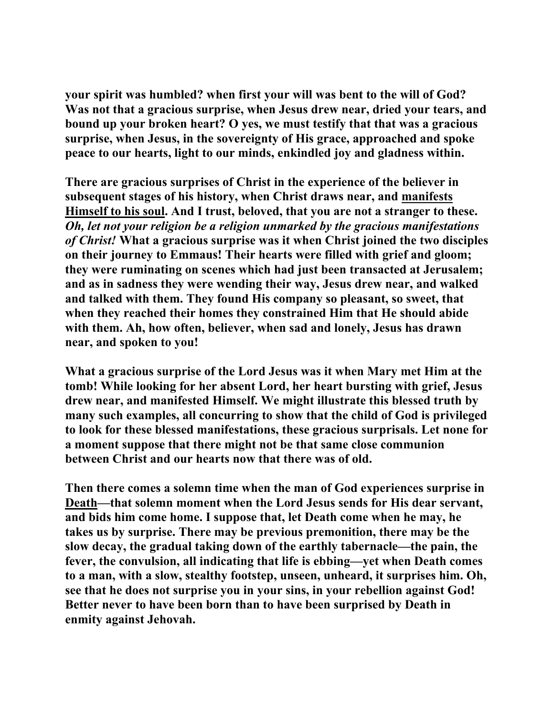**your spirit was humbled? when first your will was bent to the will of God? Was not that a gracious surprise, when Jesus drew near, dried your tears, and bound up your broken heart? O yes, we must testify that that was a gracious surprise, when Jesus, in the sovereignty of His grace, approached and spoke peace to our hearts, light to our minds, enkindled joy and gladness within.** 

**There are gracious surprises of Christ in the experience of the believer in subsequent stages of his history, when Christ draws near, and manifests Himself to his soul. And I trust, beloved, that you are not a stranger to these.** *Oh, let not your religion be a religion unmarked by the gracious manifestations of Christ!* **What a gracious surprise was it when Christ joined the two disciples on their journey to Emmaus! Their hearts were filled with grief and gloom; they were ruminating on scenes which had just been transacted at Jerusalem; and as in sadness they were wending their way, Jesus drew near, and walked and talked with them. They found His company so pleasant, so sweet, that when they reached their homes they constrained Him that He should abide with them. Ah, how often, believer, when sad and lonely, Jesus has drawn near, and spoken to you!** 

**What a gracious surprise of the Lord Jesus was it when Mary met Him at the tomb! While looking for her absent Lord, her heart bursting with grief, Jesus drew near, and manifested Himself. We might illustrate this blessed truth by many such examples, all concurring to show that the child of God is privileged to look for these blessed manifestations, these gracious surprisals. Let none for a moment suppose that there might not be that same close communion between Christ and our hearts now that there was of old.** 

**Then there comes a solemn time when the man of God experiences surprise in Death—that solemn moment when the Lord Jesus sends for His dear servant, and bids him come home. I suppose that, let Death come when he may, he takes us by surprise. There may be previous premonition, there may be the slow decay, the gradual taking down of the earthly tabernacle—the pain, the fever, the convulsion, all indicating that life is ebbing—yet when Death comes to a man, with a slow, stealthy footstep, unseen, unheard, it surprises him. Oh, see that he does not surprise you in your sins, in your rebellion against God! Better never to have been born than to have been surprised by Death in enmity against Jehovah.**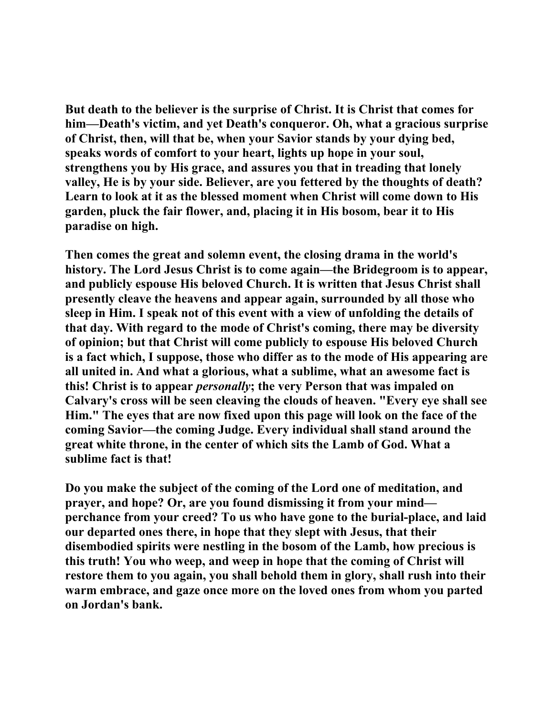**But death to the believer is the surprise of Christ. It is Christ that comes for him—Death's victim, and yet Death's conqueror. Oh, what a gracious surprise of Christ, then, will that be, when your Savior stands by your dying bed, speaks words of comfort to your heart, lights up hope in your soul, strengthens you by His grace, and assures you that in treading that lonely valley, He is by your side. Believer, are you fettered by the thoughts of death? Learn to look at it as the blessed moment when Christ will come down to His garden, pluck the fair flower, and, placing it in His bosom, bear it to His paradise on high.** 

**Then comes the great and solemn event, the closing drama in the world's history. The Lord Jesus Christ is to come again—the Bridegroom is to appear, and publicly espouse His beloved Church. It is written that Jesus Christ shall presently cleave the heavens and appear again, surrounded by all those who sleep in Him. I speak not of this event with a view of unfolding the details of that day. With regard to the mode of Christ's coming, there may be diversity of opinion; but that Christ will come publicly to espouse His beloved Church is a fact which, I suppose, those who differ as to the mode of His appearing are all united in. And what a glorious, what a sublime, what an awesome fact is this! Christ is to appear** *personally***; the very Person that was impaled on Calvary's cross will be seen cleaving the clouds of heaven. "Every eye shall see Him." The eyes that are now fixed upon this page will look on the face of the coming Savior—the coming Judge. Every individual shall stand around the great white throne, in the center of which sits the Lamb of God. What a sublime fact is that!** 

**Do you make the subject of the coming of the Lord one of meditation, and prayer, and hope? Or, are you found dismissing it from your mind perchance from your creed? To us who have gone to the burial-place, and laid our departed ones there, in hope that they slept with Jesus, that their disembodied spirits were nestling in the bosom of the Lamb, how precious is this truth! You who weep, and weep in hope that the coming of Christ will restore them to you again, you shall behold them in glory, shall rush into their warm embrace, and gaze once more on the loved ones from whom you parted on Jordan's bank.**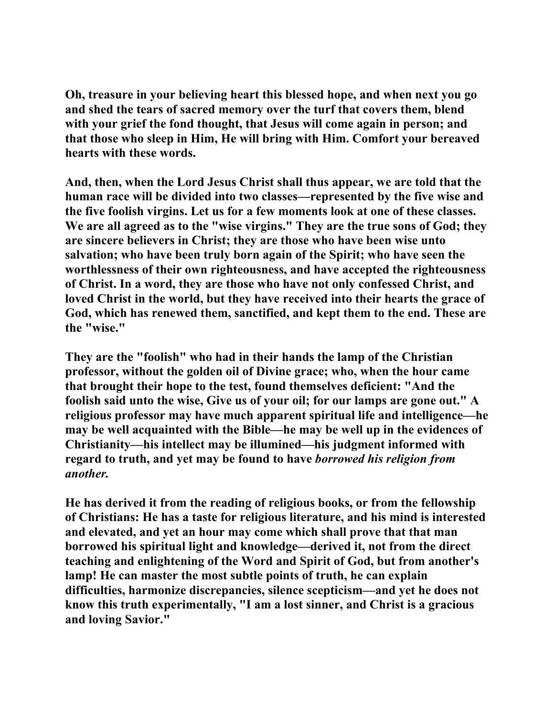**Oh, treasure in your believing heart this blessed hope, and when next you go and shed the tears of sacred memory over the turf that covers them, blend with your grief the fond thought, that Jesus will come again in person; and that those who sleep in Him, He will bring with Him. Comfort your bereaved hearts with these words.** 

**And, then, when the Lord Jesus Christ shall thus appear, we are told that the human race will be divided into two classes—represented by the five wise and the five foolish virgins. Let us for a few moments look at one of these classes. We are all agreed as to the "wise virgins." They are the true sons of God; they are sincere believers in Christ; they are those who have been wise unto salvation; who have been truly born again of the Spirit; who have seen the worthlessness of their own righteousness, and have accepted the righteousness of Christ. In a word, they are those who have not only confessed Christ, and loved Christ in the world, but they have received into their hearts the grace of God, which has renewed them, sanctified, and kept them to the end. These are the "wise."** 

**They are the "foolish" who had in their hands the lamp of the Christian professor, without the golden oil of Divine grace; who, when the hour came that brought their hope to the test, found themselves deficient: "And the foolish said unto the wise, Give us of your oil; for our lamps are gone out." A religious professor may have much apparent spiritual life and intelligence—he may be well acquainted with the Bible—he may be well up in the evidences of Christianity—his intellect may be illumined—his judgment informed with regard to truth, and yet may be found to have** *borrowed his religion from another.*

**He has derived it from the reading of religious books, or from the fellowship of Christians: He has a taste for religious literature, and his mind is interested and elevated, and yet an hour may come which shall prove that that man borrowed his spiritual light and knowledge—derived it, not from the direct teaching and enlightening of the Word and Spirit of God, but from another's lamp! He can master the most subtle points of truth, he can explain difficulties, harmonize discrepancies, silence scepticism—and yet he does not know this truth experimentally, "I am a lost sinner, and Christ is a gracious and loving Savior."**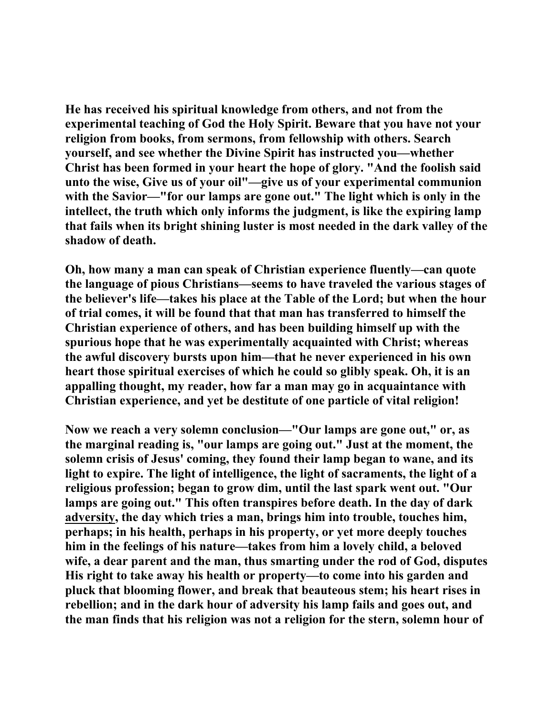**He has received his spiritual knowledge from others, and not from the experimental teaching of God the Holy Spirit. Beware that you have not your religion from books, from sermons, from fellowship with others. Search yourself, and see whether the Divine Spirit has instructed you—whether Christ has been formed in your heart the hope of glory. "And the foolish said unto the wise, Give us of your oil"—give us of your experimental communion with the Savior—"for our lamps are gone out." The light which is only in the intellect, the truth which only informs the judgment, is like the expiring lamp that fails when its bright shining luster is most needed in the dark valley of the shadow of death.** 

**Oh, how many a man can speak of Christian experience fluently—can quote the language of pious Christians—seems to have traveled the various stages of the believer's life—takes his place at the Table of the Lord; but when the hour of trial comes, it will be found that that man has transferred to himself the Christian experience of others, and has been building himself up with the spurious hope that he was experimentally acquainted with Christ; whereas the awful discovery bursts upon him—that he never experienced in his own heart those spiritual exercises of which he could so glibly speak. Oh, it is an appalling thought, my reader, how far a man may go in acquaintance with Christian experience, and yet be destitute of one particle of vital religion!** 

**Now we reach a very solemn conclusion—"Our lamps are gone out," or, as the marginal reading is, "our lamps are going out." Just at the moment, the solemn crisis of Jesus' coming, they found their lamp began to wane, and its light to expire. The light of intelligence, the light of sacraments, the light of a religious profession; began to grow dim, until the last spark went out. "Our lamps are going out." This often transpires before death. In the day of dark adversity, the day which tries a man, brings him into trouble, touches him, perhaps; in his health, perhaps in his property, or yet more deeply touches him in the feelings of his nature—takes from him a lovely child, a beloved wife, a dear parent and the man, thus smarting under the rod of God, disputes His right to take away his health or property—to come into his garden and pluck that blooming flower, and break that beauteous stem; his heart rises in rebellion; and in the dark hour of adversity his lamp fails and goes out, and the man finds that his religion was not a religion for the stern, solemn hour of**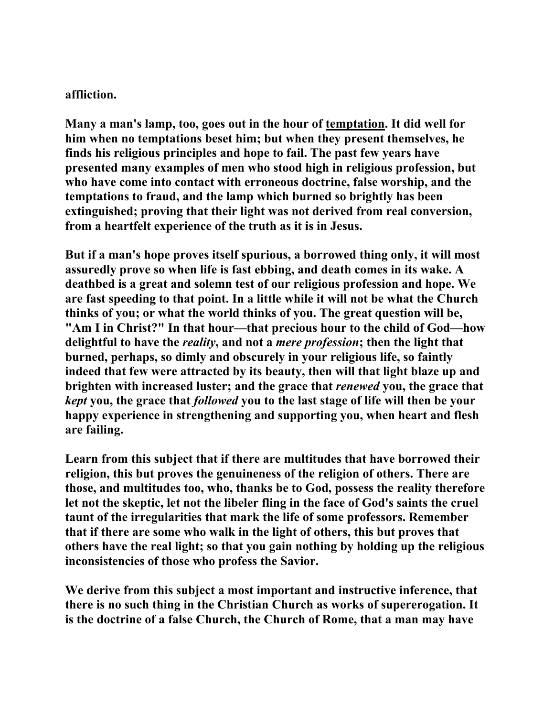#### **affliction.**

**Many a man's lamp, too, goes out in the hour of temptation. It did well for him when no temptations beset him; but when they present themselves, he finds his religious principles and hope to fail. The past few years have presented many examples of men who stood high in religious profession, but who have come into contact with erroneous doctrine, false worship, and the temptations to fraud, and the lamp which burned so brightly has been extinguished; proving that their light was not derived from real conversion, from a heartfelt experience of the truth as it is in Jesus.** 

**But if a man's hope proves itself spurious, a borrowed thing only, it will most assuredly prove so when life is fast ebbing, and death comes in its wake. A deathbed is a great and solemn test of our religious profession and hope. We are fast speeding to that point. In a little while it will not be what the Church thinks of you; or what the world thinks of you. The great question will be, "Am I in Christ?" In that hour—that precious hour to the child of God—how delightful to have the** *reality***, and not a** *mere profession***; then the light that burned, perhaps, so dimly and obscurely in your religious life, so faintly indeed that few were attracted by its beauty, then will that light blaze up and brighten with increased luster; and the grace that** *renewed* **you, the grace that**  *kept* **you, the grace that** *followed* **you to the last stage of life will then be your happy experience in strengthening and supporting you, when heart and flesh are failing.** 

**Learn from this subject that if there are multitudes that have borrowed their religion, this but proves the genuineness of the religion of others. There are those, and multitudes too, who, thanks be to God, possess the reality therefore let not the skeptic, let not the libeler fling in the face of God's saints the cruel taunt of the irregularities that mark the life of some professors. Remember that if there are some who walk in the light of others, this but proves that others have the real light; so that you gain nothing by holding up the religious inconsistencies of those who profess the Savior.** 

**We derive from this subject a most important and instructive inference, that there is no such thing in the Christian Church as works of supererogation. It is the doctrine of a false Church, the Church of Rome, that a man may have**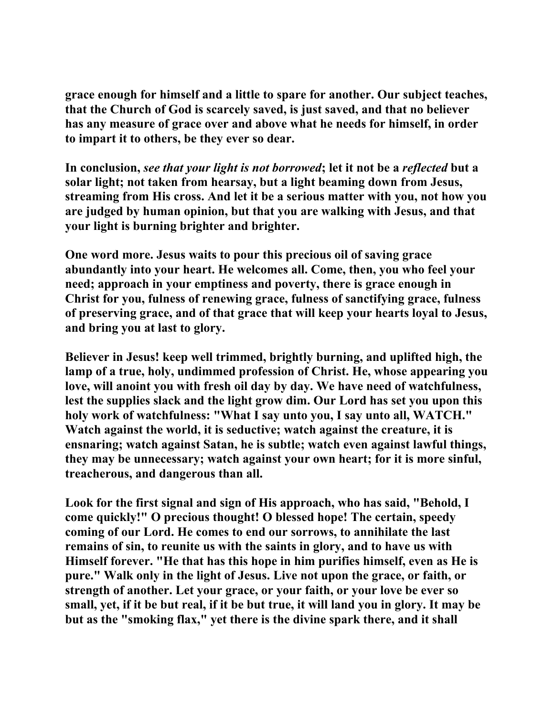**grace enough for himself and a little to spare for another. Our subject teaches, that the Church of God is scarcely saved, is just saved, and that no believer has any measure of grace over and above what he needs for himself, in order to impart it to others, be they ever so dear.** 

**In conclusion,** *see that your light is not borrowed***; let it not be a** *reflected* **but a solar light; not taken from hearsay, but a light beaming down from Jesus, streaming from His cross. And let it be a serious matter with you, not how you are judged by human opinion, but that you are walking with Jesus, and that your light is burning brighter and brighter.** 

**One word more. Jesus waits to pour this precious oil of saving grace abundantly into your heart. He welcomes all. Come, then, you who feel your need; approach in your emptiness and poverty, there is grace enough in Christ for you, fulness of renewing grace, fulness of sanctifying grace, fulness of preserving grace, and of that grace that will keep your hearts loyal to Jesus, and bring you at last to glory.** 

**Believer in Jesus! keep well trimmed, brightly burning, and uplifted high, the lamp of a true, holy, undimmed profession of Christ. He, whose appearing you love, will anoint you with fresh oil day by day. We have need of watchfulness, lest the supplies slack and the light grow dim. Our Lord has set you upon this holy work of watchfulness: "What I say unto you, I say unto all, WATCH." Watch against the world, it is seductive; watch against the creature, it is ensnaring; watch against Satan, he is subtle; watch even against lawful things, they may be unnecessary; watch against your own heart; for it is more sinful, treacherous, and dangerous than all.** 

**Look for the first signal and sign of His approach, who has said, "Behold, I come quickly!" O precious thought! O blessed hope! The certain, speedy coming of our Lord. He comes to end our sorrows, to annihilate the last remains of sin, to reunite us with the saints in glory, and to have us with Himself forever. "He that has this hope in him purifies himself, even as He is pure." Walk only in the light of Jesus. Live not upon the grace, or faith, or strength of another. Let your grace, or your faith, or your love be ever so small, yet, if it be but real, if it be but true, it will land you in glory. It may be but as the "smoking flax," yet there is the divine spark there, and it shall**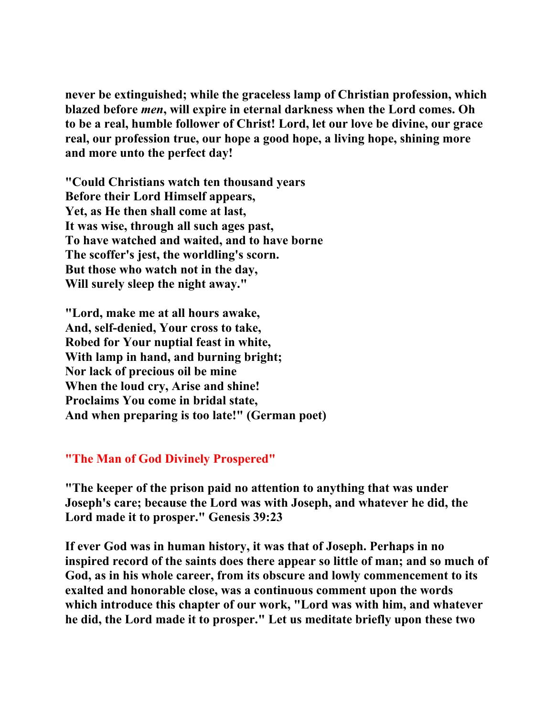**never be extinguished; while the graceless lamp of Christian profession, which blazed before** *men***, will expire in eternal darkness when the Lord comes. Oh to be a real, humble follower of Christ! Lord, let our love be divine, our grace real, our profession true, our hope a good hope, a living hope, shining more and more unto the perfect day!** 

**"Could Christians watch ten thousand years Before their Lord Himself appears, Yet, as He then shall come at last, It was wise, through all such ages past, To have watched and waited, and to have borne The scoffer's jest, the worldling's scorn. But those who watch not in the day, Will surely sleep the night away."** 

**"Lord, make me at all hours awake, And, self-denied, Your cross to take, Robed for Your nuptial feast in white, With lamp in hand, and burning bright; Nor lack of precious oil be mine When the loud cry, Arise and shine! Proclaims You come in bridal state, And when preparing is too late!" (German poet)** 

### **"The Man of God Divinely Prospered"**

**"The keeper of the prison paid no attention to anything that was under Joseph's care; because the Lord was with Joseph, and whatever he did, the Lord made it to prosper." Genesis 39:23** 

**If ever God was in human history, it was that of Joseph. Perhaps in no inspired record of the saints does there appear so little of man; and so much of God, as in his whole career, from its obscure and lowly commencement to its exalted and honorable close, was a continuous comment upon the words which introduce this chapter of our work, "Lord was with him, and whatever he did, the Lord made it to prosper." Let us meditate briefly upon these two**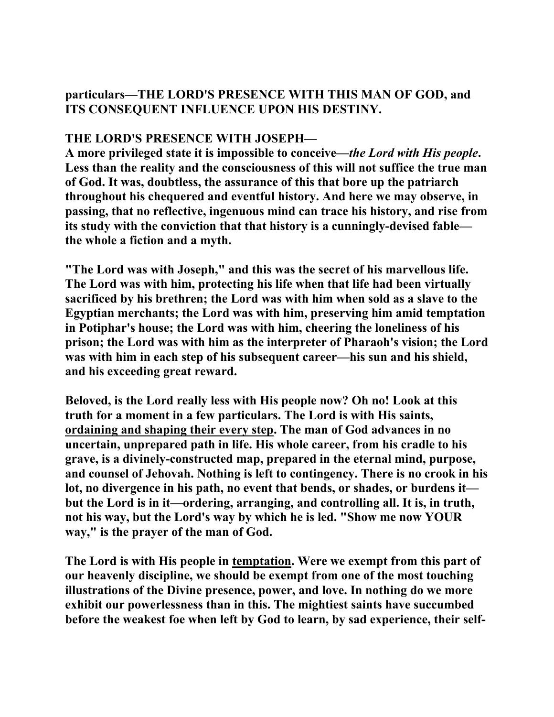# **particulars—THE LORD'S PRESENCE WITH THIS MAN OF GOD, and ITS CONSEQUENT INFLUENCE UPON HIS DESTINY.**

## **THE LORD'S PRESENCE WITH JOSEPH—**

**A more privileged state it is impossible to conceive—***the Lord with His people***. Less than the reality and the consciousness of this will not suffice the true man of God. It was, doubtless, the assurance of this that bore up the patriarch throughout his chequered and eventful history. And here we may observe, in passing, that no reflective, ingenuous mind can trace his history, and rise from its study with the conviction that that history is a cunningly-devised fable the whole a fiction and a myth.** 

**"The Lord was with Joseph," and this was the secret of his marvellous life. The Lord was with him, protecting his life when that life had been virtually sacrificed by his brethren; the Lord was with him when sold as a slave to the Egyptian merchants; the Lord was with him, preserving him amid temptation in Potiphar's house; the Lord was with him, cheering the loneliness of his prison; the Lord was with him as the interpreter of Pharaoh's vision; the Lord was with him in each step of his subsequent career—his sun and his shield, and his exceeding great reward.** 

**Beloved, is the Lord really less with His people now? Oh no! Look at this truth for a moment in a few particulars. The Lord is with His saints, ordaining and shaping their every step. The man of God advances in no uncertain, unprepared path in life. His whole career, from his cradle to his grave, is a divinely-constructed map, prepared in the eternal mind, purpose, and counsel of Jehovah. Nothing is left to contingency. There is no crook in his lot, no divergence in his path, no event that bends, or shades, or burdens it but the Lord is in it—ordering, arranging, and controlling all. It is, in truth, not his way, but the Lord's way by which he is led. "Show me now YOUR way," is the prayer of the man of God.** 

**The Lord is with His people in temptation. Were we exempt from this part of our heavenly discipline, we should be exempt from one of the most touching illustrations of the Divine presence, power, and love. In nothing do we more exhibit our powerlessness than in this. The mightiest saints have succumbed before the weakest foe when left by God to learn, by sad experience, their self-**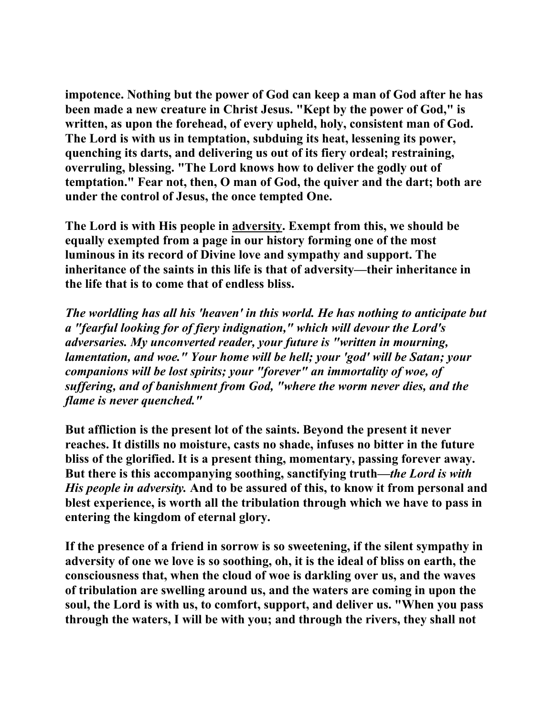**impotence. Nothing but the power of God can keep a man of God after he has been made a new creature in Christ Jesus. "Kept by the power of God," is written, as upon the forehead, of every upheld, holy, consistent man of God. The Lord is with us in temptation, subduing its heat, lessening its power, quenching its darts, and delivering us out of its fiery ordeal; restraining, overruling, blessing. "The Lord knows how to deliver the godly out of temptation." Fear not, then, O man of God, the quiver and the dart; both are under the control of Jesus, the once tempted One.** 

**The Lord is with His people in adversity. Exempt from this, we should be equally exempted from a page in our history forming one of the most luminous in its record of Divine love and sympathy and support. The inheritance of the saints in this life is that of adversity—their inheritance in the life that is to come that of endless bliss.** 

*The worldling has all his 'heaven' in this world. He has nothing to anticipate but a "fearful looking for of fiery indignation," which will devour the Lord's adversaries. My unconverted reader, your future is "written in mourning, lamentation, and woe." Your home will be hell; your 'god' will be Satan; your companions will be lost spirits; your "forever" an immortality of woe, of suffering, and of banishment from God, "where the worm never dies, and the flame is never quenched."* 

**But affliction is the present lot of the saints. Beyond the present it never reaches. It distills no moisture, casts no shade, infuses no bitter in the future bliss of the glorified. It is a present thing, momentary, passing forever away. But there is this accompanying soothing, sanctifying truth***—the Lord is with His people in adversity.* **And to be assured of this, to know it from personal and blest experience, is worth all the tribulation through which we have to pass in entering the kingdom of eternal glory.** 

**If the presence of a friend in sorrow is so sweetening, if the silent sympathy in adversity of one we love is so soothing, oh, it is the ideal of bliss on earth, the consciousness that, when the cloud of woe is darkling over us, and the waves of tribulation are swelling around us, and the waters are coming in upon the soul, the Lord is with us, to comfort, support, and deliver us. "When you pass through the waters, I will be with you; and through the rivers, they shall not**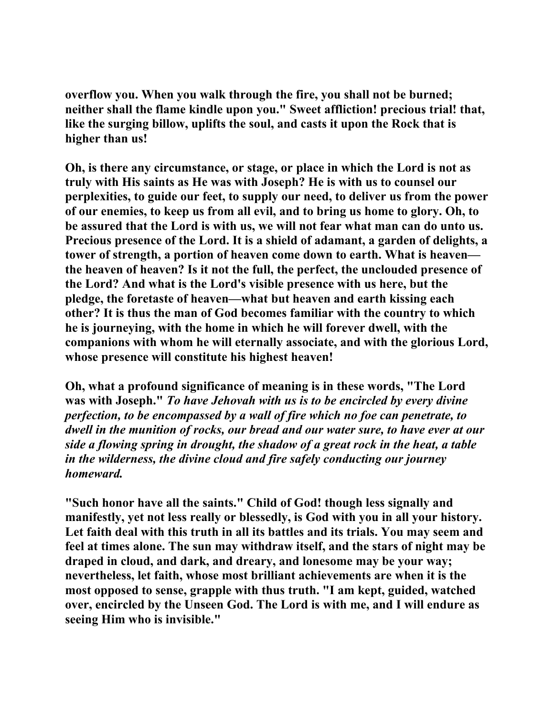**overflow you. When you walk through the fire, you shall not be burned; neither shall the flame kindle upon you." Sweet affliction! precious trial! that, like the surging billow, uplifts the soul, and casts it upon the Rock that is higher than us!** 

**Oh, is there any circumstance, or stage, or place in which the Lord is not as truly with His saints as He was with Joseph? He is with us to counsel our perplexities, to guide our feet, to supply our need, to deliver us from the power of our enemies, to keep us from all evil, and to bring us home to glory. Oh, to be assured that the Lord is with us, we will not fear what man can do unto us. Precious presence of the Lord. It is a shield of adamant, a garden of delights, a tower of strength, a portion of heaven come down to earth. What is heaven the heaven of heaven? Is it not the full, the perfect, the unclouded presence of the Lord? And what is the Lord's visible presence with us here, but the pledge, the foretaste of heaven—what but heaven and earth kissing each other? It is thus the man of God becomes familiar with the country to which he is journeying, with the home in which he will forever dwell, with the companions with whom he will eternally associate, and with the glorious Lord, whose presence will constitute his highest heaven!** 

**Oh, what a profound significance of meaning is in these words, "The Lord was with Joseph."** *To have Jehovah with us is to be encircled by every divine perfection, to be encompassed by a wall of fire which no foe can penetrate, to dwell in the munition of rocks, our bread and our water sure, to have ever at our side a flowing spring in drought, the shadow of a great rock in the heat, a table in the wilderness, the divine cloud and fire safely conducting our journey homeward.*

**"Such honor have all the saints." Child of God! though less signally and manifestly, yet not less really or blessedly, is God with you in all your history. Let faith deal with this truth in all its battles and its trials. You may seem and feel at times alone. The sun may withdraw itself, and the stars of night may be draped in cloud, and dark, and dreary, and lonesome may be your way; nevertheless, let faith, whose most brilliant achievements are when it is the most opposed to sense, grapple with thus truth. "I am kept, guided, watched over, encircled by the Unseen God. The Lord is with me, and I will endure as seeing Him who is invisible."**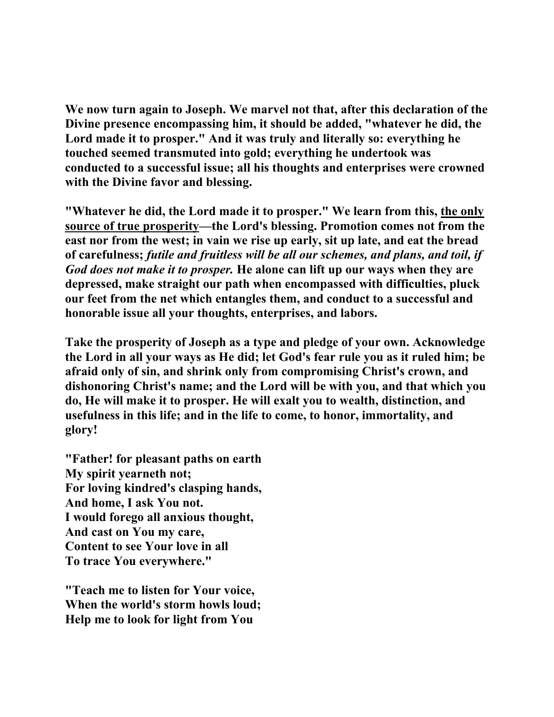**We now turn again to Joseph. We marvel not that, after this declaration of the Divine presence encompassing him, it should be added, "whatever he did, the Lord made it to prosper." And it was truly and literally so: everything he touched seemed transmuted into gold; everything he undertook was conducted to a successful issue; all his thoughts and enterprises were crowned with the Divine favor and blessing.** 

**"Whatever he did, the Lord made it to prosper." We learn from this, the only source of true prosperity—the Lord's blessing. Promotion comes not from the east nor from the west; in vain we rise up early, sit up late, and eat the bread of carefulness;** *futile and fruitless will be all our schemes, and plans, and toil, if God does not make it to prosper.* **He alone can lift up our ways when they are depressed, make straight our path when encompassed with difficulties, pluck our feet from the net which entangles them, and conduct to a successful and honorable issue all your thoughts, enterprises, and labors.** 

**Take the prosperity of Joseph as a type and pledge of your own. Acknowledge the Lord in all your ways as He did; let God's fear rule you as it ruled him; be afraid only of sin, and shrink only from compromising Christ's crown, and dishonoring Christ's name; and the Lord will be with you, and that which you do, He will make it to prosper. He will exalt you to wealth, distinction, and usefulness in this life; and in the life to come, to honor, immortality, and glory!** 

**"Father! for pleasant paths on earth My spirit yearneth not; For loving kindred's clasping hands, And home, I ask You not. I would forego all anxious thought, And cast on You my care, Content to see Your love in all To trace You everywhere."** 

**"Teach me to listen for Your voice, When the world's storm howls loud; Help me to look for light from You**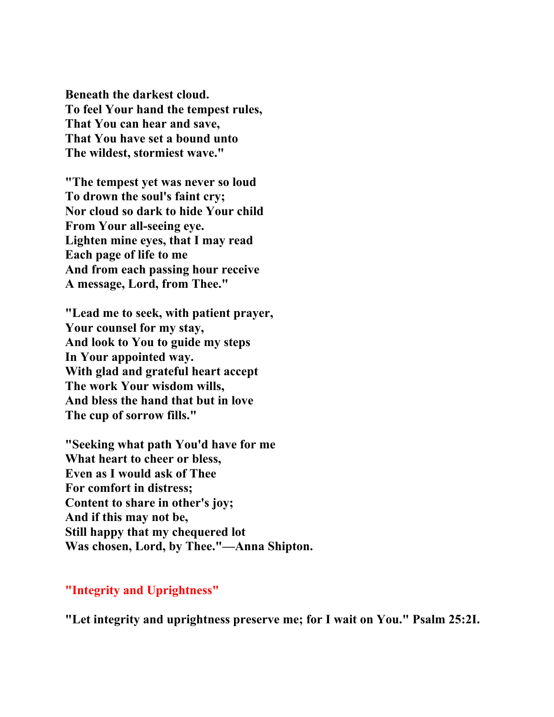**Beneath the darkest cloud. To feel Your hand the tempest rules, That You can hear and save, That You have set a bound unto The wildest, stormiest wave."** 

**"The tempest yet was never so loud To drown the soul's faint cry; Nor cloud so dark to hide Your child From Your all-seeing eye. Lighten mine eyes, that I may read Each page of life to me And from each passing hour receive A message, Lord, from Thee."** 

**"Lead me to seek, with patient prayer, Your counsel for my stay, And look to You to guide my steps In Your appointed way. With glad and grateful heart accept The work Your wisdom wills, And bless the hand that but in love The cup of sorrow fills."** 

**"Seeking what path You'd have for me What heart to cheer or bless, Even as I would ask of Thee For comfort in distress; Content to share in other's joy; And if this may not be, Still happy that my chequered lot Was chosen, Lord, by Thee."—Anna Shipton.** 

#### **"Integrity and Uprightness"**

**"Let integrity and uprightness preserve me; for I wait on You." Psalm 25:2I.**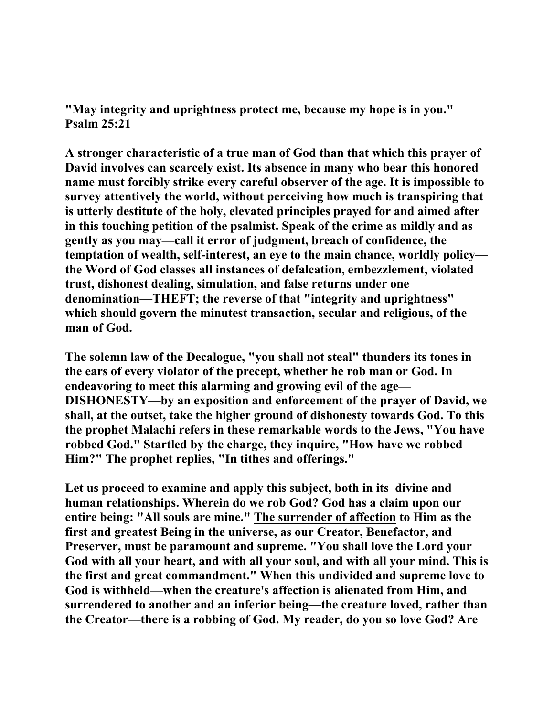**"May integrity and uprightness protect me, because my hope is in you." Psalm 25:21** 

**A stronger characteristic of a true man of God than that which this prayer of David involves can scarcely exist. Its absence in many who bear this honored name must forcibly strike every careful observer of the age. It is impossible to survey attentively the world, without perceiving how much is transpiring that is utterly destitute of the holy, elevated principles prayed for and aimed after in this touching petition of the psalmist. Speak of the crime as mildly and as gently as you may—call it error of judgment, breach of confidence, the temptation of wealth, self-interest, an eye to the main chance, worldly policy the Word of God classes all instances of defalcation, embezzlement, violated trust, dishonest dealing, simulation, and false returns under one denomination—THEFT; the reverse of that "integrity and uprightness" which should govern the minutest transaction, secular and religious, of the man of God.** 

**The solemn law of the Decalogue, "you shall not steal" thunders its tones in the ears of every violator of the precept, whether he rob man or God. In endeavoring to meet this alarming and growing evil of the age— DISHONESTY—by an exposition and enforcement of the prayer of David, we shall, at the outset, take the higher ground of dishonesty towards God. To this the prophet Malachi refers in these remarkable words to the Jews, "You have robbed God." Startled by the charge, they inquire, "How have we robbed Him?" The prophet replies, "In tithes and offerings."** 

**Let us proceed to examine and apply this subject, both in its divine and human relationships. Wherein do we rob God? God has a claim upon our entire being: "All souls are mine." The surrender of affection to Him as the first and greatest Being in the universe, as our Creator, Benefactor, and Preserver, must be paramount and supreme. "You shall love the Lord your God with all your heart, and with all your soul, and with all your mind. This is the first and great commandment." When this undivided and supreme love to God is withheld—when the creature's affection is alienated from Him, and surrendered to another and an inferior being—the creature loved, rather than the Creator—there is a robbing of God. My reader, do you so love God? Are**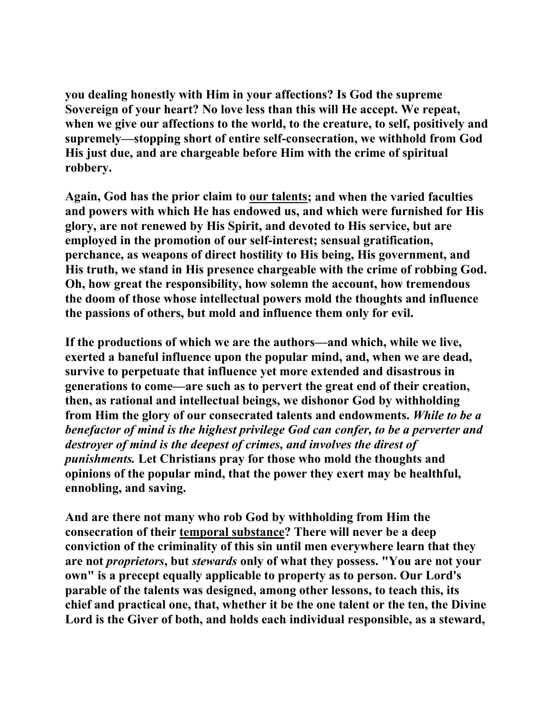**you dealing honestly with Him in your affections? Is God the supreme Sovereign of your heart? No love less than this will He accept. We repeat, when we give our affections to the world, to the creature, to self, positively and supremely—stopping short of entire self-consecration, we withhold from God His just due, and are chargeable before Him with the crime of spiritual robbery.** 

**Again, God has the prior claim to our talents; and when the varied faculties and powers with which He has endowed us, and which were furnished for His glory, are not renewed by His Spirit, and devoted to His service, but are employed in the promotion of our self-interest; sensual gratification, perchance, as weapons of direct hostility to His being, His government, and His truth, we stand in His presence chargeable with the crime of robbing God. Oh, how great the responsibility, how solemn the account, how tremendous the doom of those whose intellectual powers mold the thoughts and influence the passions of others, but mold and influence them only for evil.** 

**If the productions of which we are the authors—and which, while we live, exerted a baneful influence upon the popular mind, and, when we are dead, survive to perpetuate that influence yet more extended and disastrous in generations to come—are such as to pervert the great end of their creation, then, as rational and intellectual beings, we dishonor God by withholding from Him the glory of our consecrated talents and endowments.** *While to be a benefactor of mind is the highest privilege God can confer, to be a perverter and destroyer of mind is the deepest of crimes, and involves the direst of punishments.* **Let Christians pray for those who mold the thoughts and opinions of the popular mind, that the power they exert may be healthful, ennobling, and saving.** 

**And are there not many who rob God by withholding from Him the consecration of their temporal substance? There will never be a deep conviction of the criminality of this sin until men everywhere learn that they are not** *proprietors***, but** *stewards* **only of what they possess. "You are not your own" is a precept equally applicable to property as to person. Our Lord's parable of the talents was designed, among other lessons, to teach this, its chief and practical one, that, whether it be the one talent or the ten, the Divine Lord is the Giver of both, and holds each individual responsible, as a steward,**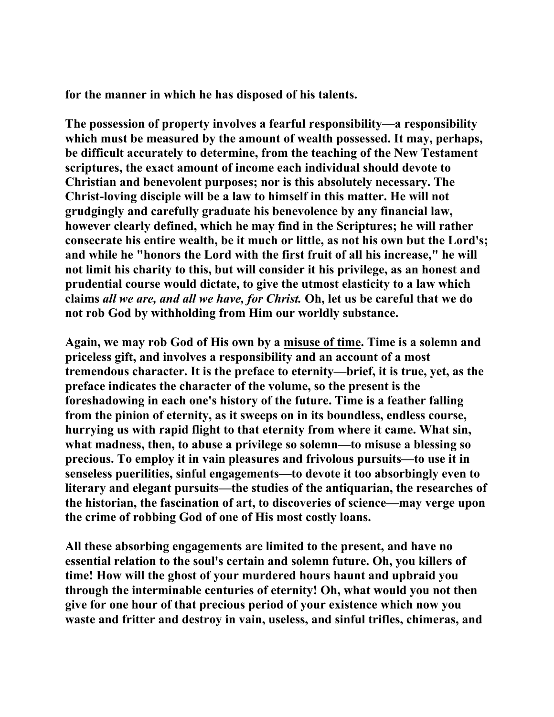**for the manner in which he has disposed of his talents.** 

**The possession of property involves a fearful responsibility—a responsibility which must be measured by the amount of wealth possessed. It may, perhaps, be difficult accurately to determine, from the teaching of the New Testament scriptures, the exact amount of income each individual should devote to Christian and benevolent purposes; nor is this absolutely necessary. The Christ-loving disciple will be a law to himself in this matter. He will not grudgingly and carefully graduate his benevolence by any financial law, however clearly defined, which he may find in the Scriptures; he will rather consecrate his entire wealth, be it much or little, as not his own but the Lord's; and while he "honors the Lord with the first fruit of all his increase," he will not limit his charity to this, but will consider it his privilege, as an honest and prudential course would dictate, to give the utmost elasticity to a law which claims** *all we are, and all we have, for Christ.* **Oh, let us be careful that we do not rob God by withholding from Him our worldly substance.** 

**Again, we may rob God of His own by a misuse of time. Time is a solemn and priceless gift, and involves a responsibility and an account of a most tremendous character. It is the preface to eternity—brief, it is true, yet, as the preface indicates the character of the volume, so the present is the foreshadowing in each one's history of the future. Time is a feather falling from the pinion of eternity, as it sweeps on in its boundless, endless course, hurrying us with rapid flight to that eternity from where it came. What sin, what madness, then, to abuse a privilege so solemn—to misuse a blessing so precious. To employ it in vain pleasures and frivolous pursuits—to use it in senseless puerilities, sinful engagements—to devote it too absorbingly even to literary and elegant pursuits—the studies of the antiquarian, the researches of the historian, the fascination of art, to discoveries of science—may verge upon the crime of robbing God of one of His most costly loans.** 

**All these absorbing engagements are limited to the present, and have no essential relation to the soul's certain and solemn future. Oh, you killers of time! How will the ghost of your murdered hours haunt and upbraid you through the interminable centuries of eternity! Oh, what would you not then give for one hour of that precious period of your existence which now you waste and fritter and destroy in vain, useless, and sinful trifles, chimeras, and**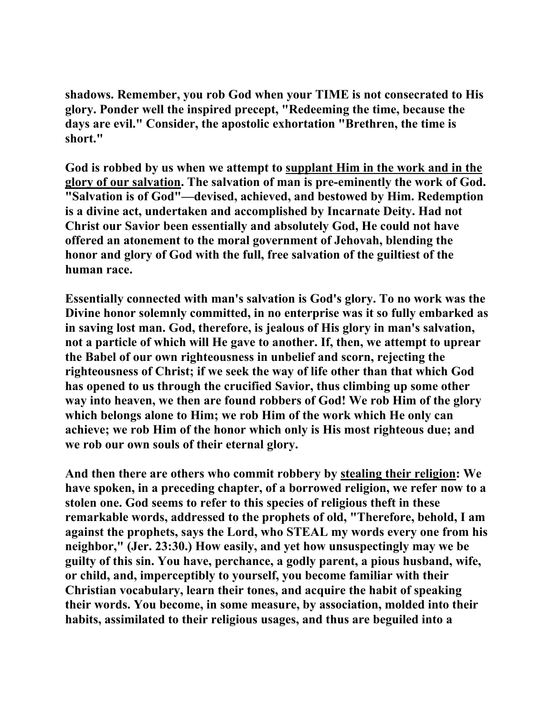**shadows. Remember, you rob God when your TIME is not consecrated to His glory. Ponder well the inspired precept, "Redeeming the time, because the days are evil." Consider, the apostolic exhortation "Brethren, the time is short."** 

**God is robbed by us when we attempt to supplant Him in the work and in the glory of our salvation. The salvation of man is pre-eminently the work of God. "Salvation is of God"—devised, achieved, and bestowed by Him. Redemption is a divine act, undertaken and accomplished by Incarnate Deity. Had not Christ our Savior been essentially and absolutely God, He could not have offered an atonement to the moral government of Jehovah, blending the honor and glory of God with the full, free salvation of the guiltiest of the human race.** 

**Essentially connected with man's salvation is God's glory. To no work was the Divine honor solemnly committed, in no enterprise was it so fully embarked as in saving lost man. God, therefore, is jealous of His glory in man's salvation, not a particle of which will He gave to another. If, then, we attempt to uprear the Babel of our own righteousness in unbelief and scorn, rejecting the righteousness of Christ; if we seek the way of life other than that which God has opened to us through the crucified Savior, thus climbing up some other way into heaven, we then are found robbers of God! We rob Him of the glory which belongs alone to Him; we rob Him of the work which He only can achieve; we rob Him of the honor which only is His most righteous due; and we rob our own souls of their eternal glory.** 

**And then there are others who commit robbery by stealing their religion: We have spoken, in a preceding chapter, of a borrowed religion, we refer now to a stolen one. God seems to refer to this species of religious theft in these remarkable words, addressed to the prophets of old, "Therefore, behold, I am against the prophets, says the Lord, who STEAL my words every one from his neighbor," (Jer. 23:30.) How easily, and yet how unsuspectingly may we be guilty of this sin. You have, perchance, a godly parent, a pious husband, wife, or child, and, imperceptibly to yourself, you become familiar with their Christian vocabulary, learn their tones, and acquire the habit of speaking their words. You become, in some measure, by association, molded into their habits, assimilated to their religious usages, and thus are beguiled into a**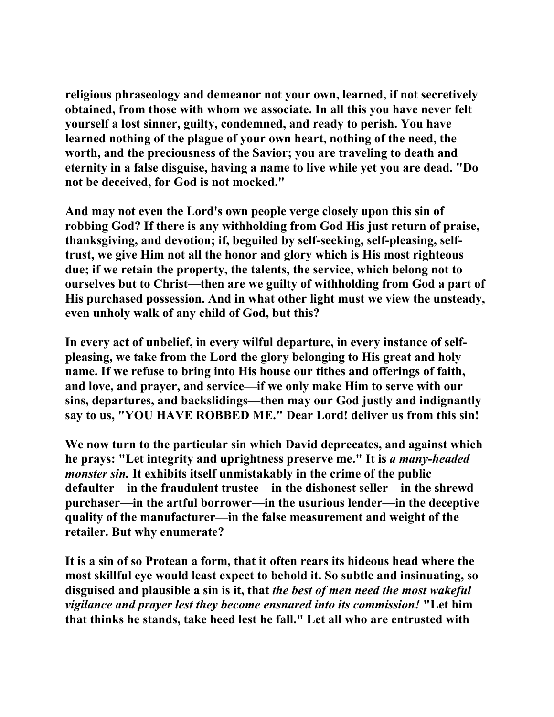**religious phraseology and demeanor not your own, learned, if not secretively obtained, from those with whom we associate. In all this you have never felt yourself a lost sinner, guilty, condemned, and ready to perish. You have learned nothing of the plague of your own heart, nothing of the need, the worth, and the preciousness of the Savior; you are traveling to death and eternity in a false disguise, having a name to live while yet you are dead. "Do not be deceived, for God is not mocked."** 

**And may not even the Lord's own people verge closely upon this sin of robbing God? If there is any withholding from God His just return of praise, thanksgiving, and devotion; if, beguiled by self-seeking, self-pleasing, selftrust, we give Him not all the honor and glory which is His most righteous due; if we retain the property, the talents, the service, which belong not to ourselves but to Christ—then are we guilty of withholding from God a part of His purchased possession. And in what other light must we view the unsteady, even unholy walk of any child of God, but this?** 

**In every act of unbelief, in every wilful departure, in every instance of selfpleasing, we take from the Lord the glory belonging to His great and holy name. If we refuse to bring into His house our tithes and offerings of faith, and love, and prayer, and service—if we only make Him to serve with our sins, departures, and backslidings—then may our God justly and indignantly say to us, "YOU HAVE ROBBED ME." Dear Lord! deliver us from this sin!** 

**We now turn to the particular sin which David deprecates, and against which he prays: "Let integrity and uprightness preserve me." It is** *a many-headed monster sin.* **It exhibits itself unmistakably in the crime of the public defaulter—in the fraudulent trustee—in the dishonest seller—in the shrewd purchaser—in the artful borrower—in the usurious lender—in the deceptive quality of the manufacturer—in the false measurement and weight of the retailer. But why enumerate?** 

**It is a sin of so Protean a form, that it often rears its hideous head where the most skillful eye would least expect to behold it. So subtle and insinuating, so disguised and plausible a sin is it, that** *the best of men need the most wakeful vigilance and prayer lest they become ensnared into its commission!* **"Let him that thinks he stands, take heed lest he fall." Let all who are entrusted with**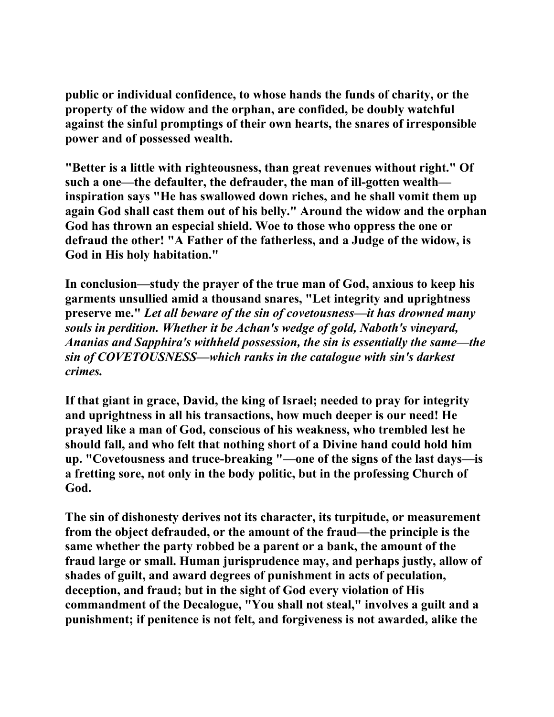**public or individual confidence, to whose hands the funds of charity, or the property of the widow and the orphan, are confided, be doubly watchful against the sinful promptings of their own hearts, the snares of irresponsible power and of possessed wealth.** 

**"Better is a little with righteousness, than great revenues without right." Of such a one—the defaulter, the defrauder, the man of ill-gotten wealth inspiration says "He has swallowed down riches, and he shall vomit them up again God shall cast them out of his belly." Around the widow and the orphan God has thrown an especial shield. Woe to those who oppress the one or defraud the other! "A Father of the fatherless, and a Judge of the widow, is God in His holy habitation."** 

**In conclusion—study the prayer of the true man of God, anxious to keep his garments unsullied amid a thousand snares, "Let integrity and uprightness preserve me."** *Let all beware of the sin of covetousness—it has drowned many souls in perdition. Whether it be Achan's wedge of gold, Naboth's vineyard, Ananias and Sapphira's withheld possession, the sin is essentially the same—the sin of COVETOUSNESS—which ranks in the catalogue with sin's darkest crimes.* 

**If that giant in grace, David, the king of Israel; needed to pray for integrity and uprightness in all his transactions, how much deeper is our need! He prayed like a man of God, conscious of his weakness, who trembled lest he should fall, and who felt that nothing short of a Divine hand could hold him up. "Covetousness and truce-breaking "—one of the signs of the last days—is a fretting sore, not only in the body politic, but in the professing Church of God.** 

**The sin of dishonesty derives not its character, its turpitude, or measurement from the object defrauded, or the amount of the fraud—the principle is the same whether the party robbed be a parent or a bank, the amount of the fraud large or small. Human jurisprudence may, and perhaps justly, allow of shades of guilt, and award degrees of punishment in acts of peculation, deception, and fraud; but in the sight of God every violation of His commandment of the Decalogue, "You shall not steal," involves a guilt and a punishment; if penitence is not felt, and forgiveness is not awarded, alike the**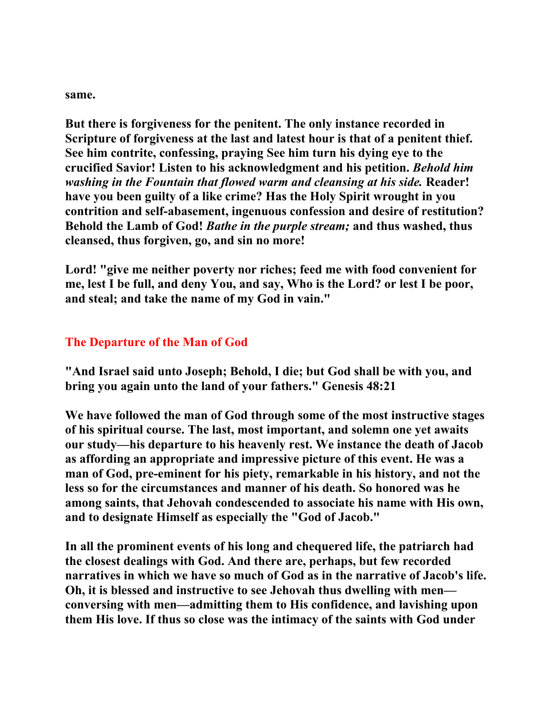**same.** 

**But there is forgiveness for the penitent. The only instance recorded in Scripture of forgiveness at the last and latest hour is that of a penitent thief. See him contrite, confessing, praying See him turn his dying eye to the crucified Savior! Listen to his acknowledgment and his petition.** *Behold him washing in the Fountain that flowed warm and cleansing at his side.* **Reader! have you been guilty of a like crime? Has the Holy Spirit wrought in you contrition and self-abasement, ingenuous confession and desire of restitution? Behold the Lamb of God!** *Bathe in the purple stream;* **and thus washed, thus cleansed, thus forgiven, go, and sin no more!** 

**Lord! "give me neither poverty nor riches; feed me with food convenient for me, lest I be full, and deny You, and say, Who is the Lord? or lest I be poor, and steal; and take the name of my God in vain."** 

## **The Departure of the Man of God**

**"And Israel said unto Joseph; Behold, I die; but God shall be with you, and bring you again unto the land of your fathers." Genesis 48:21** 

**We have followed the man of God through some of the most instructive stages of his spiritual course. The last, most important, and solemn one yet awaits our study—his departure to his heavenly rest. We instance the death of Jacob as affording an appropriate and impressive picture of this event. He was a man of God, pre-eminent for his piety, remarkable in his history, and not the less so for the circumstances and manner of his death. So honored was he among saints, that Jehovah condescended to associate his name with His own, and to designate Himself as especially the "God of Jacob."** 

**In all the prominent events of his long and chequered life, the patriarch had the closest dealings with God. And there are, perhaps, but few recorded narratives in which we have so much of God as in the narrative of Jacob's life. Oh, it is blessed and instructive to see Jehovah thus dwelling with men conversing with men—admitting them to His confidence, and lavishing upon them His love. If thus so close was the intimacy of the saints with God under**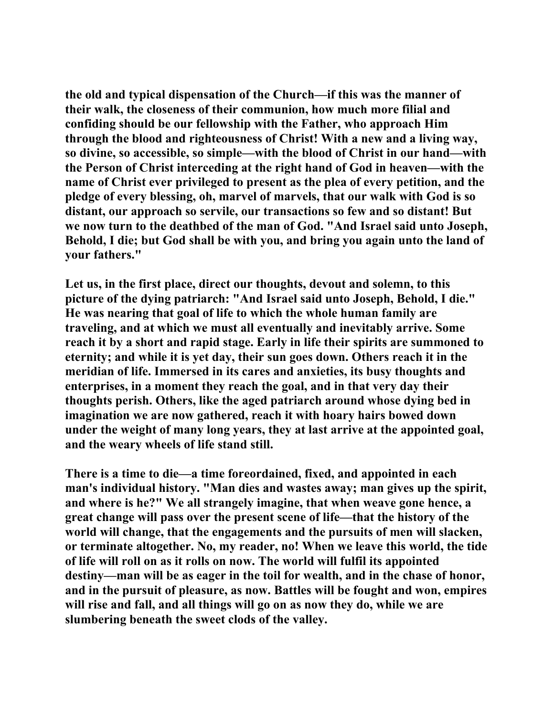**the old and typical dispensation of the Church—if this was the manner of their walk, the closeness of their communion, how much more filial and confiding should be our fellowship with the Father, who approach Him through the blood and righteousness of Christ! With a new and a living way, so divine, so accessible, so simple—with the blood of Christ in our hand—with the Person of Christ interceding at the right hand of God in heaven—with the name of Christ ever privileged to present as the plea of every petition, and the pledge of every blessing, oh, marvel of marvels, that our walk with God is so distant, our approach so servile, our transactions so few and so distant! But we now turn to the deathbed of the man of God. "And Israel said unto Joseph, Behold, I die; but God shall be with you, and bring you again unto the land of your fathers."** 

**Let us, in the first place, direct our thoughts, devout and solemn, to this picture of the dying patriarch: "And Israel said unto Joseph, Behold, I die." He was nearing that goal of life to which the whole human family are traveling, and at which we must all eventually and inevitably arrive. Some reach it by a short and rapid stage. Early in life their spirits are summoned to eternity; and while it is yet day, their sun goes down. Others reach it in the meridian of life. Immersed in its cares and anxieties, its busy thoughts and enterprises, in a moment they reach the goal, and in that very day their thoughts perish. Others, like the aged patriarch around whose dying bed in imagination we are now gathered, reach it with hoary hairs bowed down under the weight of many long years, they at last arrive at the appointed goal, and the weary wheels of life stand still.** 

**There is a time to die—a time foreordained, fixed, and appointed in each man's individual history. "Man dies and wastes away; man gives up the spirit, and where is he?" We all strangely imagine, that when weave gone hence, a great change will pass over the present scene of life—that the history of the world will change, that the engagements and the pursuits of men will slacken, or terminate altogether. No, my reader, no! When we leave this world, the tide of life will roll on as it rolls on now. The world will fulfil its appointed destiny—man will be as eager in the toil for wealth, and in the chase of honor, and in the pursuit of pleasure, as now. Battles will be fought and won, empires will rise and fall, and all things will go on as now they do, while we are slumbering beneath the sweet clods of the valley.**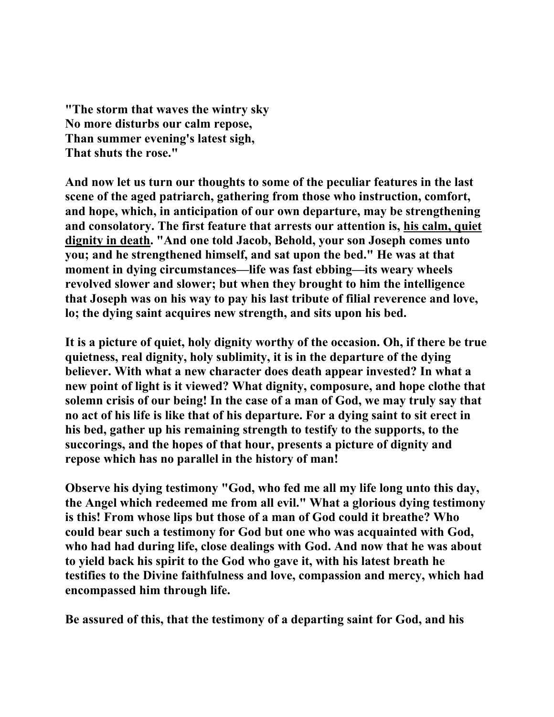**"The storm that waves the wintry sky No more disturbs our calm repose, Than summer evening's latest sigh, That shuts the rose."** 

**And now let us turn our thoughts to some of the peculiar features in the last scene of the aged patriarch, gathering from those who instruction, comfort, and hope, which, in anticipation of our own departure, may be strengthening and consolatory. The first feature that arrests our attention is, his calm, quiet dignity in death. "And one told Jacob, Behold, your son Joseph comes unto you; and he strengthened himself, and sat upon the bed." He was at that moment in dying circumstances—life was fast ebbing—its weary wheels revolved slower and slower; but when they brought to him the intelligence that Joseph was on his way to pay his last tribute of filial reverence and love, lo; the dying saint acquires new strength, and sits upon his bed.** 

**It is a picture of quiet, holy dignity worthy of the occasion. Oh, if there be true quietness, real dignity, holy sublimity, it is in the departure of the dying believer. With what a new character does death appear invested? In what a new point of light is it viewed? What dignity, composure, and hope clothe that solemn crisis of our being! In the case of a man of God, we may truly say that no act of his life is like that of his departure. For a dying saint to sit erect in his bed, gather up his remaining strength to testify to the supports, to the succorings, and the hopes of that hour, presents a picture of dignity and repose which has no parallel in the history of man!** 

**Observe his dying testimony "God, who fed me all my life long unto this day, the Angel which redeemed me from all evil." What a glorious dying testimony is this! From whose lips but those of a man of God could it breathe? Who could bear such a testimony for God but one who was acquainted with God, who had had during life, close dealings with God. And now that he was about to yield back his spirit to the God who gave it, with his latest breath he testifies to the Divine faithfulness and love, compassion and mercy, which had encompassed him through life.** 

**Be assured of this, that the testimony of a departing saint for God, and his**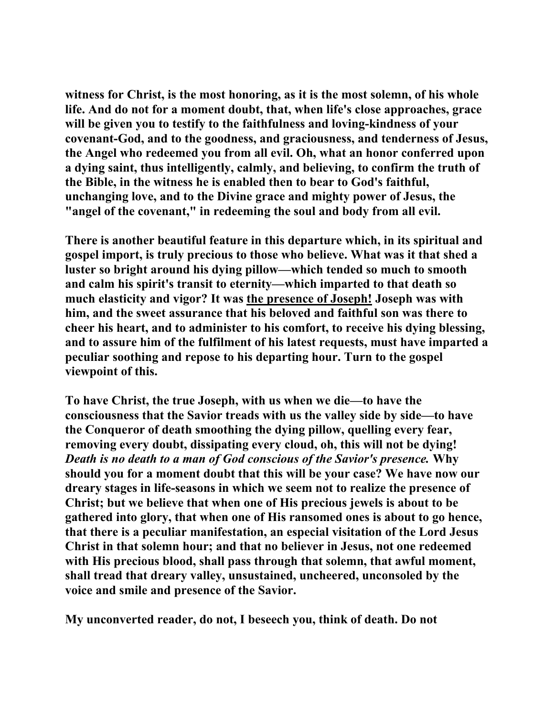**witness for Christ, is the most honoring, as it is the most solemn, of his whole life. And do not for a moment doubt, that, when life's close approaches, grace will be given you to testify to the faithfulness and loving-kindness of your covenant-God, and to the goodness, and graciousness, and tenderness of Jesus, the Angel who redeemed you from all evil. Oh, what an honor conferred upon a dying saint, thus intelligently, calmly, and believing, to confirm the truth of the Bible, in the witness he is enabled then to bear to God's faithful, unchanging love, and to the Divine grace and mighty power of Jesus, the "angel of the covenant," in redeeming the soul and body from all evil.** 

**There is another beautiful feature in this departure which, in its spiritual and gospel import, is truly precious to those who believe. What was it that shed a luster so bright around his dying pillow—which tended so much to smooth and calm his spirit's transit to eternity—which imparted to that death so much elasticity and vigor? It was the presence of Joseph! Joseph was with him, and the sweet assurance that his beloved and faithful son was there to cheer his heart, and to administer to his comfort, to receive his dying blessing, and to assure him of the fulfilment of his latest requests, must have imparted a peculiar soothing and repose to his departing hour. Turn to the gospel viewpoint of this.** 

**To have Christ, the true Joseph, with us when we die—to have the consciousness that the Savior treads with us the valley side by side—to have the Conqueror of death smoothing the dying pillow, quelling every fear, removing every doubt, dissipating every cloud, oh, this will not be dying!**  *Death is no death to a man of God conscious of the Savior's presence.* **Why should you for a moment doubt that this will be your case? We have now our dreary stages in life-seasons in which we seem not to realize the presence of Christ; but we believe that when one of His precious jewels is about to be gathered into glory, that when one of His ransomed ones is about to go hence, that there is a peculiar manifestation, an especial visitation of the Lord Jesus Christ in that solemn hour; and that no believer in Jesus, not one redeemed with His precious blood, shall pass through that solemn, that awful moment, shall tread that dreary valley, unsustained, uncheered, unconsoled by the voice and smile and presence of the Savior.** 

**My unconverted reader, do not, I beseech you, think of death. Do not**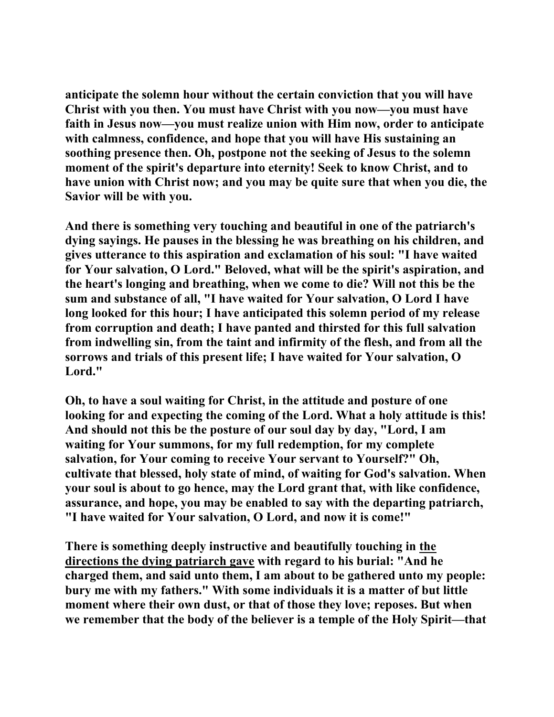**anticipate the solemn hour without the certain conviction that you will have Christ with you then. You must have Christ with you now—you must have faith in Jesus now—you must realize union with Him now, order to anticipate with calmness, confidence, and hope that you will have His sustaining an soothing presence then. Oh, postpone not the seeking of Jesus to the solemn moment of the spirit's departure into eternity! Seek to know Christ, and to have union with Christ now; and you may be quite sure that when you die, the Savior will be with you.** 

**And there is something very touching and beautiful in one of the patriarch's dying sayings. He pauses in the blessing he was breathing on his children, and gives utterance to this aspiration and exclamation of his soul: "I have waited for Your salvation, O Lord." Beloved, what will be the spirit's aspiration, and the heart's longing and breathing, when we come to die? Will not this be the sum and substance of all, "I have waited for Your salvation, O Lord I have long looked for this hour; I have anticipated this solemn period of my release from corruption and death; I have panted and thirsted for this full salvation from indwelling sin, from the taint and infirmity of the flesh, and from all the sorrows and trials of this present life; I have waited for Your salvation, O Lord."** 

**Oh, to have a soul waiting for Christ, in the attitude and posture of one looking for and expecting the coming of the Lord. What a holy attitude is this! And should not this be the posture of our soul day by day, "Lord, I am waiting for Your summons, for my full redemption, for my complete salvation, for Your coming to receive Your servant to Yourself?" Oh, cultivate that blessed, holy state of mind, of waiting for God's salvation. When your soul is about to go hence, may the Lord grant that, with like confidence, assurance, and hope, you may be enabled to say with the departing patriarch, "I have waited for Your salvation, O Lord, and now it is come!"** 

**There is something deeply instructive and beautifully touching in the directions the dying patriarch gave with regard to his burial: "And he charged them, and said unto them, I am about to be gathered unto my people: bury me with my fathers." With some individuals it is a matter of but little moment where their own dust, or that of those they love; reposes. But when we remember that the body of the believer is a temple of the Holy Spirit—that**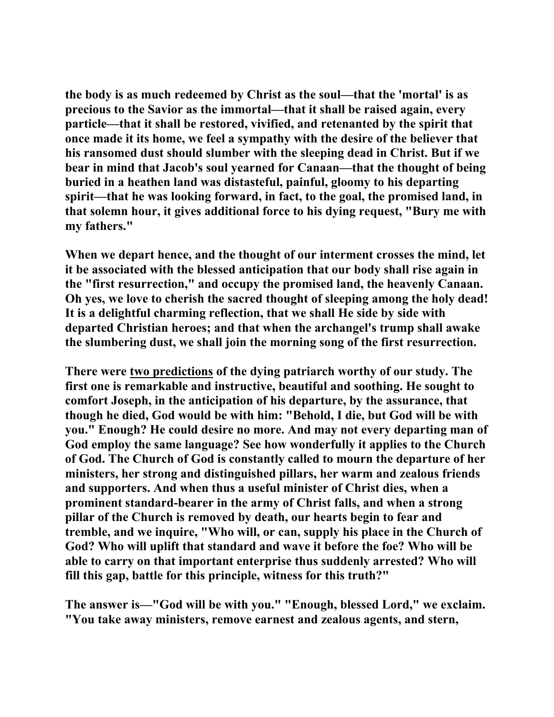**the body is as much redeemed by Christ as the soul—that the 'mortal' is as precious to the Savior as the immortal—that it shall be raised again, every particle—that it shall be restored, vivified, and retenanted by the spirit that once made it its home, we feel a sympathy with the desire of the believer that his ransomed dust should slumber with the sleeping dead in Christ. But if we bear in mind that Jacob's soul yearned for Canaan—that the thought of being buried in a heathen land was distasteful, painful, gloomy to his departing spirit—that he was looking forward, in fact, to the goal, the promised land, in that solemn hour, it gives additional force to his dying request, "Bury me with my fathers."** 

**When we depart hence, and the thought of our interment crosses the mind, let it be associated with the blessed anticipation that our body shall rise again in the "first resurrection," and occupy the promised land, the heavenly Canaan. Oh yes, we love to cherish the sacred thought of sleeping among the holy dead! It is a delightful charming reflection, that we shall He side by side with departed Christian heroes; and that when the archangel's trump shall awake the slumbering dust, we shall join the morning song of the first resurrection.** 

**There were two predictions of the dying patriarch worthy of our study. The first one is remarkable and instructive, beautiful and soothing. He sought to comfort Joseph, in the anticipation of his departure, by the assurance, that though he died, God would be with him: "Behold, I die, but God will be with you." Enough? He could desire no more. And may not every departing man of God employ the same language? See how wonderfully it applies to the Church of God. The Church of God is constantly called to mourn the departure of her ministers, her strong and distinguished pillars, her warm and zealous friends and supporters. And when thus a useful minister of Christ dies, when a prominent standard-bearer in the army of Christ falls, and when a strong pillar of the Church is removed by death, our hearts begin to fear and tremble, and we inquire, "Who will, or can, supply his place in the Church of God? Who will uplift that standard and wave it before the foe? Who will be able to carry on that important enterprise thus suddenly arrested? Who will fill this gap, battle for this principle, witness for this truth?"** 

**The answer is—"God will be with you." "Enough, blessed Lord," we exclaim. "You take away ministers, remove earnest and zealous agents, and stern,**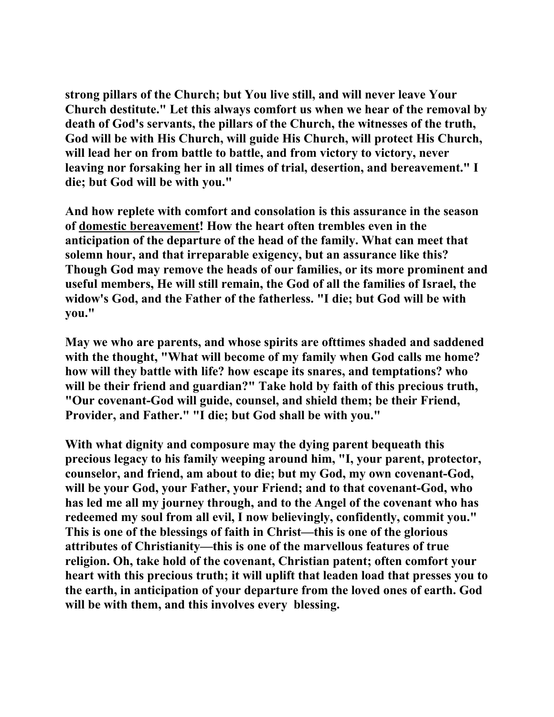**strong pillars of the Church; but You live still, and will never leave Your Church destitute." Let this always comfort us when we hear of the removal by death of God's servants, the pillars of the Church, the witnesses of the truth, God will be with His Church, will guide His Church, will protect His Church, will lead her on from battle to battle, and from victory to victory, never leaving nor forsaking her in all times of trial, desertion, and bereavement." I die; but God will be with you."** 

**And how replete with comfort and consolation is this assurance in the season of domestic bereavement! How the heart often trembles even in the anticipation of the departure of the head of the family. What can meet that solemn hour, and that irreparable exigency, but an assurance like this? Though God may remove the heads of our families, or its more prominent and useful members, He will still remain, the God of all the families of Israel, the widow's God, and the Father of the fatherless. "I die; but God will be with you."** 

**May we who are parents, and whose spirits are ofttimes shaded and saddened with the thought, "What will become of my family when God calls me home? how will they battle with life? how escape its snares, and temptations? who will be their friend and guardian?" Take hold by faith of this precious truth, "Our covenant-God will guide, counsel, and shield them; be their Friend, Provider, and Father." "I die; but God shall be with you."** 

**With what dignity and composure may the dying parent bequeath this precious legacy to his family weeping around him, "I, your parent, protector, counselor, and friend, am about to die; but my God, my own covenant-God, will be your God, your Father, your Friend; and to that covenant-God, who has led me all my journey through, and to the Angel of the covenant who has redeemed my soul from all evil, I now believingly, confidently, commit you." This is one of the blessings of faith in Christ—this is one of the glorious attributes of Christianity—this is one of the marvellous features of true religion. Oh, take hold of the covenant, Christian patent; often comfort your heart with this precious truth; it will uplift that leaden load that presses you to the earth, in anticipation of your departure from the loved ones of earth. God will be with them, and this involves every blessing.**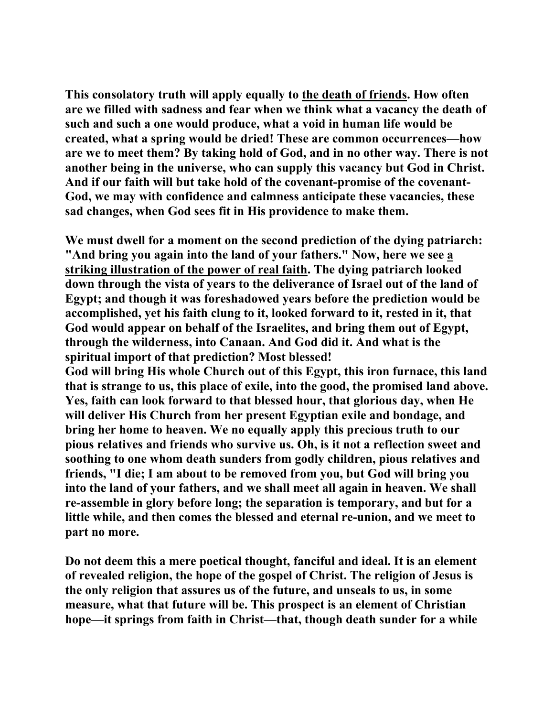**This consolatory truth will apply equally to the death of friends. How often are we filled with sadness and fear when we think what a vacancy the death of such and such a one would produce, what a void in human life would be created, what a spring would be dried! These are common occurrences—how are we to meet them? By taking hold of God, and in no other way. There is not another being in the universe, who can supply this vacancy but God in Christ. And if our faith will but take hold of the covenant-promise of the covenant-God, we may with confidence and calmness anticipate these vacancies, these sad changes, when God sees fit in His providence to make them.** 

**We must dwell for a moment on the second prediction of the dying patriarch: "And bring you again into the land of your fathers." Now, here we see a striking illustration of the power of real faith. The dying patriarch looked down through the vista of years to the deliverance of Israel out of the land of Egypt; and though it was foreshadowed years before the prediction would be accomplished, yet his faith clung to it, looked forward to it, rested in it, that God would appear on behalf of the Israelites, and bring them out of Egypt, through the wilderness, into Canaan. And God did it. And what is the spiritual import of that prediction? Most blessed!** 

**God will bring His whole Church out of this Egypt, this iron furnace, this land that is strange to us, this place of exile, into the good, the promised land above. Yes, faith can look forward to that blessed hour, that glorious day, when He will deliver His Church from her present Egyptian exile and bondage, and bring her home to heaven. We no equally apply this precious truth to our pious relatives and friends who survive us. Oh, is it not a reflection sweet and soothing to one whom death sunders from godly children, pious relatives and friends, "I die; I am about to be removed from you, but God will bring you into the land of your fathers, and we shall meet all again in heaven. We shall re-assemble in glory before long; the separation is temporary, and but for a little while, and then comes the blessed and eternal re-union, and we meet to part no more.** 

**Do not deem this a mere poetical thought, fanciful and ideal. It is an element of revealed religion, the hope of the gospel of Christ. The religion of Jesus is the only religion that assures us of the future, and unseals to us, in some measure, what that future will be. This prospect is an element of Christian hope—it springs from faith in Christ—that, though death sunder for a while**